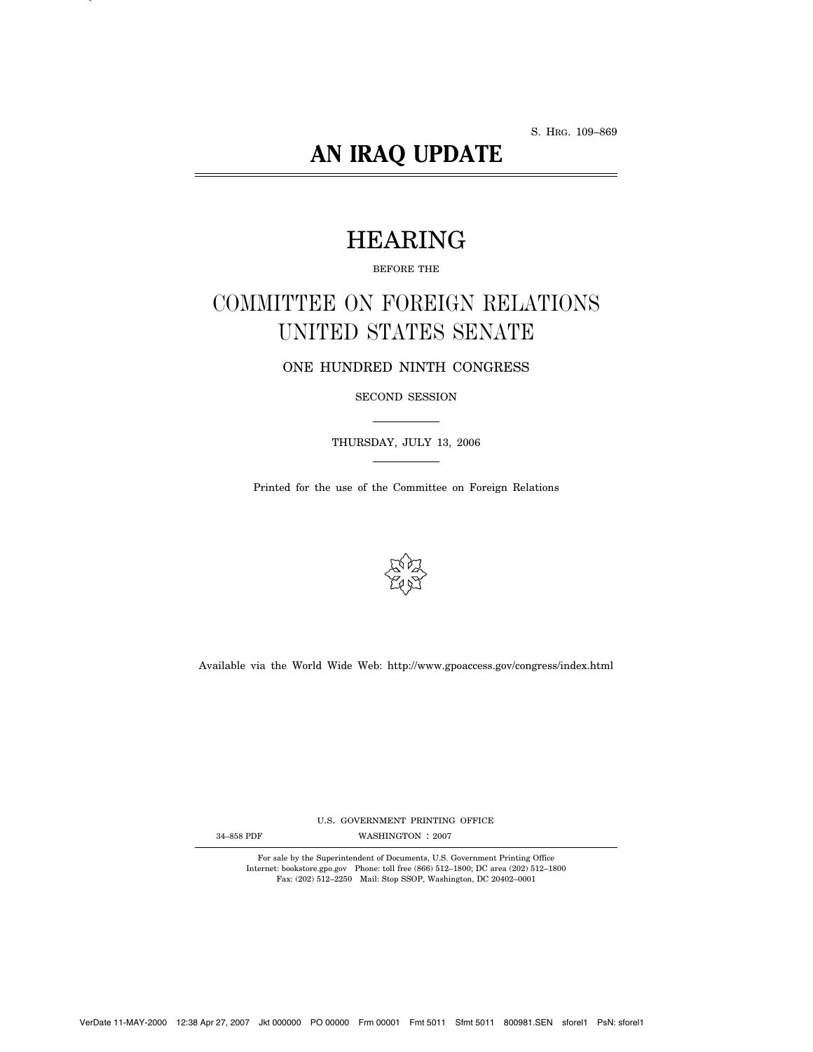S. HRG. 109–869

# **AN IRAQ UPDATE**

# HEARING

BEFORE THE

# COMMITTEE ON FOREIGN RELATIONS UNITED STATES SENATE

ONE HUNDRED NINTH CONGRESS

SECOND SESSION

THURSDAY, JULY 13, 2006

Printed for the use of the Committee on Foreign Relations



Available via the World Wide Web: http://www.gpoaccess.gov/congress/index.html

U.S. GOVERNMENT PRINTING OFFICE

34-858 PDF WASHINGTON : 2007

For sale by the Superintendent of Documents, U.S. Government Printing Office Internet: bookstore.gpo.gov Phone: toll free (866) 512–1800; DC area (202) 512–1800 Fax: (202) 512–2250 Mail: Stop SSOP, Washington, DC 20402–0001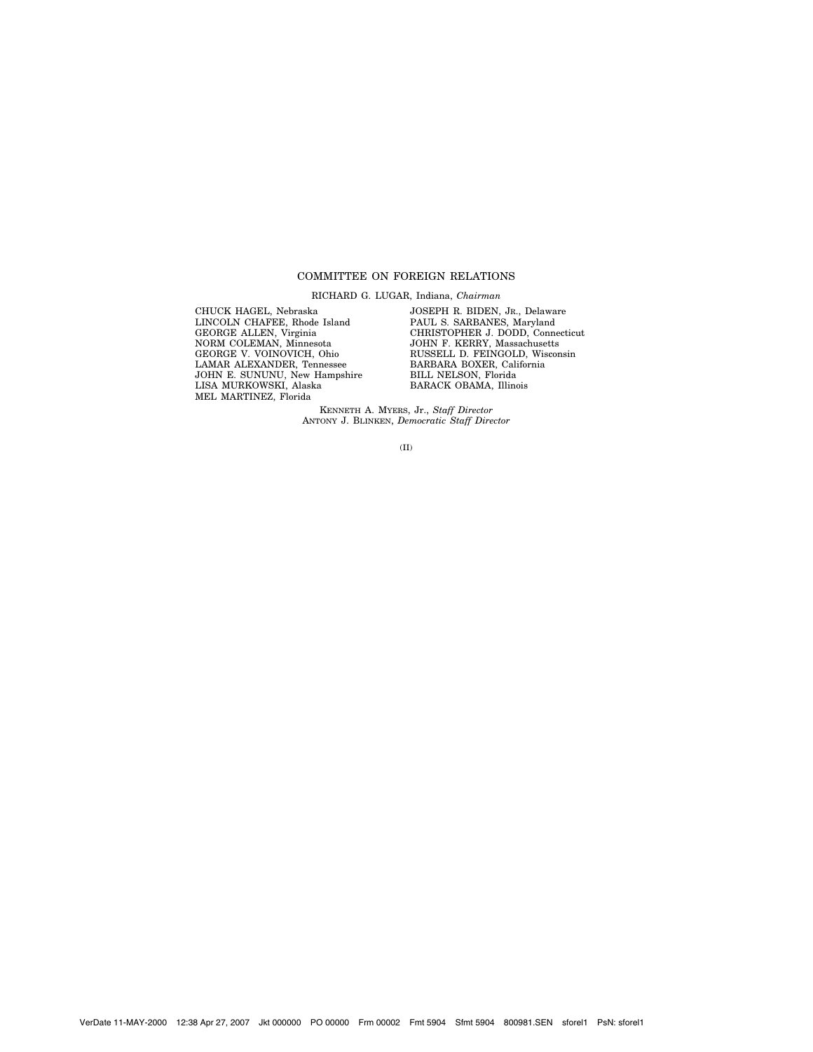# COMMITTEE ON FOREIGN RELATIONS

RICHARD G. LUGAR, Indiana, *Chairman*

CHUCK HAGEL, Nebraska LINCOLN CHAFEE, Rhode Island GEORGE ALLEN, Virginia NORM COLEMAN, Minnesota GEORGE V. VOINOVICH, Ohio LAMAR ALEXANDER, Tennessee JOHN E. SUNUNU, New Hampshire LISA MURKOWSKI, Alaska MEL MARTINEZ, Florida

JOSEPH R. BIDEN, JR., Delaware PAUL S. SARBANES, Maryland CHRISTOPHER J. DODD, Connecticut JOHN F. KERRY, Massachusetts RUSSELL D. FEINGOLD, Wisconsin BARBARA BOXER, California BILL NELSON, Florida BARACK OBAMA, Illinois

KENNETH A. MYERS, Jr., *Staff Director* ANTONY J. BLINKEN, *Democratic Staff Director*

(II)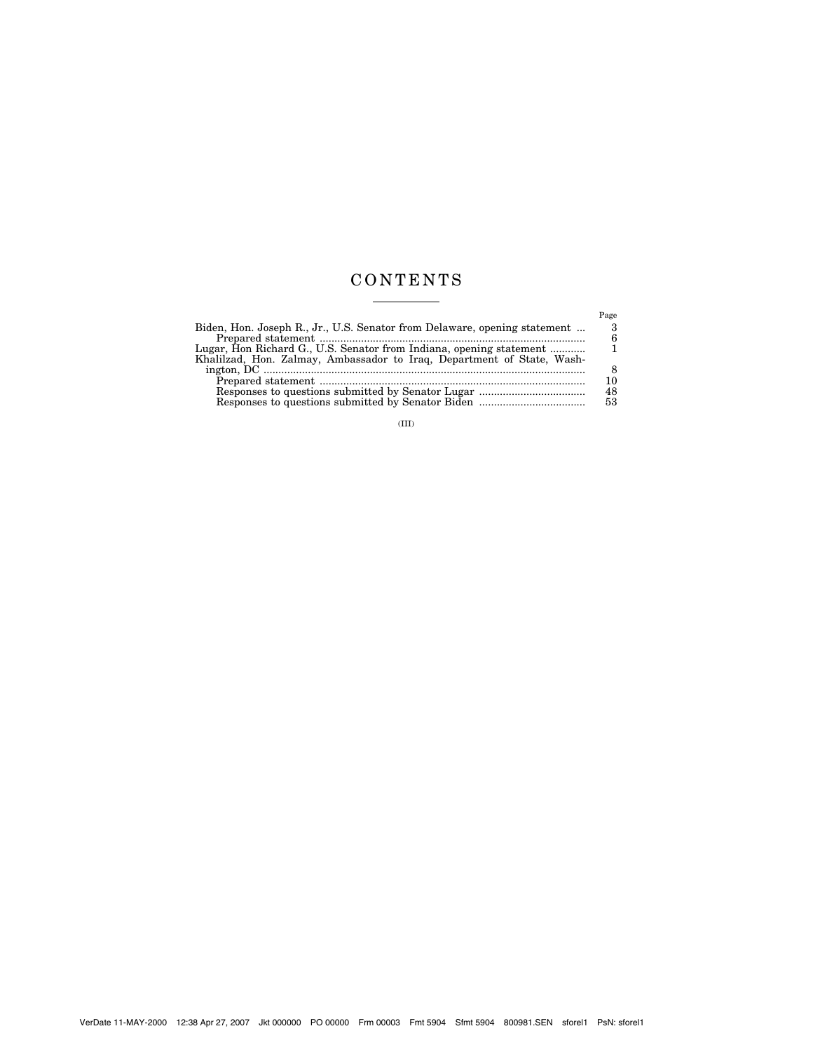# CONTENTS  $\begin{tabular}{l} \multicolumn{2}{c} {\textbf{1}} & \multicolumn{2}{c} {\textbf{1}} & \multicolumn{2}{c} {\textbf{1}} \\ \multicolumn{2}{c} {\textbf{2}} & \multicolumn{2}{c} {\textbf{3}} & \multicolumn{2}{c} {\textbf{4}} \\ \multicolumn{2}{c} {\textbf{4}} & \multicolumn{2}{c} {\textbf{5}} & \multicolumn{2}{c} {\textbf{6}} \\ \multicolumn{2}{c} {\textbf{5}} & \multicolumn{2}{c} {\textbf{6}} & \multicolumn{2}{c} {\textbf{6}} \\ \multicolumn{2}{c} {\textbf{5}} & \multicolumn$

| Biden, Hon. Joseph R., Jr., U.S. Senator from Delaware, opening statement<br>Lugar, Hon Richard G., U.S. Senator from Indiana, opening statement<br>Khalilzad, Hon. Zalmay, Ambassador to Iraq, Department of State, Wash- | Page<br>10<br>48<br>53 |
|----------------------------------------------------------------------------------------------------------------------------------------------------------------------------------------------------------------------------|------------------------|
|----------------------------------------------------------------------------------------------------------------------------------------------------------------------------------------------------------------------------|------------------------|

(III)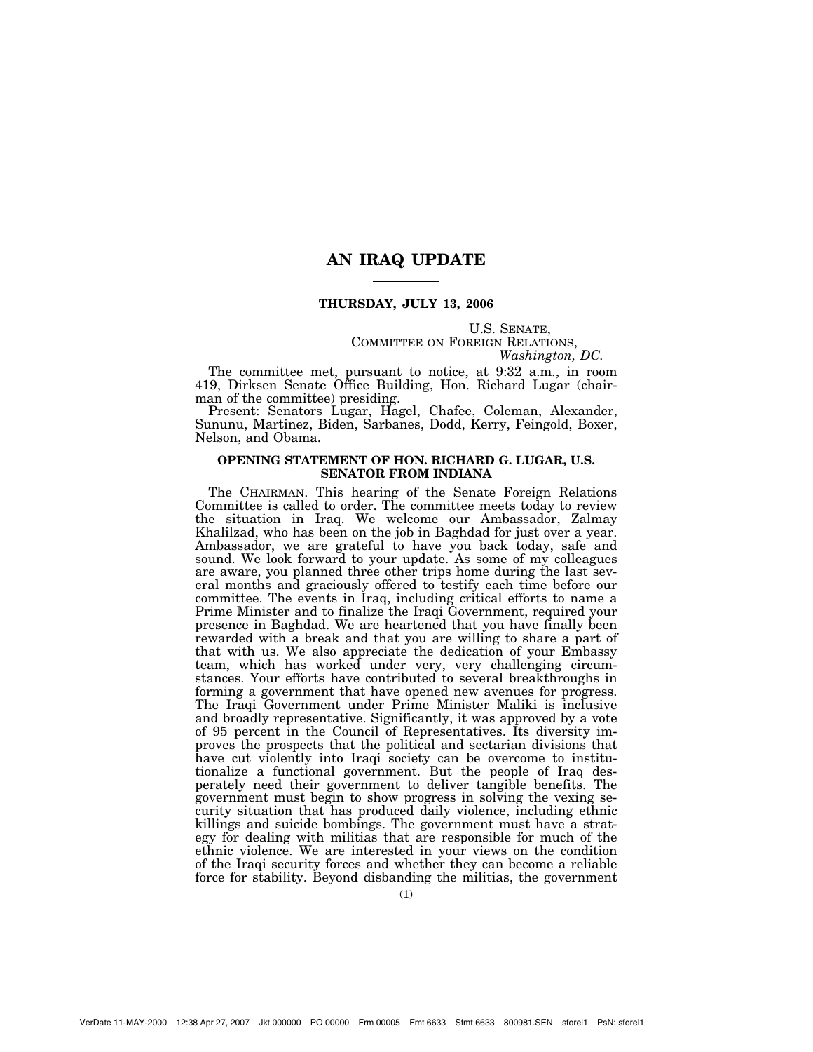# **AN IRAQ UPDATE**

# **THURSDAY, JULY 13, 2006**

# U.S. SENATE,<br>COMMITTEE ON FOREIGN RELATIONS,<br>*Washington, DC.*

The committee met, pursuant to notice, at 9:32 a.m., in room 419, Dirksen Senate Office Building, Hon. Richard Lugar (chairman of the committee) presiding.

Present: Senators Lugar, Hagel, Chafee, Coleman, Alexander, Sununu, Martinez, Biden, Sarbanes, Dodd, Kerry, Feingold, Boxer, Nelson, and Obama.

## **OPENING STATEMENT OF HON. RICHARD G. LUGAR, U.S. SENATOR FROM INDIANA**

The CHAIRMAN. This hearing of the Senate Foreign Relations Committee is called to order. The committee meets today to review the situation in Iraq. We welcome our Ambassador, Zalmay Khalilzad, who has been on the job in Baghdad for just over a year. Ambassador, we are grateful to have you back today, safe and sound. We look forward to your update. As some of my colleagues are aware, you planned three other trips home during the last several months and graciously offered to testify each time before our committee. The events in Iraq, including critical efforts to name a Prime Minister and to finalize the Iraqi Government, required your presence in Baghdad. We are heartened that you have finally been rewarded with a break and that you are willing to share a part of that with us. We also appreciate the dedication of your Embassy team, which has worked under very, very challenging circumstances. Your efforts have contributed to several breakthroughs in forming a government that have opened new avenues for progress. The Iraqi Government under Prime Minister Maliki is inclusive and broadly representative. Significantly, it was approved by a vote of 95 percent in the Council of Representatives. Its diversity improves the prospects that the political and sectarian divisions that have cut violently into Iraqi society can be overcome to institutionalize a functional government. But the people of Iraq desperately need their government to deliver tangible benefits. The government must begin to show progress in solving the vexing security situation that has produced daily violence, including ethnic killings and suicide bombings. The government must have a strategy for dealing with militias that are responsible for much of the ethnic violence. We are interested in your views on the condition of the Iraqi security forces and whether they can become a reliable force for stability. Beyond disbanding the militias, the government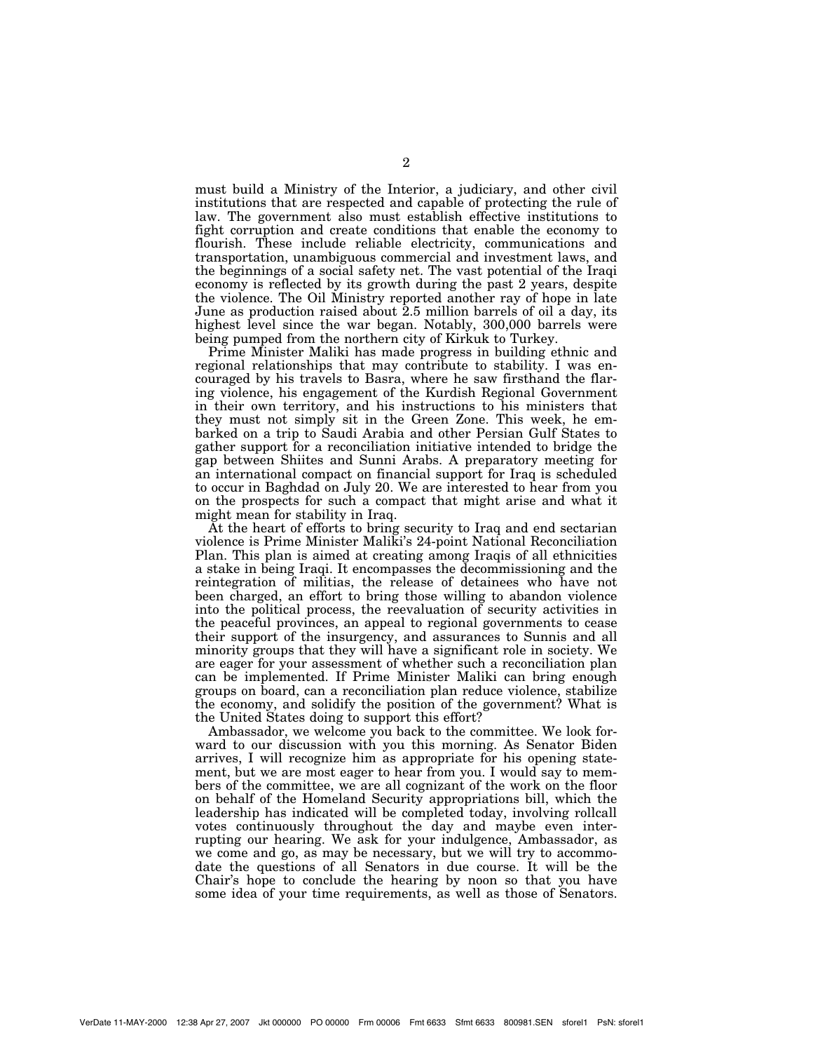must build a Ministry of the Interior, a judiciary, and other civil institutions that are respected and capable of protecting the rule of law. The government also must establish effective institutions to fight corruption and create conditions that enable the economy to flourish. These include reliable electricity, communications and transportation, unambiguous commercial and investment laws, and the beginnings of a social safety net. The vast potential of the Iraqi economy is reflected by its growth during the past 2 years, despite the violence. The Oil Ministry reported another ray of hope in late June as production raised about 2.5 million barrels of oil a day, its highest level since the war began. Notably, 300,000 barrels were being pumped from the northern city of Kirkuk to Turkey.

Prime Minister Maliki has made progress in building ethnic and regional relationships that may contribute to stability. I was encouraged by his travels to Basra, where he saw firsthand the flaring violence, his engagement of the Kurdish Regional Government in their own territory, and his instructions to his ministers that they must not simply sit in the Green Zone. This week, he embarked on a trip to Saudi Arabia and other Persian Gulf States to gather support for a reconciliation initiative intended to bridge the gap between Shiites and Sunni Arabs. A preparatory meeting for an international compact on financial support for Iraq is scheduled to occur in Baghdad on July 20. We are interested to hear from you on the prospects for such a compact that might arise and what it might mean for stability in Iraq.

At the heart of efforts to bring security to Iraq and end sectarian violence is Prime Minister Maliki's 24-point National Reconciliation Plan. This plan is aimed at creating among Iraqis of all ethnicities a stake in being Iraqi. It encompasses the decommissioning and the reintegration of militias, the release of detainees who have not been charged, an effort to bring those willing to abandon violence into the political process, the reevaluation of security activities in the peaceful provinces, an appeal to regional governments to cease their support of the insurgency, and assurances to Sunnis and all minority groups that they will have a significant role in society. We are eager for your assessment of whether such a reconciliation plan can be implemented. If Prime Minister Maliki can bring enough groups on board, can a reconciliation plan reduce violence, stabilize the economy, and solidify the position of the government? What is the United States doing to support this effort?

Ambassador, we welcome you back to the committee. We look forward to our discussion with you this morning. As Senator Biden arrives, I will recognize him as appropriate for his opening statement, but we are most eager to hear from you. I would say to members of the committee, we are all cognizant of the work on the floor on behalf of the Homeland Security appropriations bill, which the leadership has indicated will be completed today, involving rollcall votes continuously throughout the day and maybe even interrupting our hearing. We ask for your indulgence, Ambassador, as we come and go, as may be necessary, but we will try to accommodate the questions of all Senators in due course. It will be the Chair's hope to conclude the hearing by noon so that you have some idea of your time requirements, as well as those of Senators.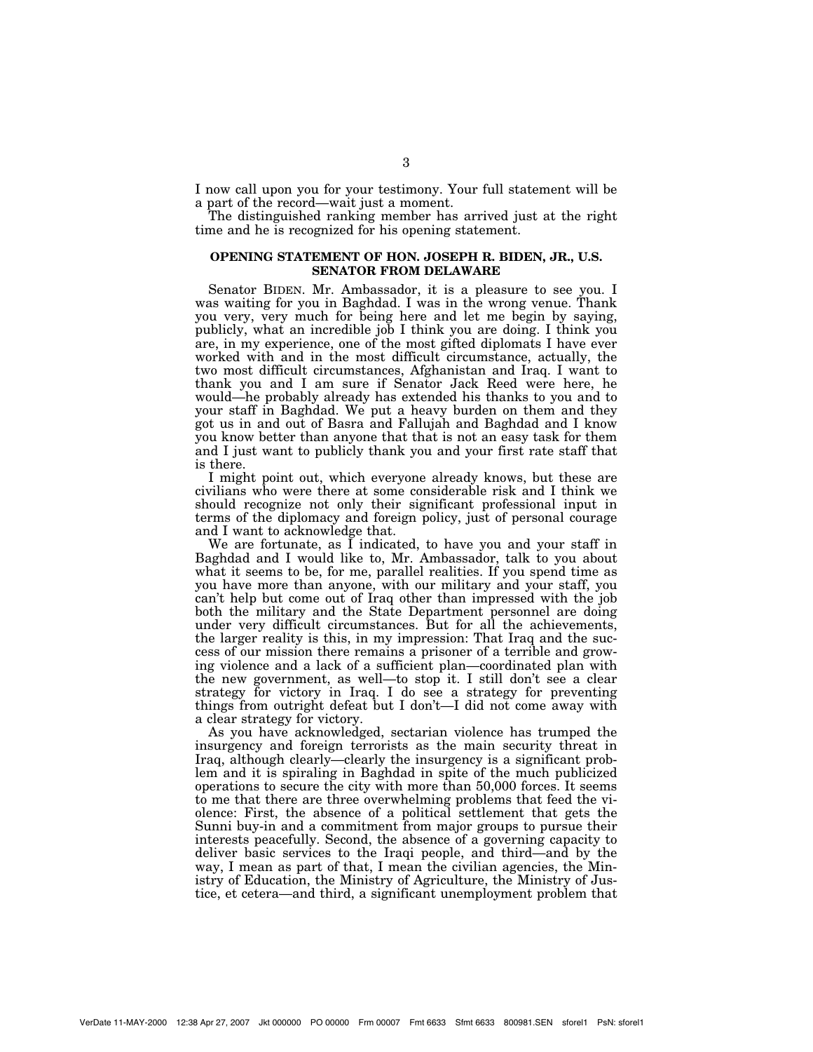I now call upon you for your testimony. Your full statement will be a part of the record—wait just a moment.

The distinguished ranking member has arrived just at the right time and he is recognized for his opening statement.

# **OPENING STATEMENT OF HON. JOSEPH R. BIDEN, JR., U.S. SENATOR FROM DELAWARE**

Senator BIDEN. Mr. Ambassador, it is a pleasure to see you. I was waiting for you in Baghdad. I was in the wrong venue. Thank you very, very much for being here and let me begin by saying, publicly, what an incredible job I think you are doing. I think you are, in my experience, one of the most gifted diplomats I have ever worked with and in the most difficult circumstance, actually, the two most difficult circumstances, Afghanistan and Iraq. I want to thank you and I am sure if Senator Jack Reed were here, he would—he probably already has extended his thanks to you and to your staff in Baghdad. We put a heavy burden on them and they got us in and out of Basra and Fallujah and Baghdad and I know you know better than anyone that that is not an easy task for them and I just want to publicly thank you and your first rate staff that is there.

I might point out, which everyone already knows, but these are civilians who were there at some considerable risk and I think we should recognize not only their significant professional input in terms of the diplomacy and foreign policy, just of personal courage and I want to acknowledge that.

We are fortunate, as I indicated, to have you and your staff in Baghdad and I would like to, Mr. Ambassador, talk to you about what it seems to be, for me, parallel realities. If you spend time as you have more than anyone, with our military and your staff, you can't help but come out of Iraq other than impressed with the job both the military and the State Department personnel are doing under very difficult circumstances. But for all the achievements, the larger reality is this, in my impression: That Iraq and the success of our mission there remains a prisoner of a terrible and growing violence and a lack of a sufficient plan—coordinated plan with the new government, as well—to stop it. I still don't see a clear strategy for victory in Iraq. I do see a strategy for preventing things from outright defeat but I don't—I did not come away with a clear strategy for victory.

As you have acknowledged, sectarian violence has trumped the insurgency and foreign terrorists as the main security threat in Iraq, although clearly—clearly the insurgency is a significant problem and it is spiraling in Baghdad in spite of the much publicized operations to secure the city with more than 50,000 forces. It seems to me that there are three overwhelming problems that feed the violence: First, the absence of a political settlement that gets the Sunni buy-in and a commitment from major groups to pursue their interests peacefully. Second, the absence of a governing capacity to deliver basic services to the Iraqi people, and third—and by the way, I mean as part of that, I mean the civilian agencies, the Ministry of Education, the Ministry of Agriculture, the Ministry of Justice, et cetera—and third, a significant unemployment problem that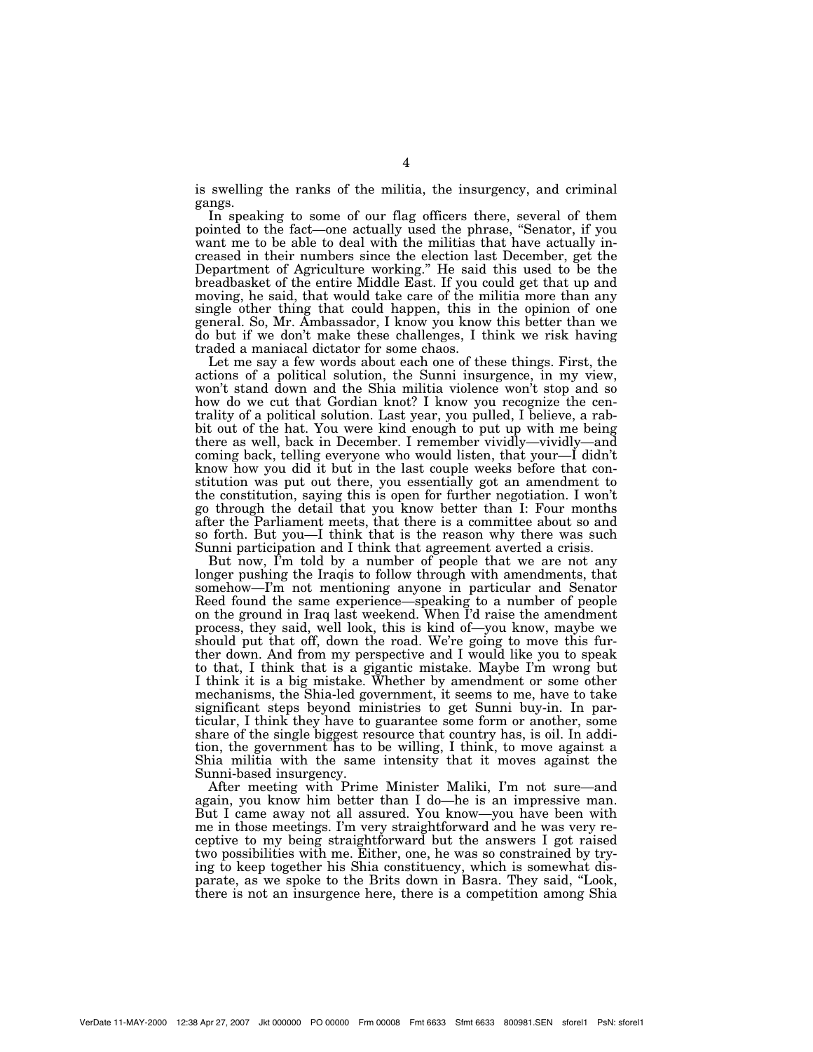is swelling the ranks of the militia, the insurgency, and criminal gangs.

In speaking to some of our flag officers there, several of them pointed to the fact—one actually used the phrase, ''Senator, if you want me to be able to deal with the militias that have actually increased in their numbers since the election last December, get the Department of Agriculture working.'' He said this used to be the breadbasket of the entire Middle East. If you could get that up and moving, he said, that would take care of the militia more than any single other thing that could happen, this in the opinion of one general. So, Mr. Ambassador, I know you know this better than we do but if we don't make these challenges, I think we risk having traded a maniacal dictator for some chaos.

Let me say a few words about each one of these things. First, the actions of a political solution, the Sunni insurgence, in my view, won't stand down and the Shia militia violence won't stop and so how do we cut that Gordian knot? I know you recognize the centrality of a political solution. Last year, you pulled, I believe, a rabbit out of the hat. You were kind enough to put up with me being there as well, back in December. I remember vividly—vividly—and coming back, telling everyone who would listen, that your—I didn't know how you did it but in the last couple weeks before that constitution was put out there, you essentially got an amendment to the constitution, saying this is open for further negotiation. I won't go through the detail that you know better than I: Four months after the Parliament meets, that there is a committee about so and so forth. But you—I think that is the reason why there was such Sunni participation and I think that agreement averted a crisis.

But now, I'm told by a number of people that we are not any longer pushing the Iraqis to follow through with amendments, that somehow—I'm not mentioning anyone in particular and Senator Reed found the same experience—speaking to a number of people on the ground in Iraq last weekend. When I'd raise the amendment process, they said, well look, this is kind of—you know, maybe we should put that off, down the road. We're going to move this further down. And from my perspective and I would like you to speak to that, I think that is a gigantic mistake. Maybe I'm wrong but I think it is a big mistake. Whether by amendment or some other mechanisms, the Shia-led government, it seems to me, have to take significant steps beyond ministries to get Sunni buy-in. In particular, I think they have to guarantee some form or another, some share of the single biggest resource that country has, is oil. In addition, the government has to be willing, I think, to move against a Shia militia with the same intensity that it moves against the Sunni-based insurgency.

After meeting with Prime Minister Maliki, I'm not sure—and again, you know him better than I do—he is an impressive man. But I came away not all assured. You know—you have been with me in those meetings. I'm very straightforward and he was very receptive to my being straightforward but the answers I got raised two possibilities with me. Either, one, he was so constrained by trying to keep together his Shia constituency, which is somewhat disparate, as we spoke to the Brits down in Basra. They said, ''Look, there is not an insurgence here, there is a competition among Shia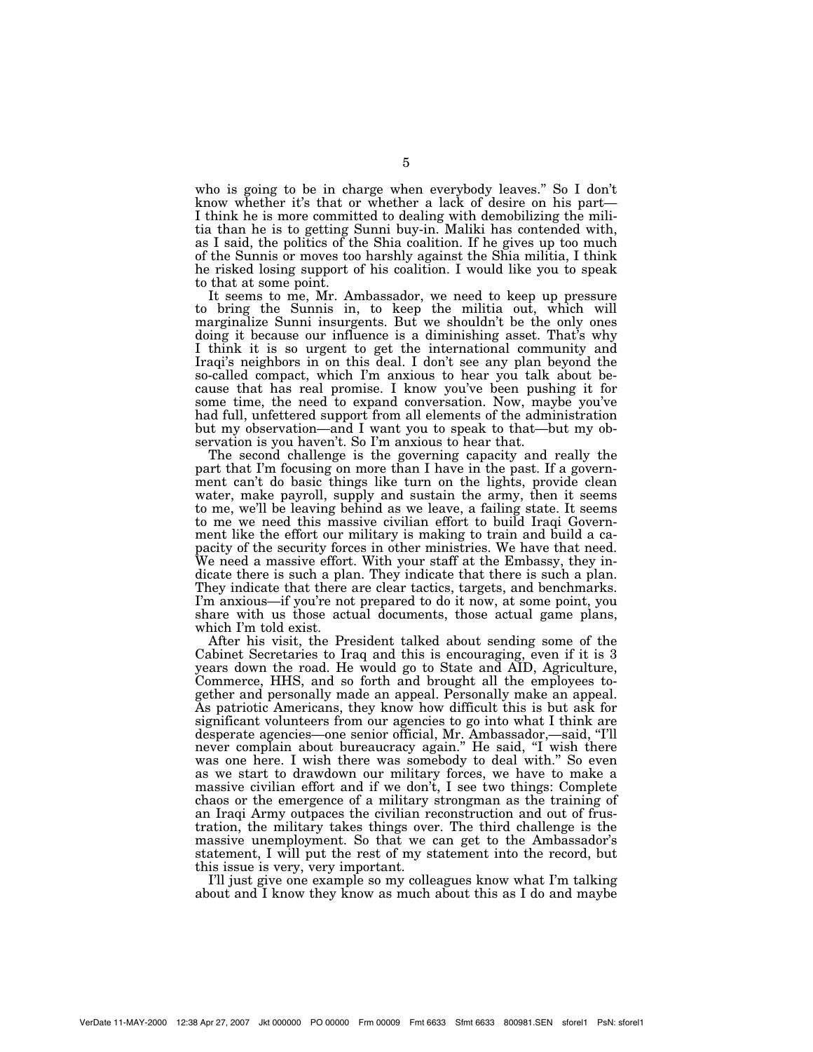who is going to be in charge when everybody leaves.'' So I don't know whether it's that or whether a lack of desire on his part— I think he is more committed to dealing with demobilizing the militia than he is to getting Sunni buy-in. Maliki has contended with, as I said, the politics of the Shia coalition. If he gives up too much of the Sunnis or moves too harshly against the Shia militia, I think he risked losing support of his coalition. I would like you to speak to that at some point.

It seems to me, Mr. Ambassador, we need to keep up pressure to bring the Sunnis in, to keep the militia out, which will marginalize Sunni insurgents. But we shouldn't be the only ones doing it because our influence is a diminishing asset. That's why I think it is so urgent to get the international community and Iraqi's neighbors in on this deal. I don't see any plan beyond the so-called compact, which I'm anxious to hear you talk about because that has real promise. I know you've been pushing it for some time, the need to expand conversation. Now, maybe you've had full, unfettered support from all elements of the administration but my observation—and I want you to speak to that—but my observation is you haven't. So I'm anxious to hear that.

The second challenge is the governing capacity and really the part that I'm focusing on more than I have in the past. If a government can't do basic things like turn on the lights, provide clean water, make payroll, supply and sustain the army, then it seems to me, we'll be leaving behind as we leave, a failing state. It seems to me we need this massive civilian effort to build Iraqi Government like the effort our military is making to train and build a capacity of the security forces in other ministries. We have that need. We need a massive effort. With your staff at the Embassy, they indicate there is such a plan. They indicate that there is such a plan. They indicate that there are clear tactics, targets, and benchmarks. I'm anxious—if you're not prepared to do it now, at some point, you share with us those actual documents, those actual game plans, which I'm told exist.

After his visit, the President talked about sending some of the Cabinet Secretaries to Iraq and this is encouraging, even if it is 3 years down the road. He would go to State and AID, Agriculture, Commerce, HHS, and so forth and brought all the employees together and personally made an appeal. Personally make an appeal. As patriotic Americans, they know how difficult this is but ask for significant volunteers from our agencies to go into what I think are desperate agencies—one senior official, Mr. Ambassador,—said, ''I'll never complain about bureaucracy again." He said, "I wish there was one here. I wish there was somebody to deal with." So even as we start to drawdown our military forces, we have to make a massive civilian effort and if we don't, I see two things: Complete chaos or the emergence of a military strongman as the training of an Iraqi Army outpaces the civilian reconstruction and out of frustration, the military takes things over. The third challenge is the massive unemployment. So that we can get to the Ambassador's statement, I will put the rest of my statement into the record, but this issue is very, very important.

I'll just give one example so my colleagues know what I'm talking about and I know they know as much about this as I do and maybe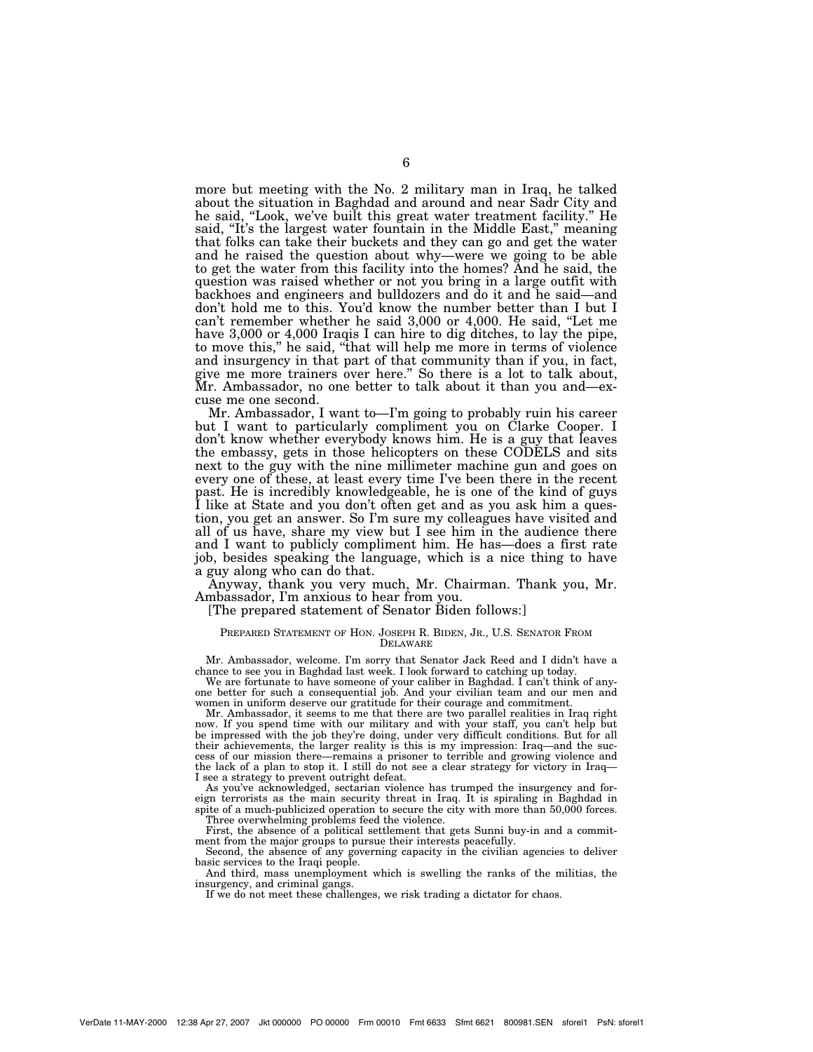more but meeting with the No. 2 military man in Iraq, he talked about the situation in Baghdad and around and near Sadr City and he said, "Look, we've built this great water treatment facility." He said, "It's the largest water fountain in the Middle East," meaning that folks can take their buckets and they can go and get the water and he raised the question about why—were we going to be able to get the water from this facility into the homes? And he said, the question was raised whether or not you bring in a large outfit with backhoes and engineers and bulldozers and do it and he said—and don't hold me to this. You'd know the number better than I but I can't remember whether he said 3,000 or 4,000. He said, ''Let me have 3,000 or 4,000 Iraqis I can hire to dig ditches, to lay the pipe, to move this,'' he said, ''that will help me more in terms of violence and insurgency in that part of that community than if you, in fact, give me more trainers over here.'' So there is a lot to talk about, Mr. Ambassador, no one better to talk about it than you and—excuse me one second.

Mr. Ambassador, I want to—I'm going to probably ruin his career but I want to particularly compliment you on Clarke Cooper. I don't know whether everybody knows him. He is a guy that leaves the embassy, gets in those helicopters on these CODELS and sits next to the guy with the nine millimeter machine gun and goes on every one of these, at least every time I've been there in the recent past. He is incredibly knowledgeable, he is one of the kind of guys I like at State and you don't often get and as you ask him a question, you get an answer. So I'm sure my colleagues have visited and all of us have, share my view but I see him in the audience there and I want to publicly compliment him. He has—does a first rate job, besides speaking the language, which is a nice thing to have a guy along who can do that.

Anyway, thank you very much, Mr. Chairman. Thank you, Mr. Ambassador, I'm anxious to hear from you.

[The prepared statement of Senator Biden follows:]

## PREPARED STATEMENT OF HON. JOSEPH R. BIDEN, JR., U.S. SENATOR FROM DELAWARE

Mr. Ambassador, welcome. I'm sorry that Senator Jack Reed and I didn't have a chance to see you in Baghdad last week. I look forward to catching up today.

We are fortunate to have someone of your caliber in Baghdad. I can't think of anyone better for such a consequential job. And your civilian team and our men and women in uniform deserve our gratitude for their courage and commitment.

Mr. Ambassador, it seems to me that there are two parallel realities in Iraq right now. If you spend time with our military and with your staff, you can't help but be impressed with the job they're doing, under very difficult conditions. But for all their achievements, the larger reality is this is my impression: Iraq—and the success of our mission there—remains a prisoner to terrible and growing violence and the lack of a plan to stop it. I still do not see a clear strategy for victory in Iraq— I see a strategy to prevent outright defeat.

As you've acknowledged, sectarian violence has trumped the insurgency and foreign terrorists as the main security threat in Iraq. It is spiraling in Baghdad in spite of a much-publicized operation to secure the city with more than 50,000 forces. Three overwhelming problems feed the violence.

First, the absence of a political settlement that gets Sunni buy-in and a commitment from the major groups to pursue their interests peacefully.

Second, the absence of any governing capacity in the civilian agencies to deliver basic services to the Iraqi people.

And third, mass unemployment which is swelling the ranks of the militias, the insurgency, and criminal gangs.

If we do not meet these challenges, we risk trading a dictator for chaos.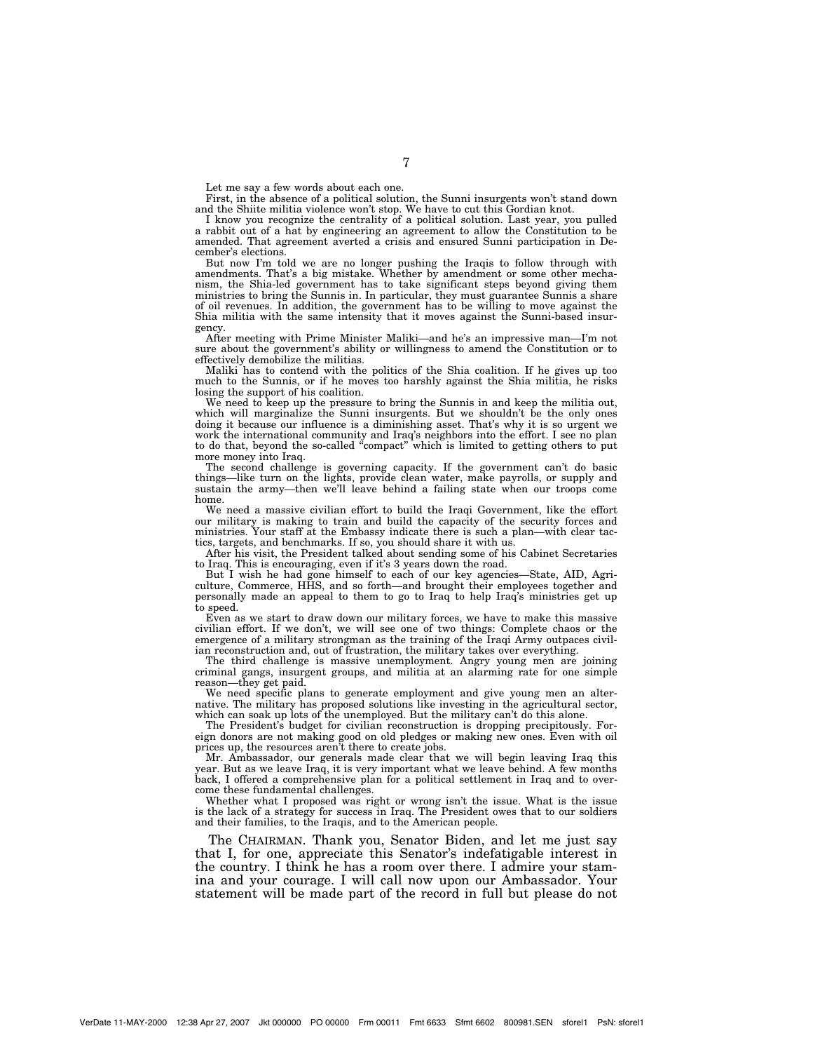Let me say a few words about each one.

First, in the absence of a political solution, the Sunni insurgents won't stand down and the Shiite militia violence won't stop. We have to cut this Gordian knot.

I know you recognize the centrality of a political solution. Last year, you pulled a rabbit out of a hat by engineering an agreement to allow the Constitution to be amended. That agreement averted a crisis and ensured Sunni participation in December's elections.

But now I'm told we are no longer pushing the Iraqis to follow through with amendments. That's a big mistake. Whether by amendment or some other mechanism, the Shia-led government has to take significant steps beyond giving them ministries to bring the Sunnis in. In particular, they must guarantee Sunnis a share of oil revenues. In addition, the government has to be willing to move against the Shia militia with the same intensity that it moves against the Sunni-based insurgency.

After meeting with Prime Minister Maliki—and he's an impressive man—I'm not sure about the government's ability or willingness to amend the Constitution or to effectively demobilize the militias.

Maliki has to contend with the politics of the Shia coalition. If he gives up too much to the Sunnis, or if he moves too harshly against the Shia militia, he risks losing the support of his coalition.

We need to keep up the pressure to bring the Sunnis in and keep the militia out, which will marginalize the Sunni insurgents. But we shouldn't be the only ones doing it because our influence is a diminishing asset. That's why it is so urgent we work the international community and Iraq's neighbors into the effort. I see no plan to do that, beyond the so-called ''compact'' which is limited to getting others to put more money into Iraq.

The second challenge is governing capacity. If the government can't do basic things—like turn on the lights, provide clean water, make payrolls, or supply and sustain the army—then we'll leave behind a failing state when our troops come home.

We need a massive civilian effort to build the Iraqi Government, like the effort our military is making to train and build the capacity of the security forces and ministries. Your staff at the Embassy indicate there is such a plan—with clear tactics, targets, and benchmarks. If so, you should share it with us.

After his visit, the President talked about sending some of his Cabinet Secretaries to Iraq. This is encouraging, even if it's 3 years down the road.

But I wish he had gone himself to each of our key agencies—State, AID, Agriculture, Commerce, HHS, and so forth—and brought their employees together and personally made an appeal to them to go to Iraq to help Iraq's ministries get up to speed.

Even as we start to draw down our military forces, we have to make this massive civilian effort. If we don't, we will see one of two things: Complete chaos or the emergence of a military strongman as the training of the Iraqi Army outpaces civilian reconstruction and, out of frustration, the military takes over everything.

The third challenge is massive unemployment. Angry young men are joining criminal gangs, insurgent groups, and militia at an alarming rate for one simple reason—they get paid.

We need specific plans to generate employment and give young men an alternative. The military has proposed solutions like investing in the agricultural sector, which can soak up lots of the unemployed. But the military can't do this alone.

The President's budget for civilian reconstruction is dropping precipitously. Foreign donors are not making good on old pledges or making new ones. Even with oil prices up, the resources aren't there to create jobs.

Mr. Ambassador, our generals made clear that we will begin leaving Iraq this year. But as we leave Iraq, it is very important what we leave behind. A few months back, I offered a comprehensive plan for a political settlement in Iraq and to overcome these fundamental challenges.

Whether what I proposed was right or wrong isn't the issue. What is the issue is the lack of a strategy for success in Iraq. The President owes that to our soldiers and their families, to the Iraqis, and to the American people.

The CHAIRMAN. Thank you, Senator Biden, and let me just say that I, for one, appreciate this Senator's indefatigable interest in the country. I think he has a room over there. I admire your stamina and your courage. I will call now upon our Ambassador. Your statement will be made part of the record in full but please do not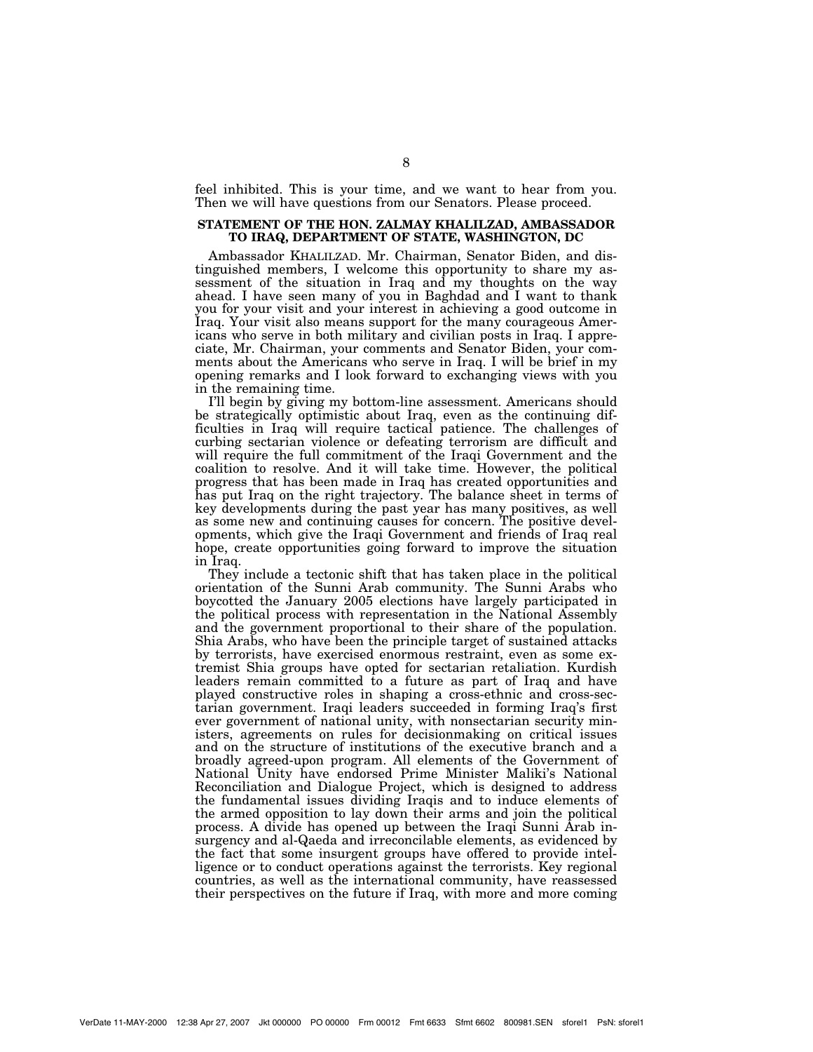feel inhibited. This is your time, and we want to hear from you. Then we will have questions from our Senators. Please proceed.

# **STATEMENT OF THE HON. ZALMAY KHALILZAD, AMBASSADOR TO IRAQ, DEPARTMENT OF STATE, WASHINGTON, DC**

Ambassador KHALILZAD. Mr. Chairman, Senator Biden, and distinguished members, I welcome this opportunity to share my assessment of the situation in Iraq and my thoughts on the way ahead. I have seen many of you in Baghdad and I want to thank you for your visit and your interest in achieving a good outcome in Iraq. Your visit also means support for the many courageous Americans who serve in both military and civilian posts in Iraq. I appreciate, Mr. Chairman, your comments and Senator Biden, your comments about the Americans who serve in Iraq. I will be brief in my opening remarks and I look forward to exchanging views with you in the remaining time.

I'll begin by giving my bottom-line assessment. Americans should be strategically optimistic about Iraq, even as the continuing difficulties in Iraq will require tactical patience. The challenges of curbing sectarian violence or defeating terrorism are difficult and will require the full commitment of the Iraqi Government and the coalition to resolve. And it will take time. However, the political progress that has been made in Iraq has created opportunities and has put Iraq on the right trajectory. The balance sheet in terms of key developments during the past year has many positives, as well as some new and continuing causes for concern. The positive developments, which give the Iraqi Government and friends of Iraq real hope, create opportunities going forward to improve the situation in Iraq.

They include a tectonic shift that has taken place in the political orientation of the Sunni Arab community. The Sunni Arabs who boycotted the January 2005 elections have largely participated in the political process with representation in the National Assembly and the government proportional to their share of the population. Shia Arabs, who have been the principle target of sustained attacks by terrorists, have exercised enormous restraint, even as some extremist Shia groups have opted for sectarian retaliation. Kurdish leaders remain committed to a future as part of Iraq and have played constructive roles in shaping a cross-ethnic and cross-sectarian government. Iraqi leaders succeeded in forming Iraq's first ever government of national unity, with nonsectarian security ministers, agreements on rules for decisionmaking on critical issues and on the structure of institutions of the executive branch and a broadly agreed-upon program. All elements of the Government of National Unity have endorsed Prime Minister Maliki's National Reconciliation and Dialogue Project, which is designed to address the fundamental issues dividing Iraqis and to induce elements of the armed opposition to lay down their arms and join the political process. A divide has opened up between the Iraqi Sunni Arab insurgency and al-Qaeda and irreconcilable elements, as evidenced by the fact that some insurgent groups have offered to provide intelligence or to conduct operations against the terrorists. Key regional countries, as well as the international community, have reassessed their perspectives on the future if Iraq, with more and more coming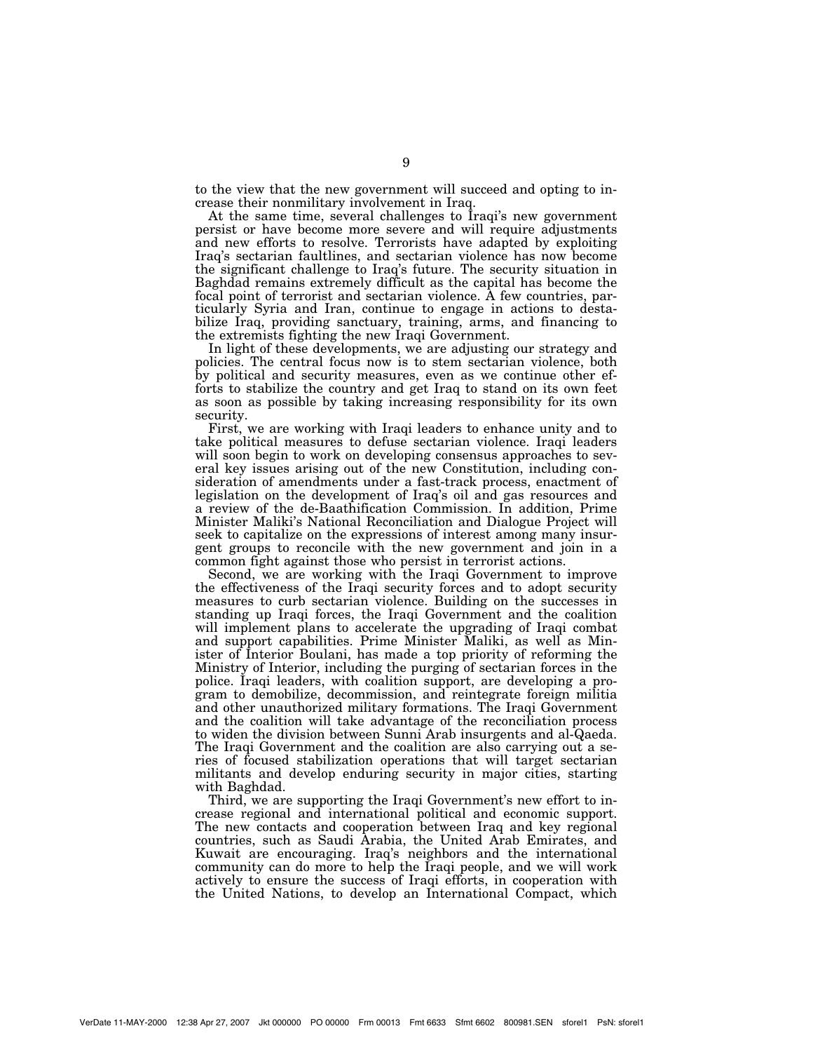to the view that the new government will succeed and opting to increase their nonmilitary involvement in Iraq.

At the same time, several challenges to Iraqi's new government persist or have become more severe and will require adjustments and new efforts to resolve. Terrorists have adapted by exploiting Iraq's sectarian faultlines, and sectarian violence has now become the significant challenge to Iraq's future. The security situation in Baghdad remains extremely difficult as the capital has become the focal point of terrorist and sectarian violence. A few countries, particularly Syria and Iran, continue to engage in actions to destabilize Iraq, providing sanctuary, training, arms, and financing to the extremists fighting the new Iraqi Government.

In light of these developments, we are adjusting our strategy and policies. The central focus now is to stem sectarian violence, both by political and security measures, even as we continue other efforts to stabilize the country and get Iraq to stand on its own feet as soon as possible by taking increasing responsibility for its own security.

First, we are working with Iraqi leaders to enhance unity and to take political measures to defuse sectarian violence. Iraqi leaders will soon begin to work on developing consensus approaches to several key issues arising out of the new Constitution, including consideration of amendments under a fast-track process, enactment of legislation on the development of Iraq's oil and gas resources and a review of the de-Baathification Commission. In addition, Prime Minister Maliki's National Reconciliation and Dialogue Project will seek to capitalize on the expressions of interest among many insurgent groups to reconcile with the new government and join in a common fight against those who persist in terrorist actions.

Second, we are working with the Iraqi Government to improve the effectiveness of the Iraqi security forces and to adopt security measures to curb sectarian violence. Building on the successes in standing up Iraqi forces, the Iraqi Government and the coalition will implement plans to accelerate the upgrading of Iraqi combat and support capabilities. Prime Minister Maliki, as well as Minister of Interior Boulani, has made a top priority of reforming the Ministry of Interior, including the purging of sectarian forces in the police. Iraqi leaders, with coalition support, are developing a program to demobilize, decommission, and reintegrate foreign militia and other unauthorized military formations. The Iraqi Government and the coalition will take advantage of the reconciliation process to widen the division between Sunni Arab insurgents and al-Qaeda. The Iraqi Government and the coalition are also carrying out a series of focused stabilization operations that will target sectarian militants and develop enduring security in major cities, starting with Baghdad.

Third, we are supporting the Iraqi Government's new effort to increase regional and international political and economic support. The new contacts and cooperation between Iraq and key regional countries, such as Saudi Arabia, the United Arab Emirates, and Kuwait are encouraging. Iraq's neighbors and the international community can do more to help the Iraqi people, and we will work actively to ensure the success of Iraqi efforts, in cooperation with the United Nations, to develop an International Compact, which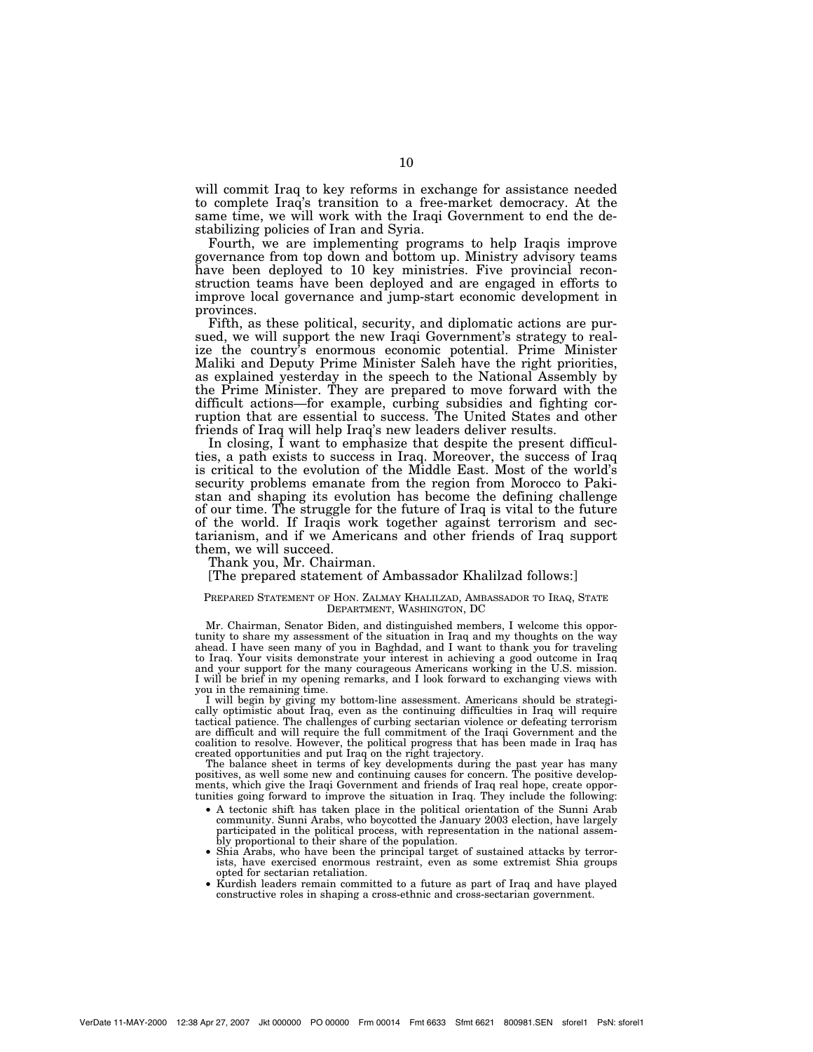will commit Iraq to key reforms in exchange for assistance needed to complete Iraq's transition to a free-market democracy. At the same time, we will work with the Iraqi Government to end the destabilizing policies of Iran and Syria.

Fourth, we are implementing programs to help Iraqis improve governance from top down and bottom up. Ministry advisory teams have been deployed to 10 key ministries. Five provincial reconstruction teams have been deployed and are engaged in efforts to improve local governance and jump-start economic development in provinces.

Fifth, as these political, security, and diplomatic actions are pursued, we will support the new Iraqi Government's strategy to realize the country's enormous economic potential. Prime Minister Maliki and Deputy Prime Minister Saleh have the right priorities, as explained yesterday in the speech to the National Assembly by the Prime Minister. They are prepared to move forward with the difficult actions—for example, curbing subsidies and fighting corruption that are essential to success. The United States and other friends of Iraq will help Iraq's new leaders deliver results.

In closing, I want to emphasize that despite the present difficulties, a path exists to success in Iraq. Moreover, the success of Iraq is critical to the evolution of the Middle East. Most of the world's security problems emanate from the region from Morocco to Pakistan and shaping its evolution has become the defining challenge of our time. The struggle for the future of Iraq is vital to the future of the world. If Iraqis work together against terrorism and sectarianism, and if we Americans and other friends of Iraq support them, we will succeed.

Thank you, Mr. Chairman.

# [The prepared statement of Ambassador Khalilzad follows:]

## PREPARED STATEMENT OF HON. ZALMAY KHALILZAD, AMBASSADOR TO IRAQ, STATE DEPARTMENT, WASHINGTON, DC

Mr. Chairman, Senator Biden, and distinguished members, I welcome this opportunity to share my assessment of the situation in Iraq and my thoughts on the way ahead. I have seen many of you in Baghdad, and I want to thank you for traveling to Iraq. Your visits demonstrate your interest in achieving a good outcome in Iraq and your support for the many courageous Americans working in the U.S. mission. I will be brief in my opening remarks, and I look forward to exchanging views with you in the remaining time.

I will begin by giving my bottom-line assessment. Americans should be strategically optimistic about Iraq, even as the continuing difficulties in Iraq will require tactical patience. The challenges of curbing sectarian violence or defeating terrorism are difficult and will require the full commitment of the Iraqi Government and the coalition to resolve. However, the political progress that has been made in Iraq has created opportunities and put Iraq on the right trajectory.

The balance sheet in terms of key developments during the past year has many positives, as well some new and continuing causes for concern. The positive developments, which give the Iraqi Government and friends of Iraq real hope, create opportunities going forward to improve the situation in Iraq. They include the following:

- A tectonic shift has taken place in the political orientation of the Sunni Arab community. Sunni Arabs, who boycotted the January 2003 election, have largely participated in the political process, with representation in the national assembly proportional to their share of the population.
- Shia Arabs, who have been the principal target of sustained attacks by terrorists, have exercised enormous restraint, even as some extremist Shia groups opted for sectarian retaliation.
- Kurdish leaders remain committed to a future as part of Iraq and have played constructive roles in shaping a cross-ethnic and cross-sectarian government.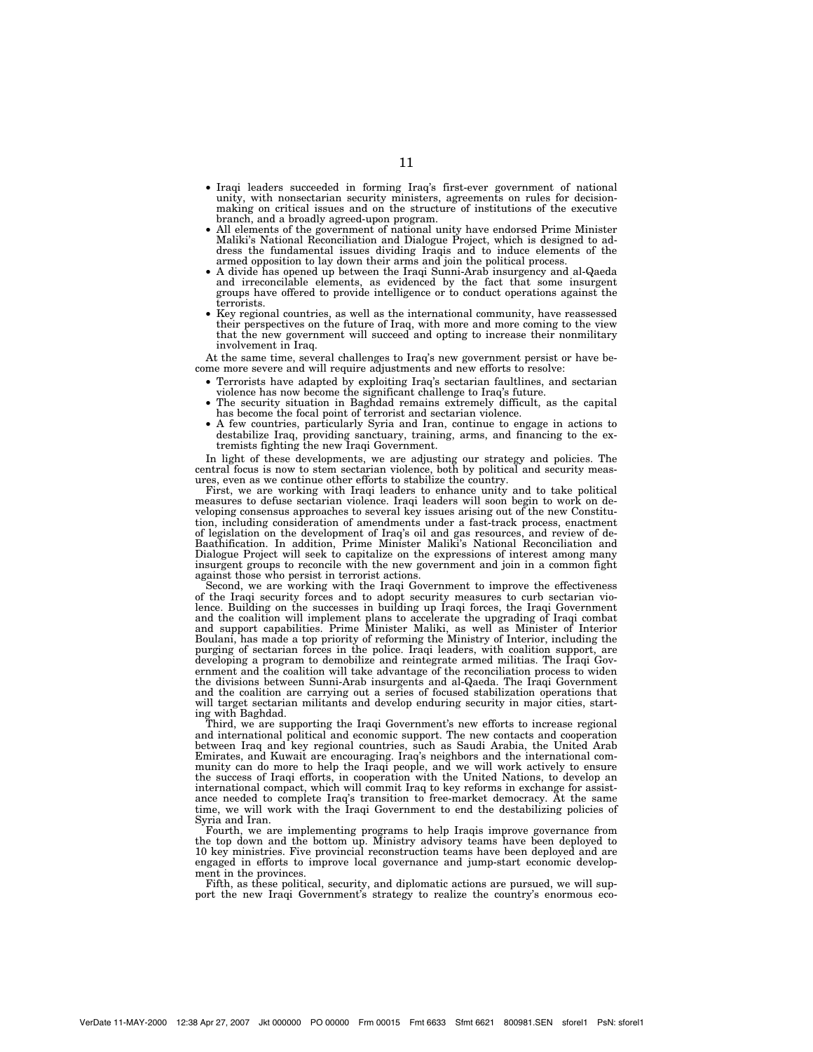- Iraqi leaders succeeded in forming Iraq's first-ever government of national unity, with nonsectarian security ministers, agreements on rules for decisionmaking on critical issues and on the structure of institutions of the executive
- All elements of the government of national unity have endorsed Prime Minister Maliki's National Reconciliation and Dialogue Project, which is designed to address the fundamental issues dividing Iraqis and to induce elements of the armed opposition to lay down their arms and join the political process.
- A divide has opened up between the Iraqi Sunni-Arab insurgency and al-Qaeda and irreconcilable elements, as evidenced by the fact that some insurgent groups have offered to provide intelligence or to conduct operations against the terrorists. • Key regional countries, as well as the international community, have reassessed
- their perspectives on the future of Iraq, with more and more coming to the view that the new government will succeed and opting to increase their nonmilitary involvement in Iraq.

At the same time, several challenges to Iraq's new government persist or have become more severe and will require adjustments and new efforts to resolve:

- Terrorists have adapted by exploiting Iraq's sectarian faultlines, and sectarian
- The security situation in Baghdad remains extremely difficult, as the capital has become the focal point of terrorist and sectarian violence.
- A few countries, particularly Syria and Iran, continue to engage in actions to destabilize Iraq, providing sanctuary, training, arms, and financing to the extremists fighting the new Iraqi Government.

In light of these developments, we are adjusting our strategy and policies. The central focus is now to stem sectarian violence, both by political and security measures, even as we continue other efforts to stabilize the country.

First, we are working with Iraqi leaders to enhance unity and to take political measures to defuse sectarian violence. Iraqi leaders will soon begin to work on developing consensus approaches to several key issues arising out of the new Constitution, including consideration of amendments under a fast-track process, enactment of legislation on the development of Iraq's oil and gas resources, and review of de-Baathification. In addition, Prime Minister Maliki's National Reconciliation and Dialogue Project will seek to capitalize on the expressions of interest among many insurgent groups to reconcile with the new government and join in a common fight against those who persist in terrorist actions.

Second, we are working with the Iraqi Government to improve the effectiveness of the Iraqi security forces and to adopt security measures to curb sectarian violence. Building on the successes in building up Iraqi forces, the Iraqi Government and the coalition will implement plans to accelerate the upgrading of Iraqi combat and support capabilities. Prime Minister Maliki, as well as Minister of Interior Boulani, has made a top priority of reforming the Ministry of Interior, including the purging of sectarian forces in the police. Iraqi leaders, with coalition support, are developing a program to demobilize and reintegrate armed militias. The Iraqi Government and the coalition will take advantage of the reconciliation process to widen the divisions between Sunni-Arab insurgents and al-Qaeda. The Iraqi Government and the coalition are carrying out a series of focused stabilization operations that will target sectarian militants and develop enduring security in major cities, starting with Baghdad.

Third, we are supporting the Iraqi Government's new efforts to increase regional and international political and economic support. The new contacts and cooperation between Iraq and key regional countries, such as Saudi Arabia, the United Arab Emirates, and Kuwait are encouraging. Iraq's neighbors and the international community can do more to help the Iraqi people, and we will work actively to ensure the success of Iraqi efforts, in cooperation with the United Nations, to develop an international compact, which will commit Iraq to key reforms in exchange for assistance needed to complete Iraq's transition to free-market democracy. At the same time, we will work with the Iraqi Government to end the destabilizing policies of Syria and Iran.

Fourth, we are implementing programs to help Iraqis improve governance from the top down and the bottom up. Ministry advisory teams have been deployed to 10 key ministries. Five provincial reconstruction teams have been deployed and are engaged in efforts to improve local governance and jump-start economic development in the provinces.

Fifth, as these political, security, and diplomatic actions are pursued, we will support the new Iraqi Government's strategy to realize the country's enormous eco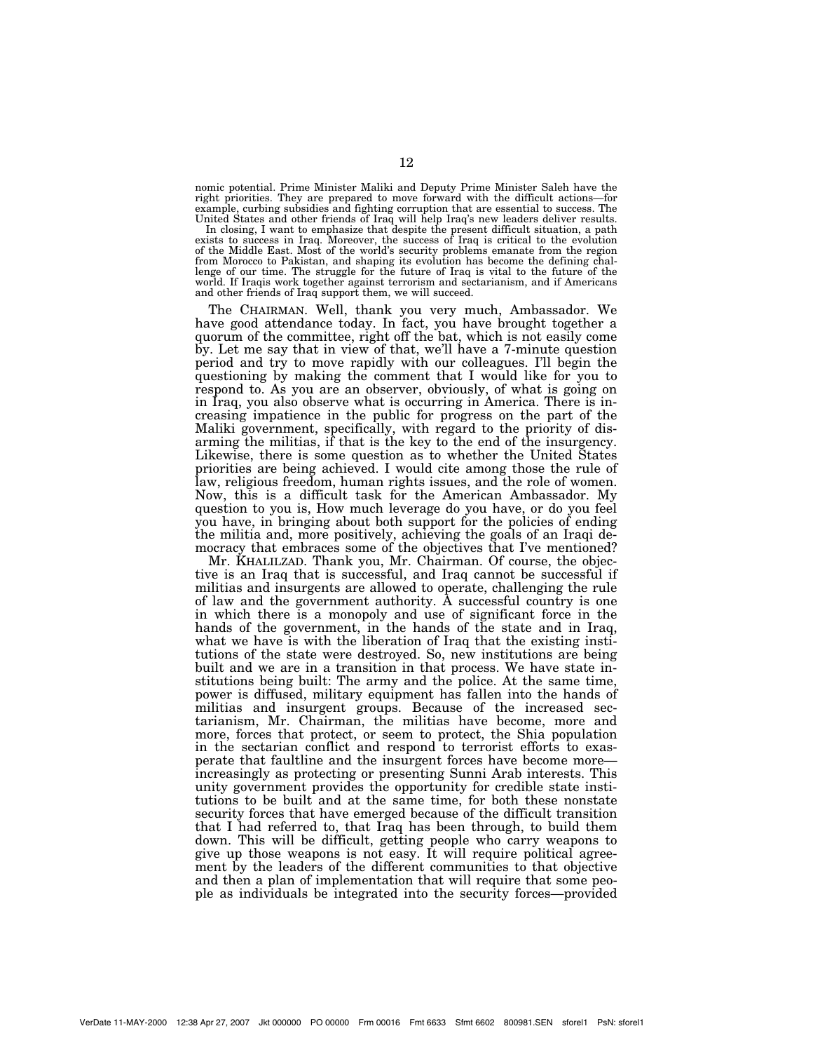nomic potential. Prime Minister Maliki and Deputy Prime Minister Saleh have the right priorities. They are prepared to move forward with the difficult actions—for example, curbing subsidies and fighting corruption that are essential to success. The United States and other friends of Iraq will help Iraq's new leaders deliver results.

In closing, I want to emphasize that despite the present difficult situation, a path exists to success in Iraq. Moreover, the success of Iraq is critical to the evolution of the Middle East. Most of the world's security problems emanate from the region from Morocco to Pakistan, and shaping its evolution has become the defining chal-lenge of our time. The struggle for the future of Iraq is vital to the future of the world. If Iraqis work together against terrorism and sectarianism, and if Americans and other friends of Iraq support them, we will succeed.

The CHAIRMAN. Well, thank you very much, Ambassador. We have good attendance today. In fact, you have brought together a quorum of the committee, right off the bat, which is not easily come by. Let me say that in view of that, we'll have a 7-minute question period and try to move rapidly with our colleagues. I'll begin the questioning by making the comment that I would like for you to respond to. As you are an observer, obviously, of what is going on in Iraq, you also observe what is occurring in America. There is increasing impatience in the public for progress on the part of the Maliki government, specifically, with regard to the priority of disarming the militias, if that is the key to the end of the insurgency. Likewise, there is some question as to whether the United States priorities are being achieved. I would cite among those the rule of law, religious freedom, human rights issues, and the role of women. Now, this is a difficult task for the American Ambassador. My question to you is, How much leverage do you have, or do you feel you have, in bringing about both support for the policies of ending the militia and, more positively, achieving the goals of an Iraqi democracy that embraces some of the objectives that I've mentioned?

Mr. KHALILZAD. Thank you, Mr. Chairman. Of course, the objective is an Iraq that is successful, and Iraq cannot be successful if militias and insurgents are allowed to operate, challenging the rule of law and the government authority. A successful country is one in which there is a monopoly and use of significant force in the hands of the government, in the hands of the state and in Iraq, what we have is with the liberation of Iraq that the existing institutions of the state were destroyed. So, new institutions are being built and we are in a transition in that process. We have state institutions being built: The army and the police. At the same time, power is diffused, military equipment has fallen into the hands of militias and insurgent groups. Because of the increased sectarianism, Mr. Chairman, the militias have become, more and more, forces that protect, or seem to protect, the Shia population in the sectarian conflict and respond to terrorist efforts to exasperate that faultline and the insurgent forces have become more increasingly as protecting or presenting Sunni Arab interests. This unity government provides the opportunity for credible state institutions to be built and at the same time, for both these nonstate security forces that have emerged because of the difficult transition that I had referred to, that Iraq has been through, to build them down. This will be difficult, getting people who carry weapons to give up those weapons is not easy. It will require political agreement by the leaders of the different communities to that objective and then a plan of implementation that will require that some people as individuals be integrated into the security forces—provided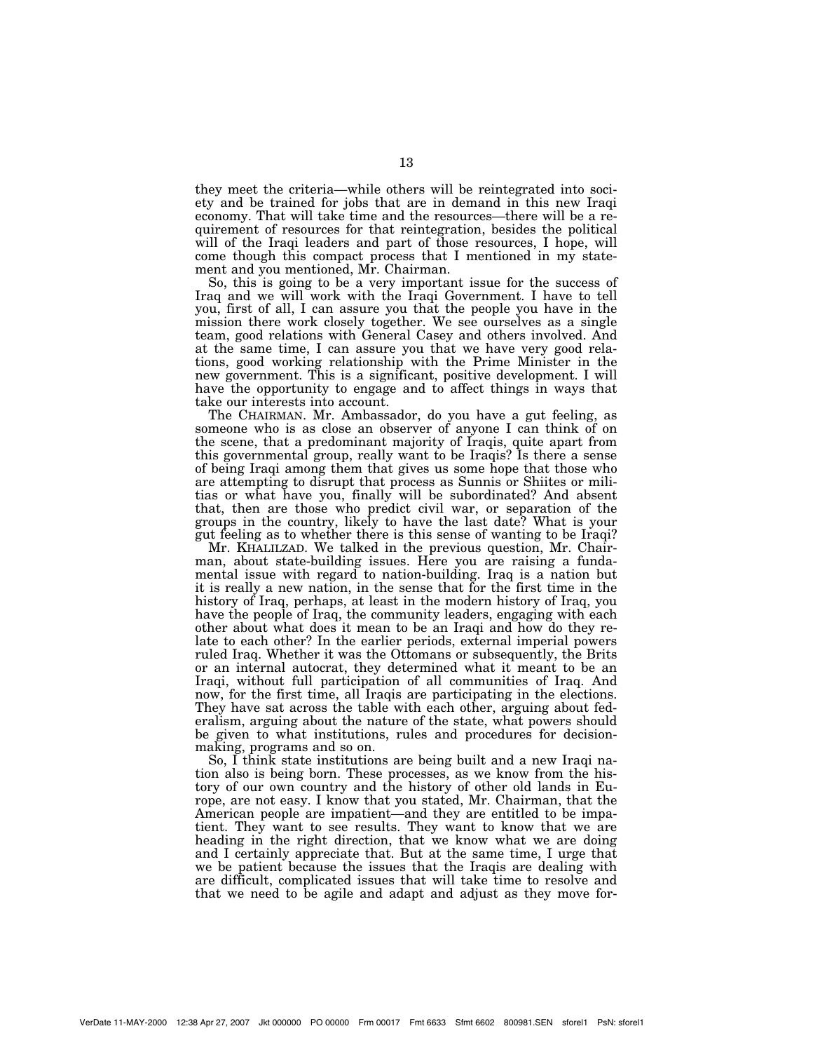they meet the criteria—while others will be reintegrated into society and be trained for jobs that are in demand in this new Iraqi economy. That will take time and the resources—there will be a requirement of resources for that reintegration, besides the political will of the Iraqi leaders and part of those resources, I hope, will come though this compact process that I mentioned in my statement and you mentioned, Mr. Chairman.

So, this is going to be a very important issue for the success of Iraq and we will work with the Iraqi Government. I have to tell you, first of all, I can assure you that the people you have in the mission there work closely together. We see ourselves as a single team, good relations with General Casey and others involved. And at the same time, I can assure you that we have very good relations, good working relationship with the Prime Minister in the new government. This is a significant, positive development. I will have the opportunity to engage and to affect things in ways that take our interests into account.

The CHAIRMAN. Mr. Ambassador, do you have a gut feeling, as someone who is as close an observer of anyone I can think of on the scene, that a predominant majority of Iraqis, quite apart from this governmental group, really want to be Iraqis? Is there a sense of being Iraqi among them that gives us some hope that those who are attempting to disrupt that process as Sunnis or Shiites or militias or what have you, finally will be subordinated? And absent that, then are those who predict civil war, or separation of the groups in the country, likely to have the last date? What is your gut feeling as to whether there is this sense of wanting to be Iraqi?

Mr. KHALILZAD. We talked in the previous question, Mr. Chairman, about state-building issues. Here you are raising a fundamental issue with regard to nation-building. Iraq is a nation but it is really a new nation, in the sense that for the first time in the history of Iraq, perhaps, at least in the modern history of Iraq, you have the people of Iraq, the community leaders, engaging with each other about what does it mean to be an Iraqi and how do they relate to each other? In the earlier periods, external imperial powers ruled Iraq. Whether it was the Ottomans or subsequently, the Brits or an internal autocrat, they determined what it meant to be an Iraqi, without full participation of all communities of Iraq. And now, for the first time, all Iraqis are participating in the elections. They have sat across the table with each other, arguing about federalism, arguing about the nature of the state, what powers should be given to what institutions, rules and procedures for decisionmaking, programs and so on.

So, I think state institutions are being built and a new Iraqi nation also is being born. These processes, as we know from the history of our own country and the history of other old lands in Europe, are not easy. I know that you stated, Mr. Chairman, that the American people are impatient—and they are entitled to be impatient. They want to see results. They want to know that we are heading in the right direction, that we know what we are doing and I certainly appreciate that. But at the same time, I urge that we be patient because the issues that the Iraqis are dealing with are difficult, complicated issues that will take time to resolve and that we need to be agile and adapt and adjust as they move for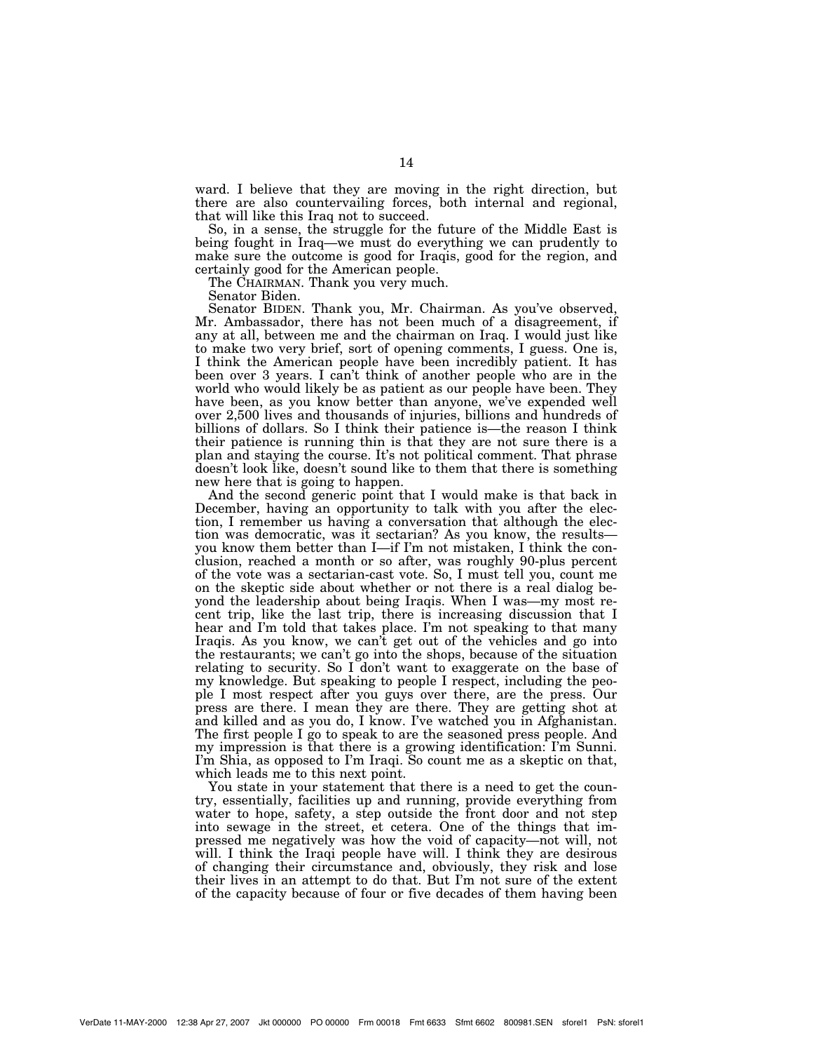ward. I believe that they are moving in the right direction, but there are also countervailing forces, both internal and regional, that will like this Iraq not to succeed.

So, in a sense, the struggle for the future of the Middle East is being fought in Iraq—we must do everything we can prudently to make sure the outcome is good for Iraqis, good for the region, and certainly good for the American people.

The CHAIRMAN. Thank you very much.

Senator Biden.

Senator BIDEN. Thank you, Mr. Chairman. As you've observed, Mr. Ambassador, there has not been much of a disagreement, if any at all, between me and the chairman on Iraq. I would just like to make two very brief, sort of opening comments, I guess. One is, I think the American people have been incredibly patient. It has been over 3 years. I can't think of another people who are in the world who would likely be as patient as our people have been. They have been, as you know better than anyone, we've expended well over 2,500 lives and thousands of injuries, billions and hundreds of billions of dollars. So I think their patience is—the reason I think their patience is running thin is that they are not sure there is a plan and staying the course. It's not political comment. That phrase doesn't look like, doesn't sound like to them that there is something new here that is going to happen.

And the second generic point that I would make is that back in December, having an opportunity to talk with you after the election, I remember us having a conversation that although the election was democratic, was it sectarian? As you know, the results you know them better than I—if I'm not mistaken, I think the conclusion, reached a month or so after, was roughly 90-plus percent of the vote was a sectarian-cast vote. So, I must tell you, count me on the skeptic side about whether or not there is a real dialog beyond the leadership about being Iraqis. When I was—my most recent trip, like the last trip, there is increasing discussion that I hear and I'm told that takes place. I'm not speaking to that many Iraqis. As you know, we can't get out of the vehicles and go into the restaurants; we can't go into the shops, because of the situation relating to security. So I don't want to exaggerate on the base of my knowledge. But speaking to people I respect, including the people I most respect after you guys over there, are the press. Our press are there. I mean they are there. They are getting shot at and killed and as you do, I know. I've watched you in Afghanistan. The first people I go to speak to are the seasoned press people. And my impression is that there is a growing identification: I'm Sunni. I'm Shia, as opposed to I'm Iraqi. So count me as a skeptic on that, which leads me to this next point.

You state in your statement that there is a need to get the country, essentially, facilities up and running, provide everything from water to hope, safety, a step outside the front door and not step into sewage in the street, et cetera. One of the things that impressed me negatively was how the void of capacity—not will, not will. I think the Iraqi people have will. I think they are desirous of changing their circumstance and, obviously, they risk and lose their lives in an attempt to do that. But I'm not sure of the extent of the capacity because of four or five decades of them having been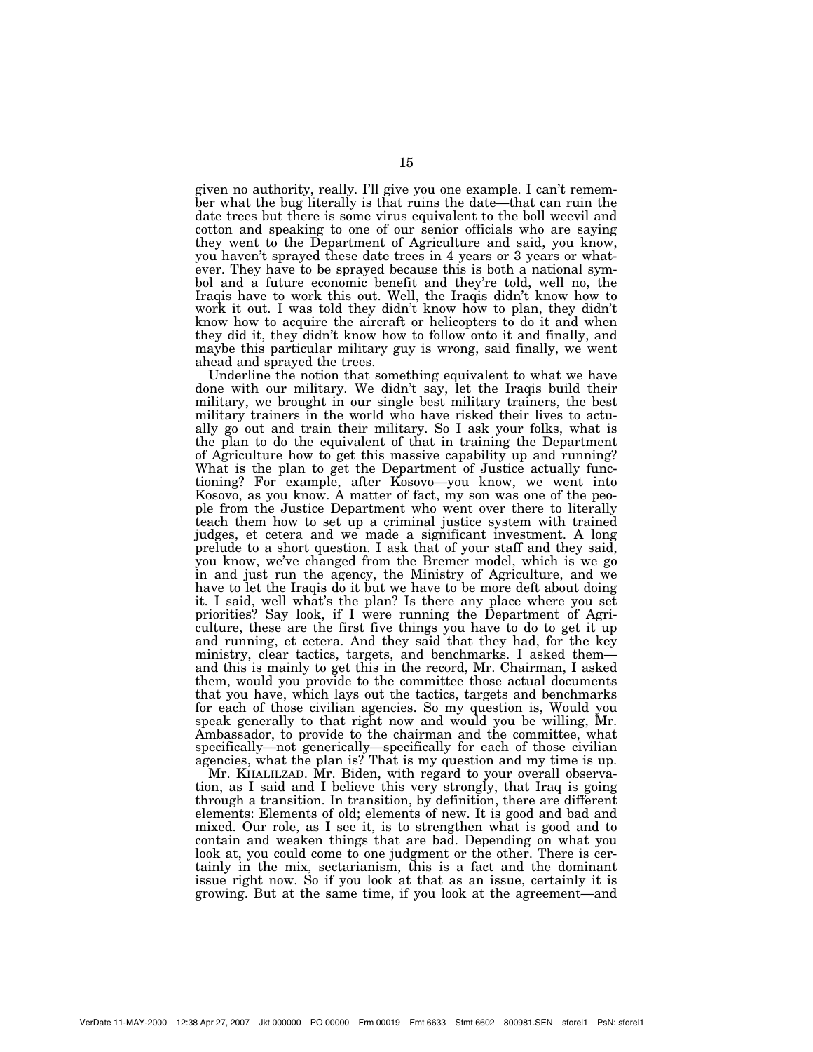given no authority, really. I'll give you one example. I can't remember what the bug literally is that ruins the date—that can ruin the date trees but there is some virus equivalent to the boll weevil and cotton and speaking to one of our senior officials who are saying they went to the Department of Agriculture and said, you know, you haven't sprayed these date trees in 4 years or 3 years or whatever. They have to be sprayed because this is both a national symbol and a future economic benefit and they're told, well no, the Iraqis have to work this out. Well, the Iraqis didn't know how to work it out. I was told they didn't know how to plan, they didn't know how to acquire the aircraft or helicopters to do it and when they did it, they didn't know how to follow onto it and finally, and maybe this particular military guy is wrong, said finally, we went ahead and sprayed the trees.

Underline the notion that something equivalent to what we have done with our military. We didn't say, let the Iraqis build their military, we brought in our single best military trainers, the best military trainers in the world who have risked their lives to actually go out and train their military. So I ask your folks, what is the plan to do the equivalent of that in training the Department of Agriculture how to get this massive capability up and running? What is the plan to get the Department of Justice actually functioning? For example, after Kosovo—you know, we went into Kosovo, as you know. A matter of fact, my son was one of the people from the Justice Department who went over there to literally teach them how to set up a criminal justice system with trained judges, et cetera and we made a significant investment. A long prelude to a short question. I ask that of your staff and they said, you know, we've changed from the Bremer model, which is we go in and just run the agency, the Ministry of Agriculture, and we have to let the Iraqis do it but we have to be more deft about doing it. I said, well what's the plan? Is there any place where you set priorities? Say look, if I were running the Department of Agriculture, these are the first five things you have to do to get it up and running, et cetera. And they said that they had, for the key ministry, clear tactics, targets, and benchmarks. I asked them and this is mainly to get this in the record, Mr. Chairman, I asked them, would you provide to the committee those actual documents that you have, which lays out the tactics, targets and benchmarks for each of those civilian agencies. So my question is, Would you speak generally to that right now and would you be willing, Mr. Ambassador, to provide to the chairman and the committee, what specifically—not generically—specifically for each of those civilian agencies, what the plan is? That is my question and my time is up.

Mr. KHALILZAD. Mr. Biden, with regard to your overall observation, as I said and I believe this very strongly, that Iraq is going through a transition. In transition, by definition, there are different elements: Elements of old; elements of new. It is good and bad and mixed. Our role, as I see it, is to strengthen what is good and to contain and weaken things that are bad. Depending on what you look at, you could come to one judgment or the other. There is certainly in the mix, sectarianism, this is a fact and the dominant issue right now. So if you look at that as an issue, certainly it is growing. But at the same time, if you look at the agreement—and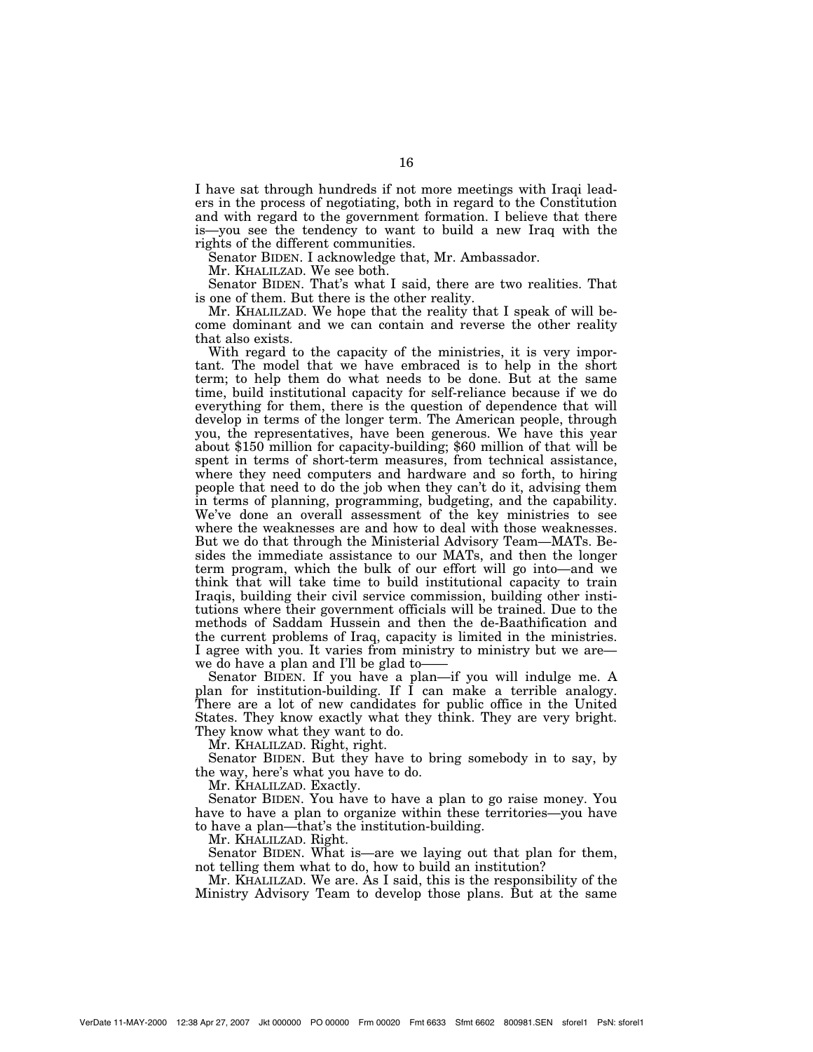I have sat through hundreds if not more meetings with Iraqi leaders in the process of negotiating, both in regard to the Constitution and with regard to the government formation. I believe that there is—you see the tendency to want to build a new Iraq with the rights of the different communities.

Senator BIDEN. I acknowledge that, Mr. Ambassador.

Mr. KHALILZAD. We see both.

Senator BIDEN. That's what I said, there are two realities. That is one of them. But there is the other reality.

Mr. KHALILZAD. We hope that the reality that I speak of will become dominant and we can contain and reverse the other reality that also exists.

With regard to the capacity of the ministries, it is very important. The model that we have embraced is to help in the short term; to help them do what needs to be done. But at the same time, build institutional capacity for self-reliance because if we do everything for them, there is the question of dependence that will develop in terms of the longer term. The American people, through you, the representatives, have been generous. We have this year about \$150 million for capacity-building; \$60 million of that will be spent in terms of short-term measures, from technical assistance, where they need computers and hardware and so forth, to hiring people that need to do the job when they can't do it, advising them in terms of planning, programming, budgeting, and the capability. We've done an overall assessment of the key ministries to see where the weaknesses are and how to deal with those weaknesses. But we do that through the Ministerial Advisory Team—MATs. Besides the immediate assistance to our MATs, and then the longer term program, which the bulk of our effort will go into—and we think that will take time to build institutional capacity to train Iraqis, building their civil service commission, building other institutions where their government officials will be trained. Due to the methods of Saddam Hussein and then the de-Baathification and the current problems of Iraq, capacity is limited in the ministries. I agree with you. It varies from ministry to ministry but we are we do have a plan and I'll be glad to-

Senator BIDEN. If you have a plan—if you will indulge me. A plan for institution-building. If I can make a terrible analogy. There are a lot of new candidates for public office in the United States. They know exactly what they think. They are very bright. They know what they want to do.

Mr. KHALILZAD. Right, right.

Senator BIDEN. But they have to bring somebody in to say, by the way, here's what you have to do.

Mr. KHALILZAD. Exactly.

Senator BIDEN. You have to have a plan to go raise money. You have to have a plan to organize within these territories—you have to have a plan—that's the institution-building.

Mr. KHALILZAD. Right.

Senator BIDEN. What is—are we laying out that plan for them, not telling them what to do, how to build an institution?

Mr. KHALILZAD. We are. As I said, this is the responsibility of the Ministry Advisory Team to develop those plans. But at the same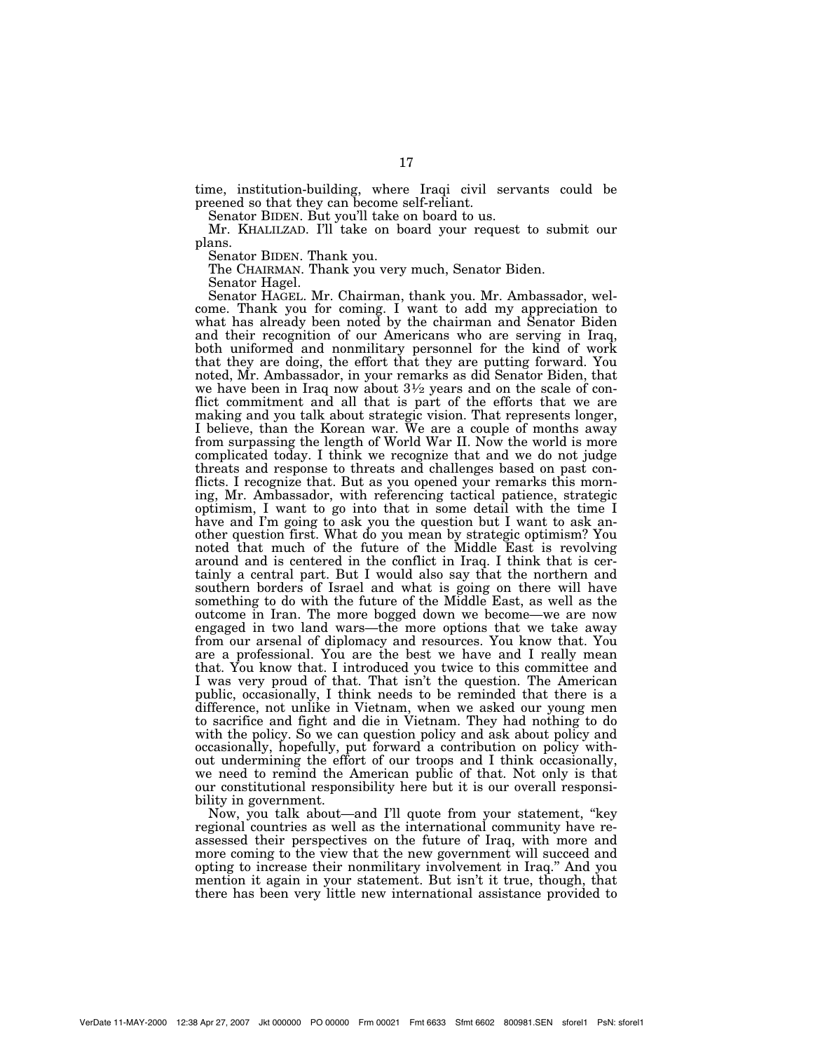time, institution-building, where Iraqi civil servants could be preened so that they can become self-reliant.

Senator BIDEN. But you'll take on board to us.

Mr. KHALILZAD. I'll take on board your request to submit our plans.

Senator BIDEN. Thank you.

The CHAIRMAN. Thank you very much, Senator Biden.

Senator Hagel.

Senator HAGEL. Mr. Chairman, thank you. Mr. Ambassador, welcome. Thank you for coming. I want to add my appreciation to what has already been noted by the chairman and Senator Biden and their recognition of our Americans who are serving in Iraq, both uniformed and nonmilitary personnel for the kind of work that they are doing, the effort that they are putting forward. You noted, Mr. Ambassador, in your remarks as did Senator Biden, that we have been in Iraq now about  $3\frac{1}{2}$  years and on the scale of conflict commitment and all that is part of the efforts that we are making and you talk about strategic vision. That represents longer, I believe, than the Korean war. We are a couple of months away from surpassing the length of World War II. Now the world is more complicated today. I think we recognize that and we do not judge threats and response to threats and challenges based on past conflicts. I recognize that. But as you opened your remarks this morning, Mr. Ambassador, with referencing tactical patience, strategic optimism, I want to go into that in some detail with the time I have and I'm going to ask you the question but I want to ask another question first. What do you mean by strategic optimism? You noted that much of the future of the Middle East is revolving around and is centered in the conflict in Iraq. I think that is certainly a central part. But I would also say that the northern and southern borders of Israel and what is going on there will have something to do with the future of the Middle East, as well as the outcome in Iran. The more bogged down we become—we are now engaged in two land wars—the more options that we take away from our arsenal of diplomacy and resources. You know that. You are a professional. You are the best we have and I really mean that. You know that. I introduced you twice to this committee and I was very proud of that. That isn't the question. The American public, occasionally, I think needs to be reminded that there is a difference, not unlike in Vietnam, when we asked our young men to sacrifice and fight and die in Vietnam. They had nothing to do with the policy. So we can question policy and ask about policy and occasionally, hopefully, put forward a contribution on policy without undermining the effort of our troops and I think occasionally, we need to remind the American public of that. Not only is that our constitutional responsibility here but it is our overall responsibility in government.

Now, you talk about—and I'll quote from your statement, ''key regional countries as well as the international community have reassessed their perspectives on the future of Iraq, with more and more coming to the view that the new government will succeed and opting to increase their nonmilitary involvement in Iraq.'' And you mention it again in your statement. But isn't it true, though, that there has been very little new international assistance provided to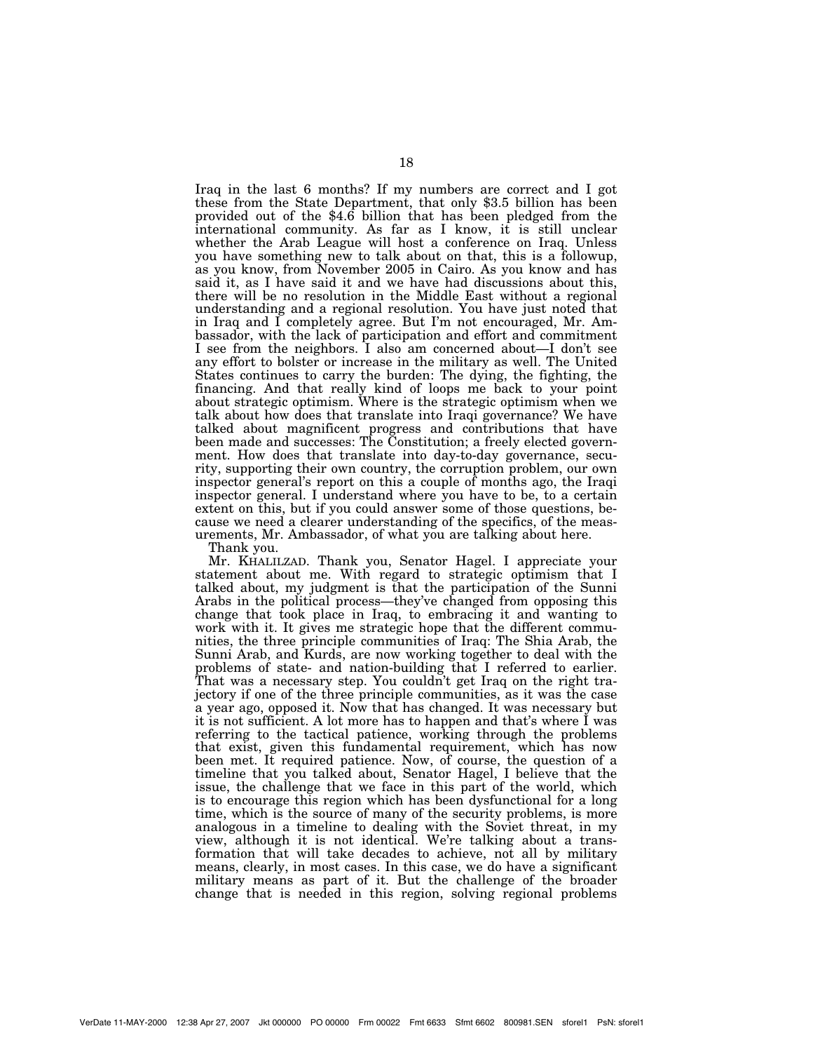Iraq in the last 6 months? If my numbers are correct and I got these from the State Department, that only \$3.5 billion has been provided out of the \$4.6 billion that has been pledged from the international community. As far as I know, it is still unclear whether the Arab League will host a conference on Iraq. Unless you have something new to talk about on that, this is a followup, as you know, from November 2005 in Cairo. As you know and has said it, as I have said it and we have had discussions about this, there will be no resolution in the Middle East without a regional understanding and a regional resolution. You have just noted that in Iraq and I completely agree. But I'm not encouraged, Mr. Ambassador, with the lack of participation and effort and commitment I see from the neighbors. I also am concerned about—I don't see any effort to bolster or increase in the military as well. The United States continues to carry the burden: The dying, the fighting, the financing. And that really kind of loops me back to your point about strategic optimism. Where is the strategic optimism when we talk about how does that translate into Iraqi governance? We have talked about magnificent progress and contributions that have been made and successes: The Constitution; a freely elected government. How does that translate into day-to-day governance, security, supporting their own country, the corruption problem, our own inspector general's report on this a couple of months ago, the Iraqi inspector general. I understand where you have to be, to a certain extent on this, but if you could answer some of those questions, because we need a clearer understanding of the specifics, of the measurements, Mr. Ambassador, of what you are talking about here.

Thank you.

Mr. KHALILZAD. Thank you, Senator Hagel. I appreciate your statement about me. With regard to strategic optimism that I talked about, my judgment is that the participation of the Sunni Arabs in the political process—they've changed from opposing this change that took place in Iraq, to embracing it and wanting to work with it. It gives me strategic hope that the different communities, the three principle communities of Iraq: The Shia Arab, the Sunni Arab, and Kurds, are now working together to deal with the problems of state- and nation-building that I referred to earlier. That was a necessary step. You couldn't get Iraq on the right trajectory if one of the three principle communities, as it was the case a year ago, opposed it. Now that has changed. It was necessary but it is not sufficient. A lot more has to happen and that's where I was referring to the tactical patience, working through the problems that exist, given this fundamental requirement, which has now been met. It required patience. Now, of course, the question of a timeline that you talked about, Senator Hagel, I believe that the issue, the challenge that we face in this part of the world, which is to encourage this region which has been dysfunctional for a long time, which is the source of many of the security problems, is more analogous in a timeline to dealing with the Soviet threat, in my view, although it is not identical. We're talking about a transformation that will take decades to achieve, not all by military means, clearly, in most cases. In this case, we do have a significant military means as part of it. But the challenge of the broader change that is needed in this region, solving regional problems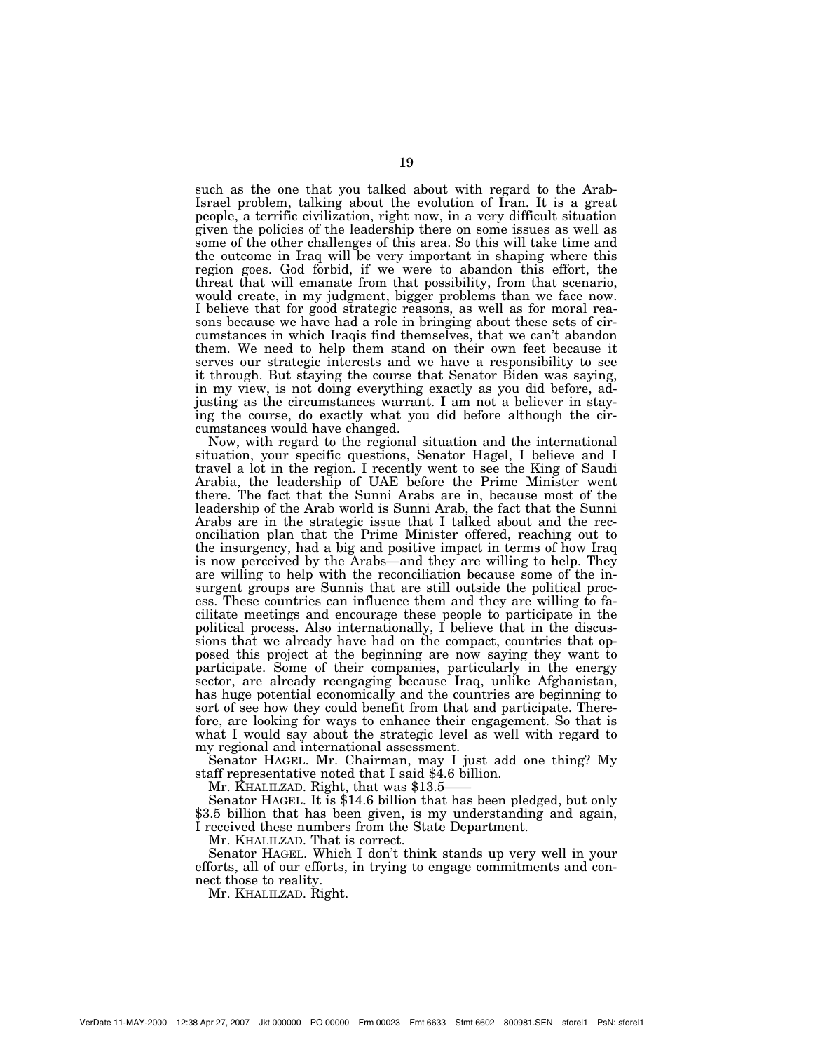such as the one that you talked about with regard to the Arab-Israel problem, talking about the evolution of Iran. It is a great people, a terrific civilization, right now, in a very difficult situation given the policies of the leadership there on some issues as well as some of the other challenges of this area. So this will take time and the outcome in Iraq will be very important in shaping where this region goes. God forbid, if we were to abandon this effort, the threat that will emanate from that possibility, from that scenario, would create, in my judgment, bigger problems than we face now. I believe that for good strategic reasons, as well as for moral reasons because we have had a role in bringing about these sets of circumstances in which Iraqis find themselves, that we can't abandon them. We need to help them stand on their own feet because it serves our strategic interests and we have a responsibility to see it through. But staying the course that Senator Biden was saying, in my view, is not doing everything exactly as you did before, adjusting as the circumstances warrant. I am not a believer in staying the course, do exactly what you did before although the circumstances would have changed.

Now, with regard to the regional situation and the international situation, your specific questions, Senator Hagel, I believe and I travel a lot in the region. I recently went to see the King of Saudi Arabia, the leadership of UAE before the Prime Minister went there. The fact that the Sunni Arabs are in, because most of the leadership of the Arab world is Sunni Arab, the fact that the Sunni Arabs are in the strategic issue that I talked about and the reconciliation plan that the Prime Minister offered, reaching out to the insurgency, had a big and positive impact in terms of how Iraq is now perceived by the Arabs—and they are willing to help. They are willing to help with the reconciliation because some of the insurgent groups are Sunnis that are still outside the political process. These countries can influence them and they are willing to facilitate meetings and encourage these people to participate in the political process. Also internationally, I believe that in the discussions that we already have had on the compact, countries that opposed this project at the beginning are now saying they want to participate. Some of their companies, particularly in the energy sector, are already reengaging because Iraq, unlike Afghanistan, has huge potential economically and the countries are beginning to sort of see how they could benefit from that and participate. Therefore, are looking for ways to enhance their engagement. So that is what I would say about the strategic level as well with regard to my regional and international assessment.

Senator HAGEL. Mr. Chairman, may I just add one thing? My staff representative noted that I said \$4.6 billion.

Mr. KHALILZAD. Right, that was \$13.5

Senator HAGEL. It is \$14.6 billion that has been pledged, but only \$3.5 billion that has been given, is my understanding and again, I received these numbers from the State Department.

Mr. KHALILZAD. That is correct.

Senator HAGEL. Which I don't think stands up very well in your efforts, all of our efforts, in trying to engage commitments and connect those to reality.

Mr. KHALILZAD. Right.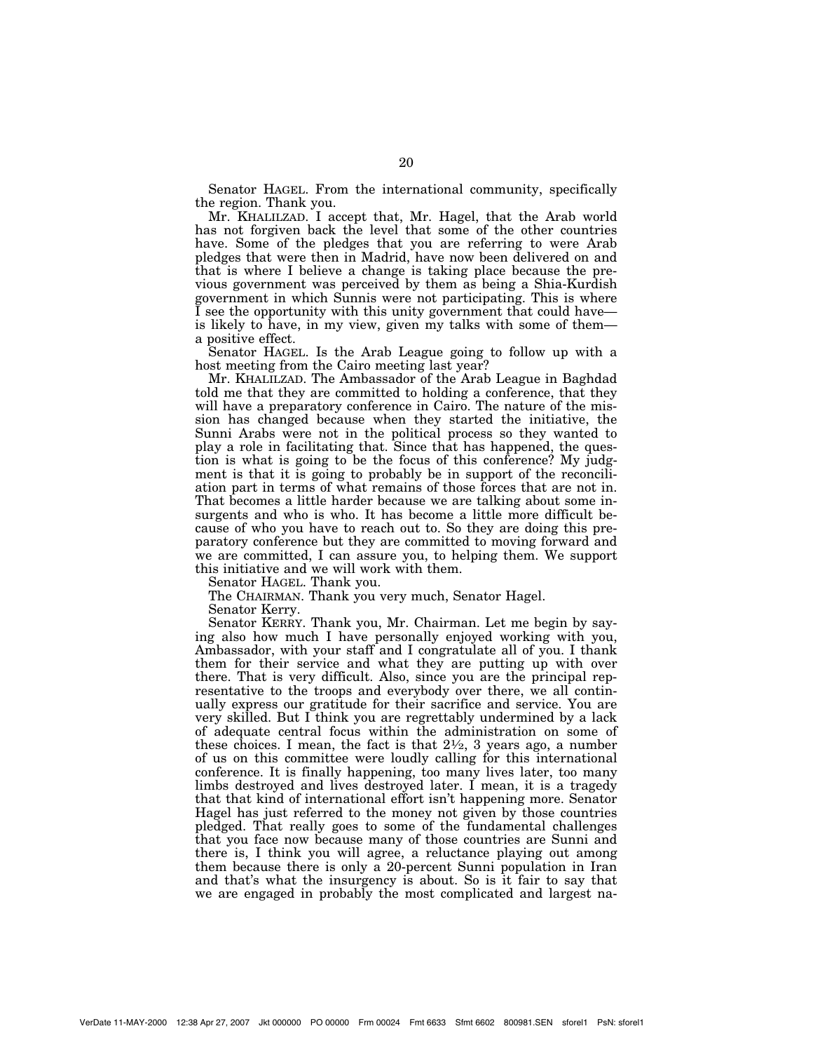Senator HAGEL. From the international community, specifically the region. Thank you.

Mr. KHALILZAD. I accept that, Mr. Hagel, that the Arab world has not forgiven back the level that some of the other countries have. Some of the pledges that you are referring to were Arab pledges that were then in Madrid, have now been delivered on and that is where I believe a change is taking place because the previous government was perceived by them as being a Shia-Kurdish government in which Sunnis were not participating. This is where I see the opportunity with this unity government that could have is likely to have, in my view, given my talks with some of them a positive effect.

Senator HAGEL. Is the Arab League going to follow up with a host meeting from the Cairo meeting last year?

Mr. KHALILZAD. The Ambassador of the Arab League in Baghdad told me that they are committed to holding a conference, that they will have a preparatory conference in Cairo. The nature of the mission has changed because when they started the initiative, the Sunni Arabs were not in the political process so they wanted to play a role in facilitating that. Since that has happened, the question is what is going to be the focus of this conference? My judgment is that it is going to probably be in support of the reconciliation part in terms of what remains of those forces that are not in. That becomes a little harder because we are talking about some insurgents and who is who. It has become a little more difficult because of who you have to reach out to. So they are doing this preparatory conference but they are committed to moving forward and we are committed, I can assure you, to helping them. We support this initiative and we will work with them.

Senator HAGEL. Thank you.

The CHAIRMAN. Thank you very much, Senator Hagel.

Senator Kerry.

Senator KERRY. Thank you, Mr. Chairman. Let me begin by saying also how much I have personally enjoyed working with you, Ambassador, with your staff and I congratulate all of you. I thank them for their service and what they are putting up with over there. That is very difficult. Also, since you are the principal representative to the troops and everybody over there, we all continually express our gratitude for their sacrifice and service. You are very skilled. But I think you are regrettably undermined by a lack of adequate central focus within the administration on some of these choices. I mean, the fact is that  $2\frac{1}{2}$ , 3 years ago, a number of us on this committee were loudly calling for this international conference. It is finally happening, too many lives later, too many limbs destroyed and lives destroyed later. I mean, it is a tragedy that that kind of international effort isn't happening more. Senator Hagel has just referred to the money not given by those countries pledged. That really goes to some of the fundamental challenges that you face now because many of those countries are Sunni and there is, I think you will agree, a reluctance playing out among them because there is only a 20-percent Sunni population in Iran and that's what the insurgency is about. So is it fair to say that we are engaged in probably the most complicated and largest na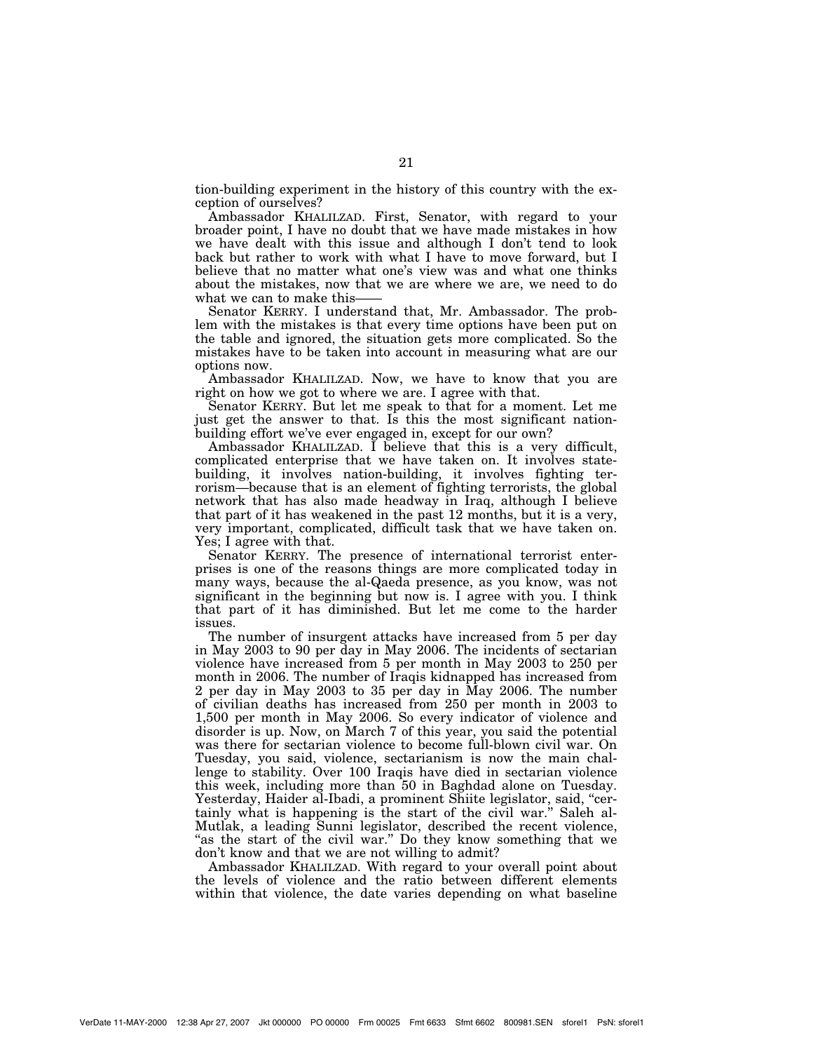tion-building experiment in the history of this country with the exception of ourselves?

Ambassador KHALILZAD. First, Senator, with regard to your broader point, I have no doubt that we have made mistakes in how we have dealt with this issue and although I don't tend to look back but rather to work with what I have to move forward, but I believe that no matter what one's view was and what one thinks about the mistakes, now that we are where we are, we need to do what we can to make this-

Senator KERRY. I understand that, Mr. Ambassador. The problem with the mistakes is that every time options have been put on the table and ignored, the situation gets more complicated. So the mistakes have to be taken into account in measuring what are our options now.

Ambassador KHALILZAD. Now, we have to know that you are right on how we got to where we are. I agree with that.

Senator KERRY. But let me speak to that for a moment. Let me just get the answer to that. Is this the most significant nationbuilding effort we've ever engaged in, except for our own?

Ambassador KHALILZAD. I believe that this is a very difficult, complicated enterprise that we have taken on. It involves statebuilding, it involves nation-building, it involves fighting terrorism—because that is an element of fighting terrorists, the global network that has also made headway in Iraq, although I believe that part of it has weakened in the past 12 months, but it is a very, very important, complicated, difficult task that we have taken on. Yes; I agree with that.

Senator KERRY. The presence of international terrorist enterprises is one of the reasons things are more complicated today in many ways, because the al-Qaeda presence, as you know, was not significant in the beginning but now is. I agree with you. I think that part of it has diminished. But let me come to the harder issues.

The number of insurgent attacks have increased from 5 per day in May 2003 to 90 per day in May 2006. The incidents of sectarian violence have increased from 5 per month in May 2003 to 250 per month in 2006. The number of Iraqis kidnapped has increased from 2 per day in May 2003 to 35 per day in May 2006. The number of civilian deaths has increased from 250 per month in 2003 to 1,500 per month in May 2006. So every indicator of violence and disorder is up. Now, on March 7 of this year, you said the potential was there for sectarian violence to become full-blown civil war. On Tuesday, you said, violence, sectarianism is now the main challenge to stability. Over 100 Iraqis have died in sectarian violence this week, including more than 50 in Baghdad alone on Tuesday. Yesterday, Haider al-Ibadi, a prominent Shiite legislator, said, ''certainly what is happening is the start of the civil war.'' Saleh al-Mutlak, a leading Sunni legislator, described the recent violence, "as the start of the civil war." Do they know something that we don't know and that we are not willing to admit?

Ambassador KHALILZAD. With regard to your overall point about the levels of violence and the ratio between different elements within that violence, the date varies depending on what baseline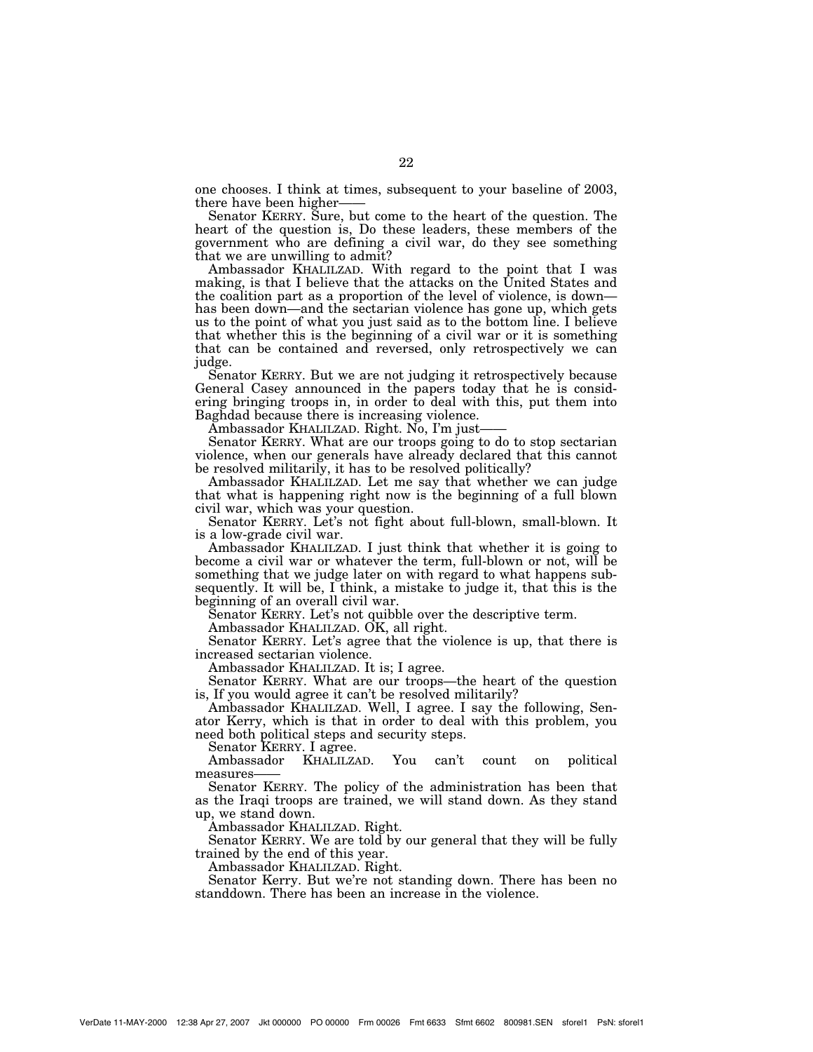one chooses. I think at times, subsequent to your baseline of 2003, there have been higher——

Senator KERRY. Sure, but come to the heart of the question. The heart of the question is, Do these leaders, these members of the government who are defining a civil war, do they see something that we are unwilling to admit?

Ambassador KHALILZAD. With regard to the point that I was making, is that I believe that the attacks on the United States and the coalition part as a proportion of the level of violence, is down has been down—and the sectarian violence has gone up, which gets us to the point of what you just said as to the bottom line. I believe that whether this is the beginning of a civil war or it is something that can be contained and reversed, only retrospectively we can judge.

Senator KERRY. But we are not judging it retrospectively because General Casey announced in the papers today that he is considering bringing troops in, in order to deal with this, put them into Baghdad because there is increasing violence.

Ambassador KHALILZAD. Right. No, I'm just——

Senator KERRY. What are our troops going to do to stop sectarian violence, when our generals have already declared that this cannot be resolved militarily, it has to be resolved politically?

Ambassador KHALILZAD. Let me say that whether we can judge that what is happening right now is the beginning of a full blown civil war, which was your question.

Senator KERRY. Let's not fight about full-blown, small-blown. It is a low-grade civil war.

Ambassador KHALILZAD. I just think that whether it is going to become a civil war or whatever the term, full-blown or not, will be something that we judge later on with regard to what happens subsequently. It will be, I think, a mistake to judge it, that this is the beginning of an overall civil war.

Senator KERRY. Let's not quibble over the descriptive term.

Ambassador KHALILZAD. OK, all right.

Senator KERRY. Let's agree that the violence is up, that there is increased sectarian violence.

Ambassador KHALILZAD. It is; I agree.

Senator KERRY. What are our troops—the heart of the question is, If you would agree it can't be resolved militarily?

Ambassador KHALILZAD. Well, I agree. I say the following, Senator Kerry, which is that in order to deal with this problem, you need both political steps and security steps.

Senator KERRY. I agree.<br>Ambassador KHALILZ KHALILZAD. You can't count on political measures

Senator KERRY. The policy of the administration has been that as the Iraqi troops are trained, we will stand down. As they stand up, we stand down.

Ambassador KHALILZAD. Right.

Senator KERRY. We are told by our general that they will be fully trained by the end of this year.

Ambassador KHALILZAD. Right.

Senator Kerry. But we're not standing down. There has been no standdown. There has been an increase in the violence.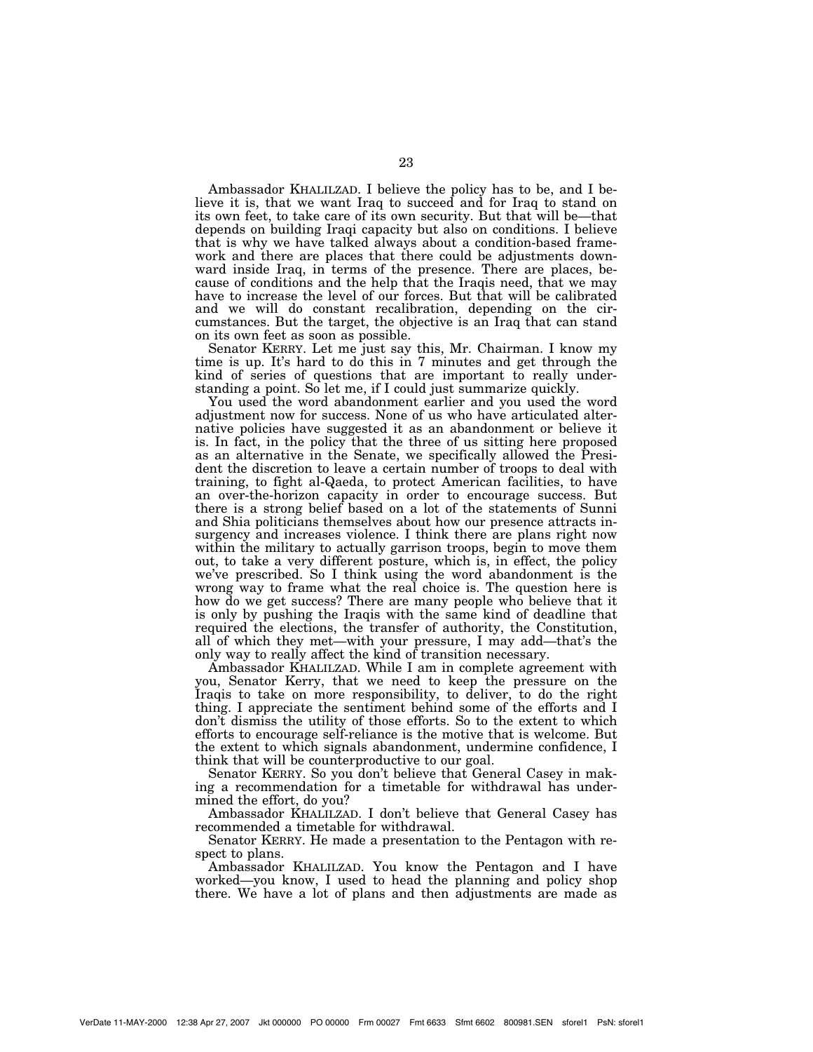Ambassador KHALILZAD. I believe the policy has to be, and I believe it is, that we want Iraq to succeed and for Iraq to stand on its own feet, to take care of its own security. But that will be—that depends on building Iraqi capacity but also on conditions. I believe that is why we have talked always about a condition-based framework and there are places that there could be adjustments downward inside Iraq, in terms of the presence. There are places, because of conditions and the help that the Iraqis need, that we may have to increase the level of our forces. But that will be calibrated and we will do constant recalibration, depending on the circumstances. But the target, the objective is an Iraq that can stand on its own feet as soon as possible.

Senator KERRY. Let me just say this, Mr. Chairman. I know my time is up. It's hard to do this in 7 minutes and get through the kind of series of questions that are important to really understanding a point. So let me, if I could just summarize quickly.

You used the word abandonment earlier and you used the word adjustment now for success. None of us who have articulated alternative policies have suggested it as an abandonment or believe it is. In fact, in the policy that the three of us sitting here proposed as an alternative in the Senate, we specifically allowed the President the discretion to leave a certain number of troops to deal with training, to fight al-Qaeda, to protect American facilities, to have an over-the-horizon capacity in order to encourage success. But there is a strong belief based on a lot of the statements of Sunni and Shia politicians themselves about how our presence attracts insurgency and increases violence. I think there are plans right now within the military to actually garrison troops, begin to move them out, to take a very different posture, which is, in effect, the policy we've prescribed. So I think using the word abandonment is the wrong way to frame what the real choice is. The question here is how do we get success? There are many people who believe that it is only by pushing the Iraqis with the same kind of deadline that required the elections, the transfer of authority, the Constitution, all of which they met—with your pressure, I may add—that's the only way to really affect the kind of transition necessary.

Ambassador KHALILZAD. While I am in complete agreement with you, Senator Kerry, that we need to keep the pressure on the Iraqis to take on more responsibility, to deliver, to do the right thing. I appreciate the sentiment behind some of the efforts and I don't dismiss the utility of those efforts. So to the extent to which efforts to encourage self-reliance is the motive that is welcome. But the extent to which signals abandonment, undermine confidence, I think that will be counterproductive to our goal.

Senator KERRY. So you don't believe that General Casey in making a recommendation for a timetable for withdrawal has undermined the effort, do you?

Ambassador KHALILZAD. I don't believe that General Casey has recommended a timetable for withdrawal.

Senator KERRY. He made a presentation to the Pentagon with respect to plans.

Ambassador KHALILZAD. You know the Pentagon and I have worked—you know, I used to head the planning and policy shop there. We have a lot of plans and then adjustments are made as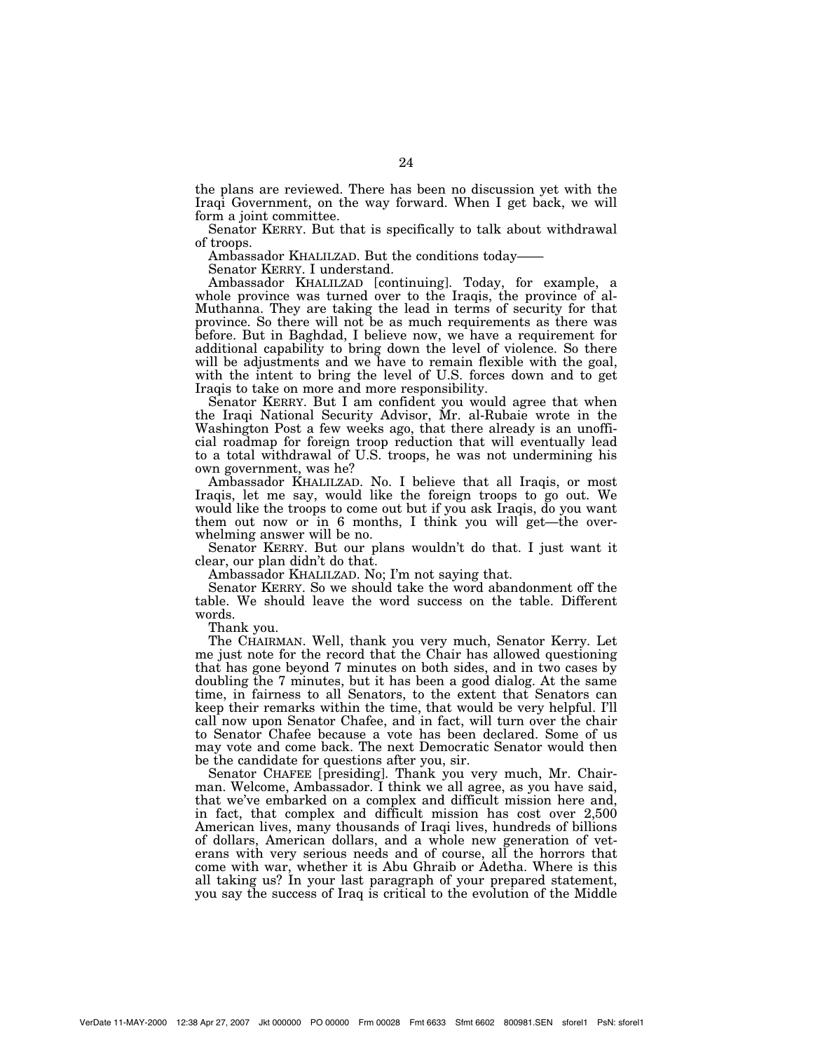the plans are reviewed. There has been no discussion yet with the Iraqi Government, on the way forward. When I get back, we will form a joint committee.

Senator KERRY. But that is specifically to talk about withdrawal of troops.

Ambassador KHALILZAD. But the conditions today—

Senator KERRY. I understand.

Ambassador KHALILZAD [continuing]. Today, for example, a whole province was turned over to the Iraqis, the province of al-Muthanna. They are taking the lead in terms of security for that province. So there will not be as much requirements as there was before. But in Baghdad, I believe now, we have a requirement for additional capability to bring down the level of violence. So there will be adjustments and we have to remain flexible with the goal, with the intent to bring the level of U.S. forces down and to get Iraqis to take on more and more responsibility.

Senator KERRY. But I am confident you would agree that when the Iraqi National Security Advisor, Mr. al-Rubaie wrote in the Washington Post a few weeks ago, that there already is an unofficial roadmap for foreign troop reduction that will eventually lead to a total withdrawal of U.S. troops, he was not undermining his own government, was he?

Ambassador KHALILZAD. No. I believe that all Iraqis, or most Iraqis, let me say, would like the foreign troops to go out. We would like the troops to come out but if you ask Iraqis, do you want them out now or in 6 months, I think you will get—the overwhelming answer will be no.

Senator KERRY. But our plans wouldn't do that. I just want it clear, our plan didn't do that.

Ambassador KHALILZAD. No; I'm not saying that.

Senator KERRY. So we should take the word abandonment off the table. We should leave the word success on the table. Different words.

Thank you.

The CHAIRMAN. Well, thank you very much, Senator Kerry. Let me just note for the record that the Chair has allowed questioning that has gone beyond 7 minutes on both sides, and in two cases by doubling the 7 minutes, but it has been a good dialog. At the same time, in fairness to all Senators, to the extent that Senators can keep their remarks within the time, that would be very helpful. I'll call now upon Senator Chafee, and in fact, will turn over the chair to Senator Chafee because a vote has been declared. Some of us may vote and come back. The next Democratic Senator would then be the candidate for questions after you, sir.

Senator CHAFEE [presiding]. Thank you very much, Mr. Chairman. Welcome, Ambassador. I think we all agree, as you have said, that we've embarked on a complex and difficult mission here and, in fact, that complex and difficult mission has cost over 2,500 American lives, many thousands of Iraqi lives, hundreds of billions of dollars, American dollars, and a whole new generation of veterans with very serious needs and of course, all the horrors that come with war, whether it is Abu Ghraib or Adetha. Where is this all taking us? In your last paragraph of your prepared statement, you say the success of Iraq is critical to the evolution of the Middle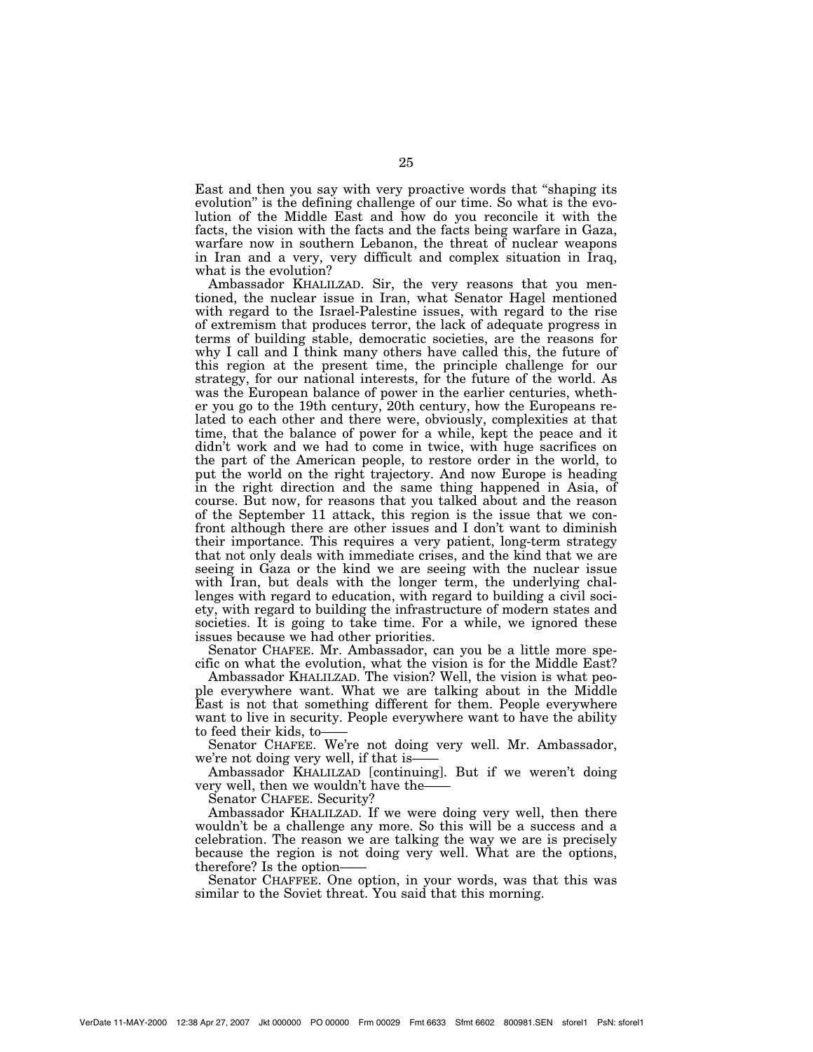East and then you say with very proactive words that ''shaping its evolution'' is the defining challenge of our time. So what is the evolution of the Middle East and how do you reconcile it with the facts, the vision with the facts and the facts being warfare in Gaza, warfare now in southern Lebanon, the threat of nuclear weapons in Iran and a very, very difficult and complex situation in Iraq, what is the evolution?

Ambassador KHALILZAD. Sir, the very reasons that you mentioned, the nuclear issue in Iran, what Senator Hagel mentioned with regard to the Israel-Palestine issues, with regard to the rise of extremism that produces terror, the lack of adequate progress in terms of building stable, democratic societies, are the reasons for why I call and I think many others have called this, the future of this region at the present time, the principle challenge for our strategy, for our national interests, for the future of the world. As was the European balance of power in the earlier centuries, whether you go to the 19th century, 20th century, how the Europeans related to each other and there were, obviously, complexities at that time, that the balance of power for a while, kept the peace and it didn't work and we had to come in twice, with huge sacrifices on the part of the American people, to restore order in the world, to put the world on the right trajectory. And now Europe is heading in the right direction and the same thing happened in Asia, of course. But now, for reasons that you talked about and the reason of the September 11 attack, this region is the issue that we confront although there are other issues and I don't want to diminish their importance. This requires a very patient, long-term strategy that not only deals with immediate crises, and the kind that we are seeing in Gaza or the kind we are seeing with the nuclear issue with Iran, but deals with the longer term, the underlying challenges with regard to education, with regard to building a civil society, with regard to building the infrastructure of modern states and societies. It is going to take time. For a while, we ignored these issues because we had other priorities.

Senator CHAFEE. Mr. Ambassador, can you be a little more specific on what the evolution, what the vision is for the Middle East?

Ambassador KHALILZAD. The vision? Well, the vision is what people everywhere want. What we are talking about in the Middle East is not that something different for them. People everywhere want to live in security. People everywhere want to have the ability to feed their kids, to-

Senator CHAFEE. We're not doing very well. Mr. Ambassador, we're not doing very well, if that is-

Ambassador KHALILZAD [continuing]. But if we weren't doing very well, then we wouldn't have the-

Senator CHAFEE. Security?

Ambassador KHALILZAD. If we were doing very well, then there wouldn't be a challenge any more. So this will be a success and a celebration. The reason we are talking the way we are is precisely because the region is not doing very well. What are the options, therefore? Is the option——

Senator CHAFFEE. One option, in your words, was that this was similar to the Soviet threat. You said that this morning.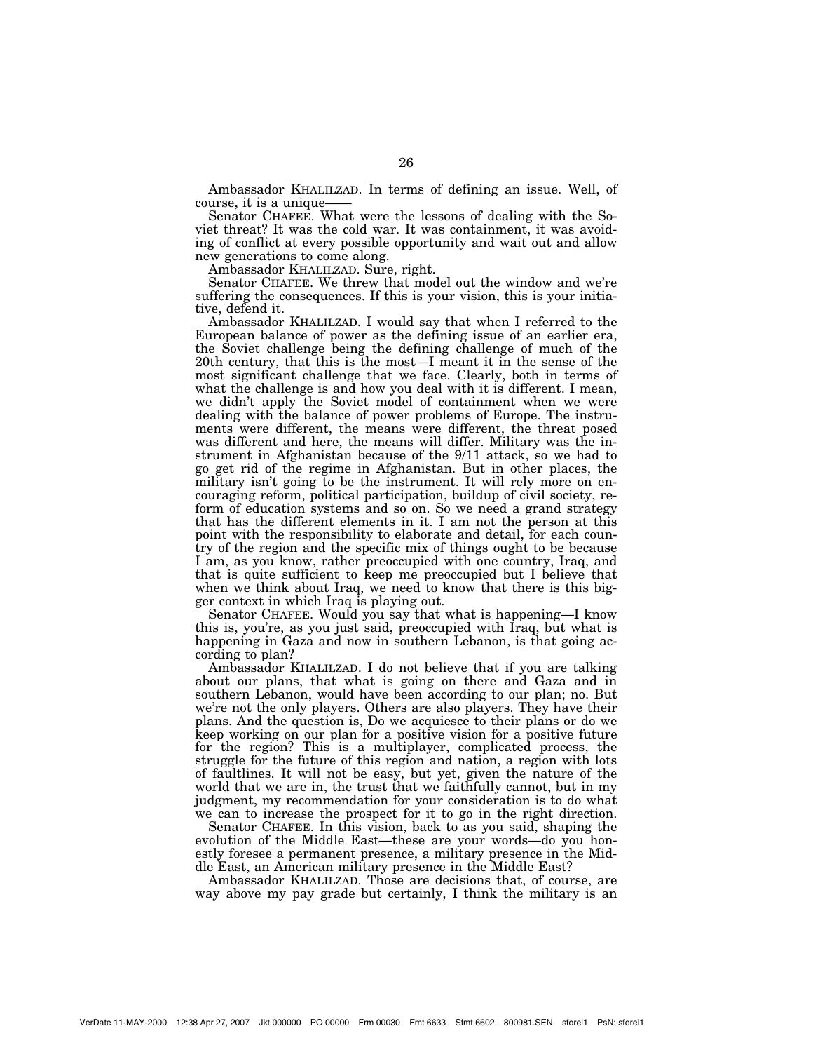Ambassador KHALILZAD. In terms of defining an issue. Well, of course, it is a unique-

Senator CHAFEE. What were the lessons of dealing with the Soviet threat? It was the cold war. It was containment, it was avoiding of conflict at every possible opportunity and wait out and allow new generations to come along.

Ambassador KHALILZAD. Sure, right.

Senator CHAFEE. We threw that model out the window and we're suffering the consequences. If this is your vision, this is your initiative, defend it.

Ambassador KHALILZAD. I would say that when I referred to the European balance of power as the defining issue of an earlier era, the Soviet challenge being the defining challenge of much of the 20th century, that this is the most—I meant it in the sense of the most significant challenge that we face. Clearly, both in terms of what the challenge is and how you deal with it is different. I mean, we didn't apply the Soviet model of containment when we were dealing with the balance of power problems of Europe. The instruments were different, the means were different, the threat posed was different and here, the means will differ. Military was the instrument in Afghanistan because of the 9/11 attack, so we had to go get rid of the regime in Afghanistan. But in other places, the military isn't going to be the instrument. It will rely more on encouraging reform, political participation, buildup of civil society, reform of education systems and so on. So we need a grand strategy that has the different elements in it. I am not the person at this point with the responsibility to elaborate and detail, for each country of the region and the specific mix of things ought to be because I am, as you know, rather preoccupied with one country, Iraq, and that is quite sufficient to keep me preoccupied but I believe that when we think about Iraq, we need to know that there is this bigger context in which Iraq is playing out.

Senator CHAFEE. Would you say that what is happening—I know this is, you're, as you just said, preoccupied with Iraq, but what is happening in Gaza and now in southern Lebanon, is that going according to plan?

Ambassador KHALILZAD. I do not believe that if you are talking about our plans, that what is going on there and Gaza and in southern Lebanon, would have been according to our plan; no. But we're not the only players. Others are also players. They have their plans. And the question is, Do we acquiesce to their plans or do we keep working on our plan for a positive vision for a positive future for the region? This is a multiplayer, complicated process, the struggle for the future of this region and nation, a region with lots of faultlines. It will not be easy, but yet, given the nature of the world that we are in, the trust that we faithfully cannot, but in my judgment, my recommendation for your consideration is to do what we can to increase the prospect for it to go in the right direction.

Senator CHAFEE. In this vision, back to as you said, shaping the evolution of the Middle East—these are your words—do you honestly foresee a permanent presence, a military presence in the Middle East, an American military presence in the Middle East?

Ambassador KHALILZAD. Those are decisions that, of course, are way above my pay grade but certainly, I think the military is an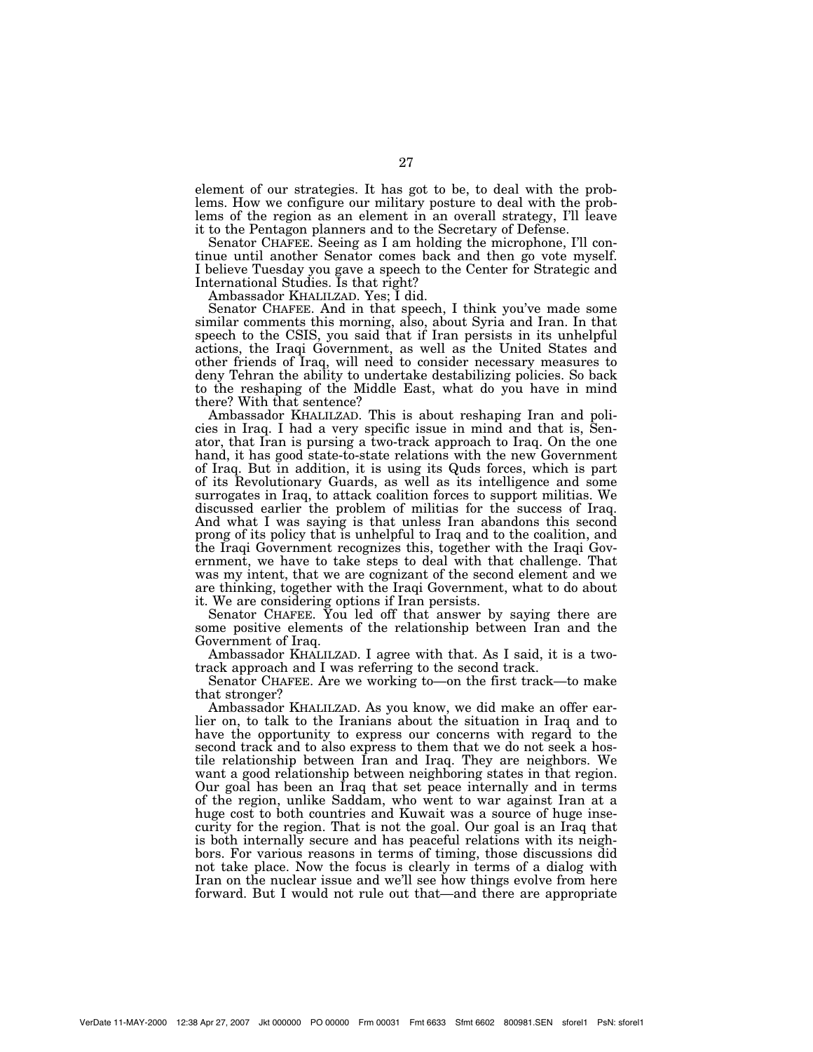element of our strategies. It has got to be, to deal with the problems. How we configure our military posture to deal with the problems of the region as an element in an overall strategy, I'll leave it to the Pentagon planners and to the Secretary of Defense.

Senator CHAFEE. Seeing as I am holding the microphone, I'll continue until another Senator comes back and then go vote myself. I believe Tuesday you gave a speech to the Center for Strategic and International Studies. Is that right?

Ambassador KHALILZAD. Yes; I did.

Senator CHAFEE. And in that speech, I think you've made some similar comments this morning, also, about Syria and Iran. In that speech to the CSIS, you said that if Iran persists in its unhelpful actions, the Iraqi Government, as well as the United States and other friends of Iraq, will need to consider necessary measures to deny Tehran the ability to undertake destabilizing policies. So back to the reshaping of the Middle East, what do you have in mind there? With that sentence?

Ambassador KHALILZAD. This is about reshaping Iran and policies in Iraq. I had a very specific issue in mind and that is, Senator, that Iran is pursing a two-track approach to Iraq. On the one hand, it has good state-to-state relations with the new Government of Iraq. But in addition, it is using its Quds forces, which is part of its Revolutionary Guards, as well as its intelligence and some surrogates in Iraq, to attack coalition forces to support militias. We discussed earlier the problem of militias for the success of Iraq. And what I was saying is that unless Iran abandons this second prong of its policy that is unhelpful to Iraq and to the coalition, and the Iraqi Government recognizes this, together with the Iraqi Government, we have to take steps to deal with that challenge. That was my intent, that we are cognizant of the second element and we are thinking, together with the Iraqi Government, what to do about it. We are considering options if Iran persists.

Senator CHAFEE. You led off that answer by saying there are some positive elements of the relationship between Iran and the Government of Iraq.

Ambassador KHALILZAD. I agree with that. As I said, it is a twotrack approach and I was referring to the second track.

Senator CHAFEE. Are we working to—on the first track—to make that stronger?

Ambassador KHALILZAD. As you know, we did make an offer earlier on, to talk to the Iranians about the situation in Iraq and to have the opportunity to express our concerns with regard to the second track and to also express to them that we do not seek a hostile relationship between Iran and Iraq. They are neighbors. We want a good relationship between neighboring states in that region. Our goal has been an Iraq that set peace internally and in terms of the region, unlike Saddam, who went to war against Iran at a huge cost to both countries and Kuwait was a source of huge insecurity for the region. That is not the goal. Our goal is an Iraq that is both internally secure and has peaceful relations with its neighbors. For various reasons in terms of timing, those discussions did not take place. Now the focus is clearly in terms of a dialog with Iran on the nuclear issue and we'll see how things evolve from here forward. But I would not rule out that—and there are appropriate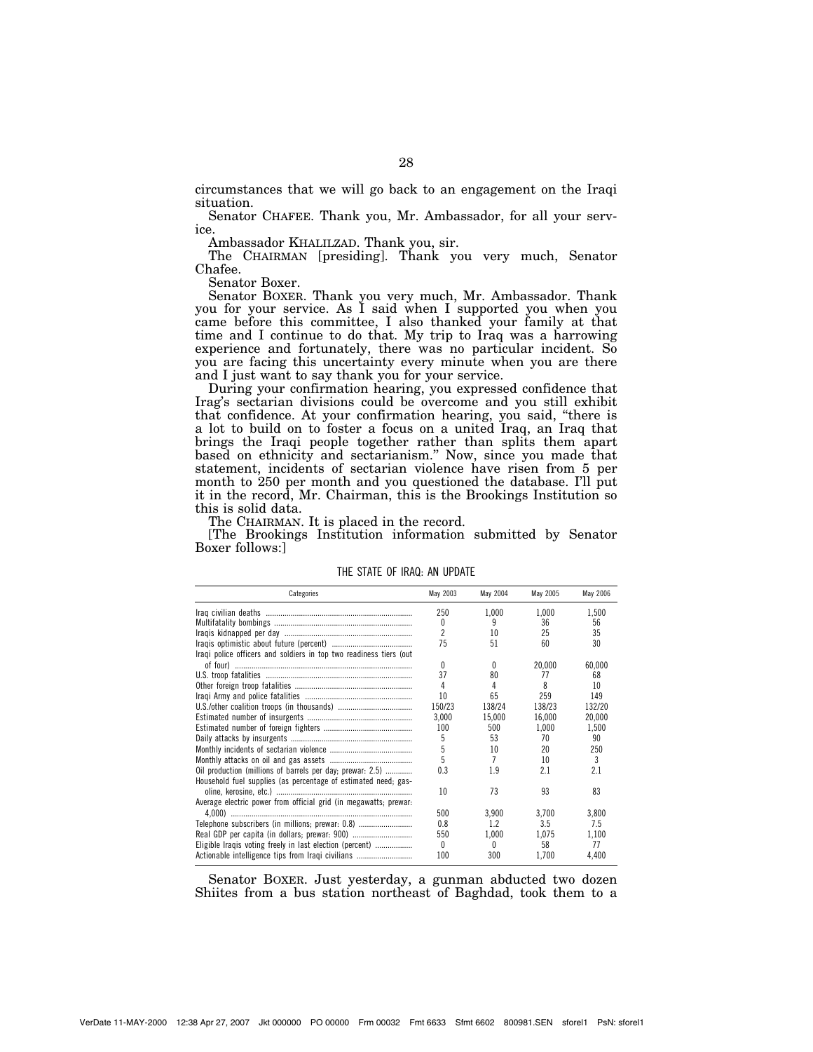circumstances that we will go back to an engagement on the Iraqi situation.

Senator CHAFEE. Thank you, Mr. Ambassador, for all your service.

Ambassador KHALILZAD. Thank you, sir.

The CHAIRMAN [presiding]. Thank you very much, Senator Chafee.

Senator Boxer.

Senator BOXER. Thank you very much, Mr. Ambassador. Thank you for your service. As I said when I supported you when you came before this committee, I also thanked your family at that time and I continue to do that. My trip to Iraq was a harrowing experience and fortunately, there was no particular incident. So you are facing this uncertainty every minute when you are there and I just want to say thank you for your service.

During your confirmation hearing, you expressed confidence that Irag's sectarian divisions could be overcome and you still exhibit that confidence. At your confirmation hearing, you said, ''there is a lot to build on to foster a focus on a united Iraq, an Iraq that brings the Iraqi people together rather than splits them apart based on ethnicity and sectarianism.'' Now, since you made that statement, incidents of sectarian violence have risen from 5 per month to 250 per month and you questioned the database. I'll put it in the record, Mr. Chairman, this is the Brookings Institution so this is solid data.

The CHAIRMAN. It is placed in the record.

[The Brookings Institution information submitted by Senator Boxer follows:]

| Categories                                                         | May 2003       | May 2004 | May 2005 | May 2006      |
|--------------------------------------------------------------------|----------------|----------|----------|---------------|
|                                                                    | 250            | 1.000    | 1.000    | 1,500         |
|                                                                    | 0              | 9        | 36       | 56            |
|                                                                    | $\overline{c}$ | 10       | 25       | 35            |
|                                                                    | 75             | 51       | 60       | 30            |
| Iraqi police officers and soldiers in top two readiness tiers (out |                |          |          |               |
|                                                                    | 0              | 0        | 20,000   | 60,000        |
|                                                                    | 37             | 80       | 77       | 68            |
|                                                                    | 4              | 4        | 8        | 10            |
|                                                                    | 10             | 65       | 259      | 149           |
|                                                                    | 150/23         | 138/24   | 138/23   | 132/20        |
|                                                                    | 3.000          | 15,000   | 16,000   | 20,000        |
|                                                                    | 100            | 500      | 1,000    | 1,500         |
|                                                                    | 5              | 53       | 70       | 90            |
|                                                                    | 5              | 10       | 20       | 250           |
|                                                                    | 5              | 7        | 10       | $\mathcal{R}$ |
| Oil production (millions of barrels per day; prewar: 2.5)          | 0.3            | 1.9      | 2.1      | 2.1           |
| Household fuel supplies (as percentage of estimated need; gas-     |                |          |          |               |
|                                                                    | 10             | 73       | 93       | 83            |
| Average electric power from official grid (in megawatts; prewar:   |                |          |          |               |
|                                                                    | 500            | 3,900    | 3.700    | 3,800         |
| Telephone subscribers (in millions; prewar: 0.8)                   | 0.8            | 1.2      | 3.5      | 7.5           |
|                                                                    | 550            | 1,000    | 1.075    | 1,100         |
| Eligible Iraqis voting freely in last election (percent)           | $\Omega$       | 0        | 58       | 77            |
| Actionable intelligence tips from Iragi civilians                  | 100            | 300      | 1.700    | 4,400         |

## THE STATE OF IRAQ: AN UPDATE

Senator BOXER. Just yesterday, a gunman abducted two dozen Shiites from a bus station northeast of Baghdad, took them to a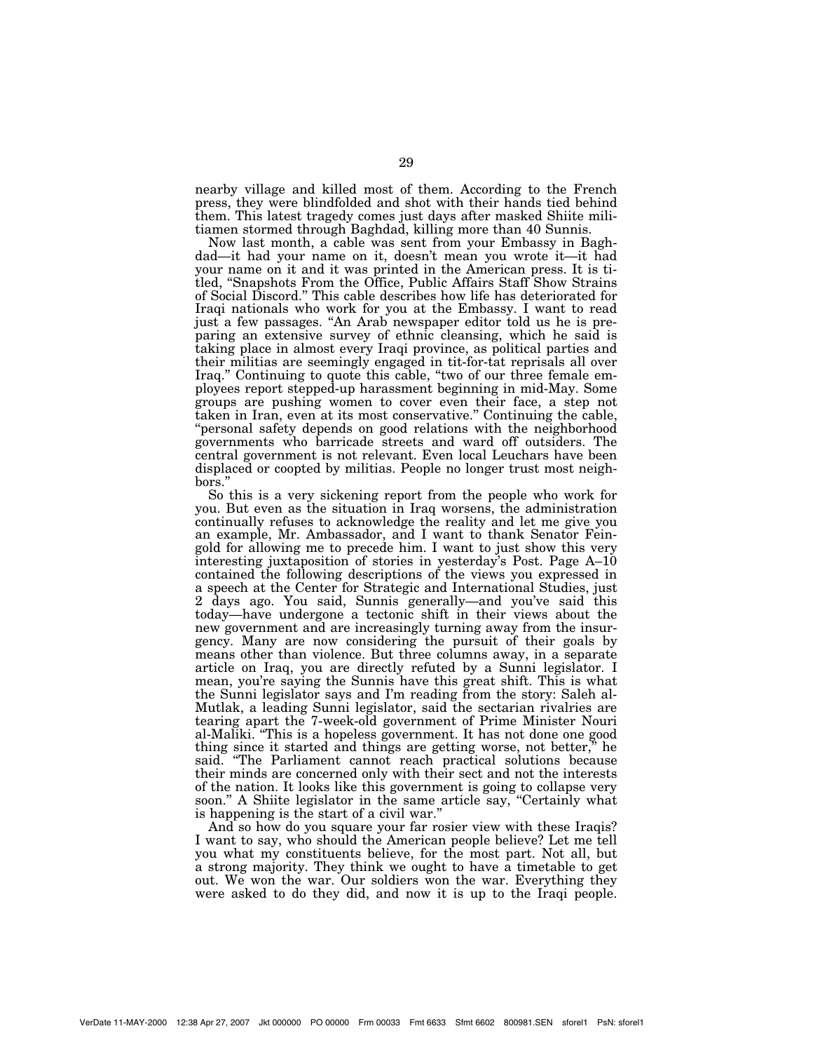nearby village and killed most of them. According to the French press, they were blindfolded and shot with their hands tied behind them. This latest tragedy comes just days after masked Shiite militiamen stormed through Baghdad, killing more than 40 Sunnis.

Now last month, a cable was sent from your Embassy in Baghdad—it had your name on it, doesn't mean you wrote it—it had your name on it and it was printed in the American press. It is titled, ''Snapshots From the Office, Public Affairs Staff Show Strains of Social Discord.'' This cable describes how life has deteriorated for Iraqi nationals who work for you at the Embassy. I want to read just a few passages. ''An Arab newspaper editor told us he is preparing an extensive survey of ethnic cleansing, which he said is taking place in almost every Iraqi province, as political parties and their militias are seemingly engaged in tit-for-tat reprisals all over Iraq.'' Continuing to quote this cable, ''two of our three female employees report stepped-up harassment beginning in mid-May. Some groups are pushing women to cover even their face, a step not taken in Iran, even at its most conservative.'' Continuing the cable, ''personal safety depends on good relations with the neighborhood governments who barricade streets and ward off outsiders. The central government is not relevant. Even local Leuchars have been displaced or coopted by militias. People no longer trust most neighbors.'

So this is a very sickening report from the people who work for you. But even as the situation in Iraq worsens, the administration continually refuses to acknowledge the reality and let me give you an example, Mr. Ambassador, and I want to thank Senator Feingold for allowing me to precede him. I want to just show this very interesting juxtaposition of stories in yesterday's Post. Page A–10 contained the following descriptions of the views you expressed in a speech at the Center for Strategic and International Studies, just 2 days ago. You said, Sunnis generally—and you've said this today—have undergone a tectonic shift in their views about the new government and are increasingly turning away from the insurgency. Many are now considering the pursuit of their goals by means other than violence. But three columns away, in a separate article on Iraq, you are directly refuted by a Sunni legislator. I mean, you're saying the Sunnis have this great shift. This is what the Sunni legislator says and I'm reading from the story: Saleh al-Mutlak, a leading Sunni legislator, said the sectarian rivalries are tearing apart the 7-week-old government of Prime Minister Nouri al-Maliki. ''This is a hopeless government. It has not done one good thing since it started and things are getting worse, not better,'' he said. "The Parliament cannot reach practical solutions because their minds are concerned only with their sect and not the interests of the nation. It looks like this government is going to collapse very soon." A Shiite legislator in the same article say, "Certainly what is happening is the start of a civil war.''

And so how do you square your far rosier view with these Iraqis? I want to say, who should the American people believe? Let me tell you what my constituents believe, for the most part. Not all, but a strong majority. They think we ought to have a timetable to get out. We won the war. Our soldiers won the war. Everything they were asked to do they did, and now it is up to the Iraqi people.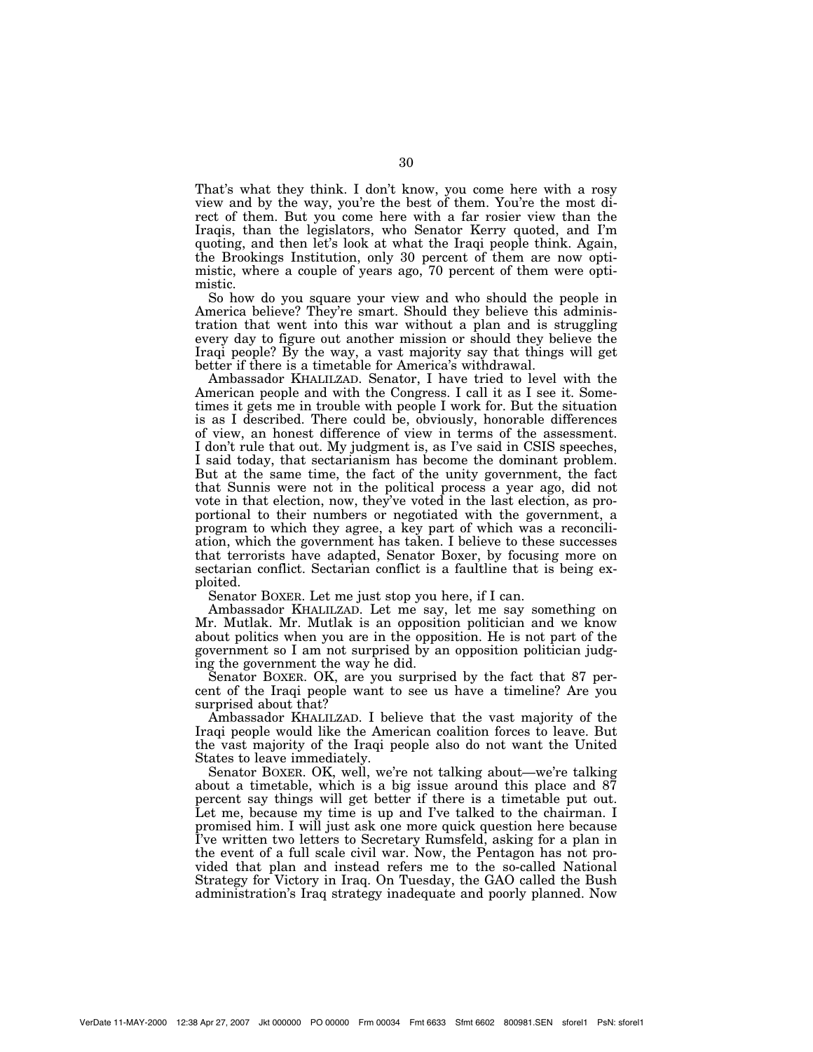That's what they think. I don't know, you come here with a rosy view and by the way, you're the best of them. You're the most direct of them. But you come here with a far rosier view than the Iraqis, than the legislators, who Senator Kerry quoted, and I'm quoting, and then let's look at what the Iraqi people think. Again, the Brookings Institution, only 30 percent of them are now optimistic, where a couple of years ago, 70 percent of them were optimistic.

So how do you square your view and who should the people in America believe? They're smart. Should they believe this administration that went into this war without a plan and is struggling every day to figure out another mission or should they believe the Iraqi people? By the way, a vast majority say that things will get better if there is a timetable for America's withdrawal.

Ambassador KHALILZAD. Senator, I have tried to level with the American people and with the Congress. I call it as I see it. Sometimes it gets me in trouble with people I work for. But the situation is as I described. There could be, obviously, honorable differences of view, an honest difference of view in terms of the assessment. I don't rule that out. My judgment is, as I've said in CSIS speeches, I said today, that sectarianism has become the dominant problem. But at the same time, the fact of the unity government, the fact that Sunnis were not in the political process a year ago, did not vote in that election, now, they've voted in the last election, as proportional to their numbers or negotiated with the government, a program to which they agree, a key part of which was a reconciliation, which the government has taken. I believe to these successes that terrorists have adapted, Senator Boxer, by focusing more on sectarian conflict. Sectarian conflict is a faultline that is being exploited.

Senator BOXER. Let me just stop you here, if I can.

Ambassador KHALILZAD. Let me say, let me say something on Mr. Mutlak. Mr. Mutlak is an opposition politician and we know about politics when you are in the opposition. He is not part of the government so I am not surprised by an opposition politician judging the government the way he did.

Senator BOXER. OK, are you surprised by the fact that 87 percent of the Iraqi people want to see us have a timeline? Are you surprised about that?

Ambassador KHALILZAD. I believe that the vast majority of the Iraqi people would like the American coalition forces to leave. But the vast majority of the Iraqi people also do not want the United States to leave immediately.

Senator BOXER. OK, well, we're not talking about—we're talking about a timetable, which is a big issue around this place and 87 percent say things will get better if there is a timetable put out. Let me, because my time is up and I've talked to the chairman. I promised him. I will just ask one more quick question here because I've written two letters to Secretary Rumsfeld, asking for a plan in the event of a full scale civil war. Now, the Pentagon has not provided that plan and instead refers me to the so-called National Strategy for Victory in Iraq. On Tuesday, the GAO called the Bush administration's Iraq strategy inadequate and poorly planned. Now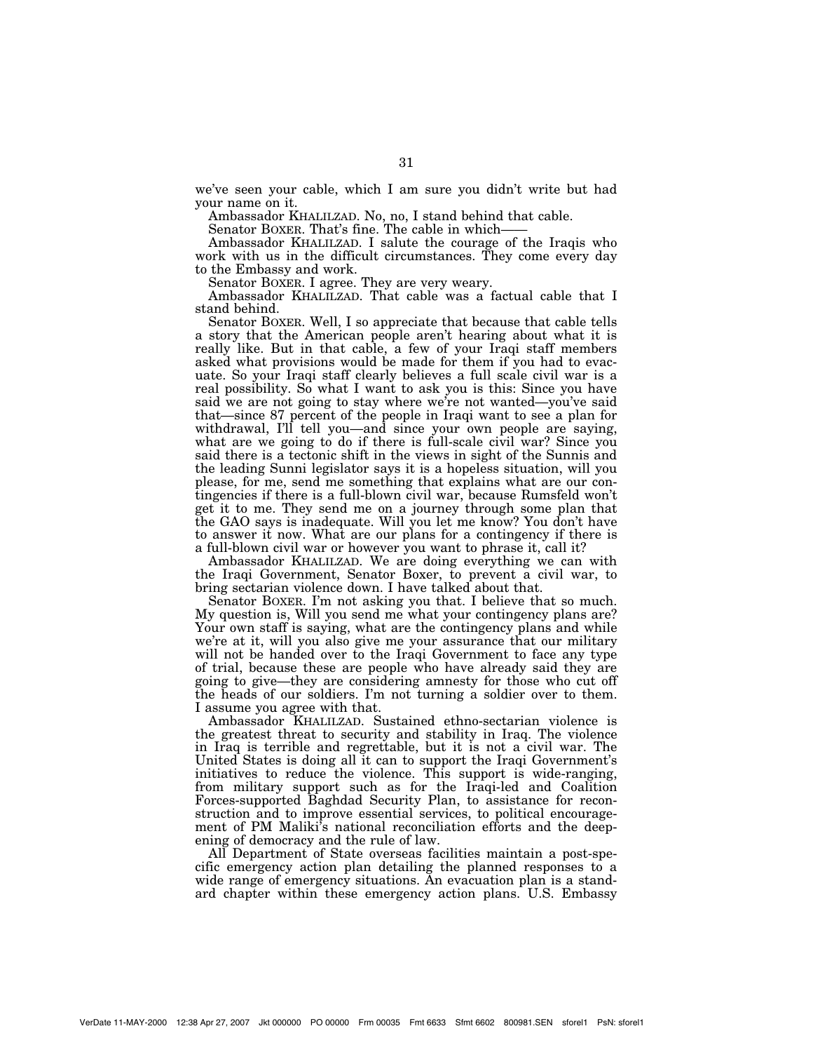we've seen your cable, which I am sure you didn't write but had your name on it.

Ambassador KHALILZAD. No, no, I stand behind that cable.

Senator BOXER. That's fine. The cable in which-

Ambassador KHALILZAD. I salute the courage of the Iraqis who work with us in the difficult circumstances. They come every day to the Embassy and work.

Senator BOXER. I agree. They are very weary.

Ambassador KHALILZAD. That cable was a factual cable that I stand behind.

Senator BOXER. Well, I so appreciate that because that cable tells a story that the American people aren't hearing about what it is really like. But in that cable, a few of your Iraqi staff members asked what provisions would be made for them if you had to evacuate. So your Iraqi staff clearly believes a full scale civil war is a real possibility. So what I want to ask you is this: Since you have said we are not going to stay where we're not wanted—you've said that—since 87 percent of the people in Iraqi want to see a plan for withdrawal, I'll tell you—and since your own people are saying, what are we going to do if there is full-scale civil war? Since you said there is a tectonic shift in the views in sight of the Sunnis and the leading Sunni legislator says it is a hopeless situation, will you please, for me, send me something that explains what are our contingencies if there is a full-blown civil war, because Rumsfeld won't get it to me. They send me on a journey through some plan that the GAO says is inadequate. Will you let me know? You don't have to answer it now. What are our plans for a contingency if there is a full-blown civil war or however you want to phrase it, call it?

Ambassador KHALILZAD. We are doing everything we can with the Iraqi Government, Senator Boxer, to prevent a civil war, to bring sectarian violence down. I have talked about that.

Senator BOXER. I'm not asking you that. I believe that so much. My question is, Will you send me what your contingency plans are? Your own staff is saying, what are the contingency plans and while we're at it, will you also give me your assurance that our military will not be handed over to the Iraqi Government to face any type of trial, because these are people who have already said they are going to give—they are considering amnesty for those who cut off the heads of our soldiers. I'm not turning a soldier over to them. I assume you agree with that.

Ambassador KHALILZAD. Sustained ethno-sectarian violence is the greatest threat to security and stability in Iraq. The violence in Iraq is terrible and regrettable, but it is not a civil war. The United States is doing all it can to support the Iraqi Government's initiatives to reduce the violence. This support is wide-ranging, from military support such as for the Iraqi-led and Coalition Forces-supported Baghdad Security Plan, to assistance for reconstruction and to improve essential services, to political encouragement of PM Maliki's national reconciliation efforts and the deepening of democracy and the rule of law.

All Department of State overseas facilities maintain a post-specific emergency action plan detailing the planned responses to a wide range of emergency situations. An evacuation plan is a standard chapter within these emergency action plans. U.S. Embassy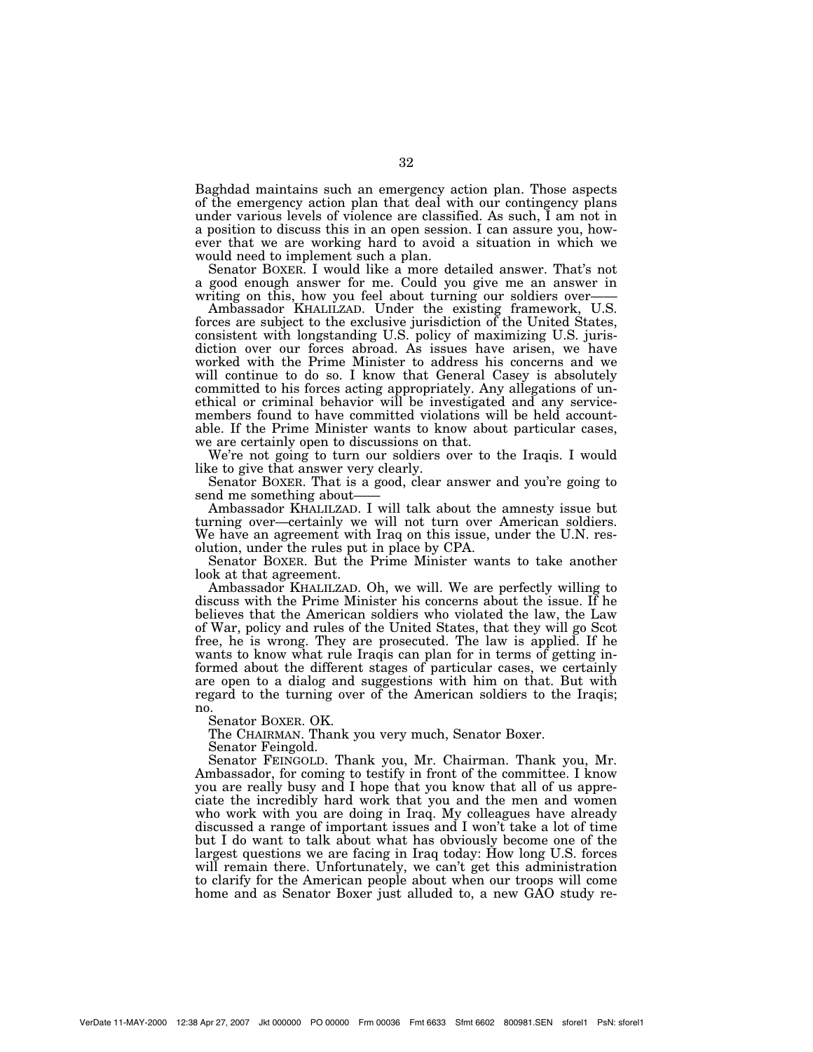Baghdad maintains such an emergency action plan. Those aspects of the emergency action plan that deal with our contingency plans under various levels of violence are classified. As such, I am not in a position to discuss this in an open session. I can assure you, however that we are working hard to avoid a situation in which we would need to implement such a plan.

Senator BOXER. I would like a more detailed answer. That's not a good enough answer for me. Could you give me an answer in writing on this, how you feel about turning our soldiers over-

Ambassador KHALILZAD. Under the existing framework, U.S. forces are subject to the exclusive jurisdiction of the United States, consistent with longstanding U.S. policy of maximizing U.S. jurisdiction over our forces abroad. As issues have arisen, we have worked with the Prime Minister to address his concerns and we will continue to do so. I know that General Casey is absolutely committed to his forces acting appropriately. Any allegations of unethical or criminal behavior will be investigated and any servicemembers found to have committed violations will be held accountable. If the Prime Minister wants to know about particular cases, we are certainly open to discussions on that.

We're not going to turn our soldiers over to the Iraqis. I would like to give that answer very clearly.

Senator BOXER. That is a good, clear answer and you're going to send me something about-

Ambassador KHALILZAD. I will talk about the amnesty issue but turning over—certainly we will not turn over American soldiers. We have an agreement with Iraq on this issue, under the U.N. resolution, under the rules put in place by CPA.

Senator BOXER. But the Prime Minister wants to take another look at that agreement.

Ambassador KHALILZAD. Oh, we will. We are perfectly willing to discuss with the Prime Minister his concerns about the issue. If he believes that the American soldiers who violated the law, the Law of War, policy and rules of the United States, that they will go Scot free, he is wrong. They are prosecuted. The law is applied. If he wants to know what rule Iraqis can plan for in terms of getting informed about the different stages of particular cases, we certainly are open to a dialog and suggestions with him on that. But with regard to the turning over of the American soldiers to the Iraqis; no.

Senator BOXER. OK.

The CHAIRMAN. Thank you very much, Senator Boxer.

Senator Feingold.

Senator FEINGOLD. Thank you, Mr. Chairman. Thank you, Mr. Ambassador, for coming to testify in front of the committee. I know you are really busy and I hope that you know that all of us appreciate the incredibly hard work that you and the men and women who work with you are doing in Iraq. My colleagues have already discussed a range of important issues and I won't take a lot of time but I do want to talk about what has obviously become one of the largest questions we are facing in Iraq today: How long U.S. forces will remain there. Unfortunately, we can't get this administration to clarify for the American people about when our troops will come home and as Senator Boxer just alluded to, a new GAO study re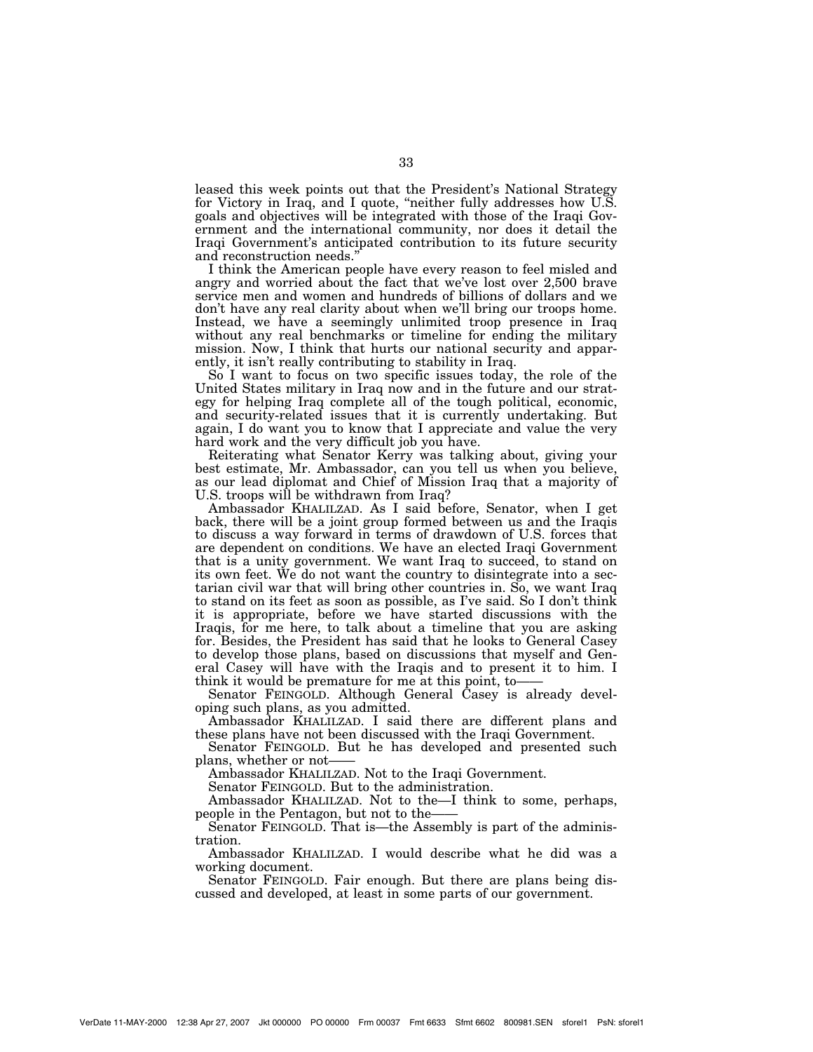leased this week points out that the President's National Strategy for Victory in Iraq, and I quote, ''neither fully addresses how U.S. goals and objectives will be integrated with those of the Iraqi Government and the international community, nor does it detail the Iraqi Government's anticipated contribution to its future security and reconstruction needs.''

I think the American people have every reason to feel misled and angry and worried about the fact that we've lost over 2,500 brave service men and women and hundreds of billions of dollars and we don't have any real clarity about when we'll bring our troops home. Instead, we have a seemingly unlimited troop presence in Iraq without any real benchmarks or timeline for ending the military mission. Now, I think that hurts our national security and apparently, it isn't really contributing to stability in Iraq.

So I want to focus on two specific issues today, the role of the United States military in Iraq now and in the future and our strategy for helping Iraq complete all of the tough political, economic, and security-related issues that it is currently undertaking. But again, I do want you to know that I appreciate and value the very hard work and the very difficult job you have.

Reiterating what Senator Kerry was talking about, giving your best estimate, Mr. Ambassador, can you tell us when you believe, as our lead diplomat and Chief of Mission Iraq that a majority of U.S. troops will be withdrawn from Iraq?

Ambassador KHALILZAD. As I said before, Senator, when I get back, there will be a joint group formed between us and the Iraqis to discuss a way forward in terms of drawdown of U.S. forces that are dependent on conditions. We have an elected Iraqi Government that is a unity government. We want Iraq to succeed, to stand on its own feet. We do not want the country to disintegrate into a sectarian civil war that will bring other countries in. So, we want Iraq to stand on its feet as soon as possible, as I've said. So I don't think it is appropriate, before we have started discussions with the Iraqis, for me here, to talk about a timeline that you are asking for. Besides, the President has said that he looks to General Casey to develop those plans, based on discussions that myself and General Casey will have with the Iraqis and to present it to him. I think it would be premature for me at this point, to——

Senator FEINGOLD. Although General Casey is already developing such plans, as you admitted.

Ambassador KHALILZAD. I said there are different plans and these plans have not been discussed with the Iraqi Government.

Senator FEINGOLD. But he has developed and presented such plans, whether or not-

Ambassador KHALILZAD. Not to the Iraqi Government.

Senator FEINGOLD. But to the administration.

Ambassador KHALILZAD. Not to the—I think to some, perhaps, people in the Pentagon, but not to the——

Senator FEINGOLD. That is—the Assembly is part of the administration.

Ambassador KHALILZAD. I would describe what he did was a working document.

Senator FEINGOLD. Fair enough. But there are plans being discussed and developed, at least in some parts of our government.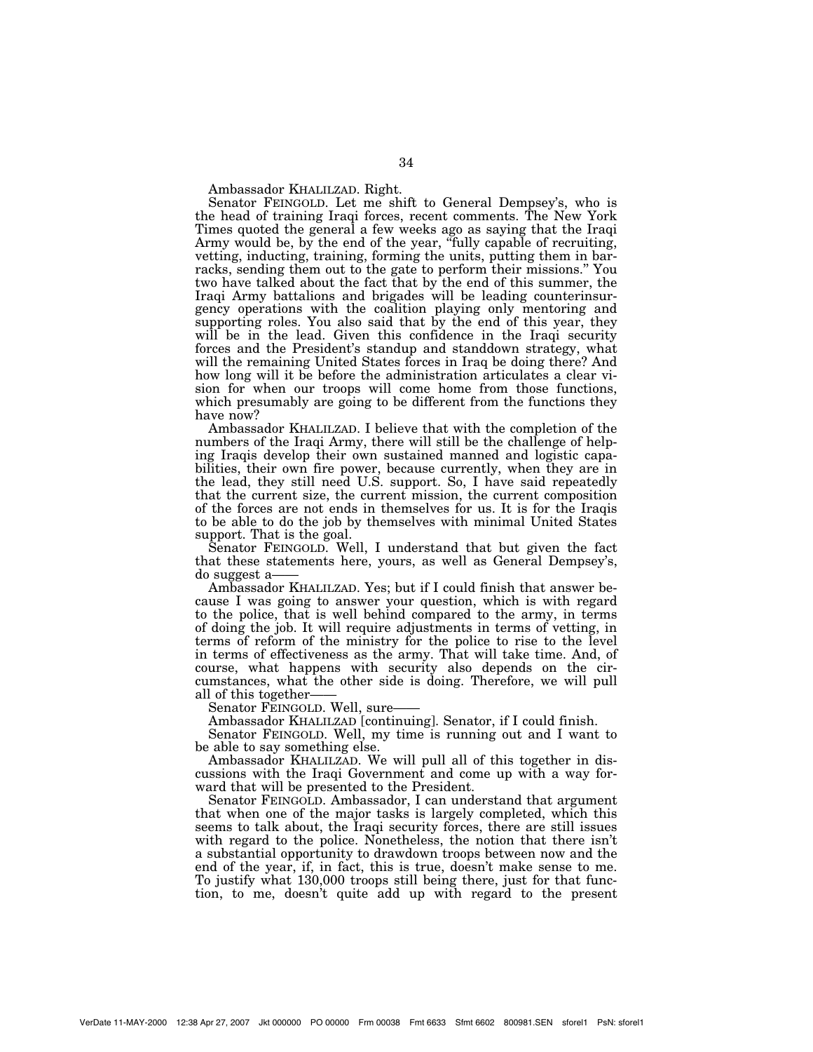Ambassador KHALILZAD. Right.

Senator FEINGOLD. Let me shift to General Dempsey's, who is the head of training Iraqi forces, recent comments. The New York Times quoted the general a few weeks ago as saying that the Iraqi Army would be, by the end of the year, "fully capable of recruiting, vetting, inducting, training, forming the units, putting them in barracks, sending them out to the gate to perform their missions.'' You two have talked about the fact that by the end of this summer, the Iraqi Army battalions and brigades will be leading counterinsurgency operations with the coalition playing only mentoring and supporting roles. You also said that by the end of this year, they will be in the lead. Given this confidence in the Iraqi security forces and the President's standup and standdown strategy, what will the remaining United States forces in Iraq be doing there? And how long will it be before the administration articulates a clear vision for when our troops will come home from those functions, which presumably are going to be different from the functions they have now?

Ambassador KHALILZAD. I believe that with the completion of the numbers of the Iraqi Army, there will still be the challenge of helping Iraqis develop their own sustained manned and logistic capabilities, their own fire power, because currently, when they are in the lead, they still need U.S. support. So, I have said repeatedly that the current size, the current mission, the current composition of the forces are not ends in themselves for us. It is for the Iraqis to be able to do the job by themselves with minimal United States support. That is the goal.

Senator FEINGOLD. Well, I understand that but given the fact that these statements here, yours, as well as General Dempsey's, do suggest a——

Ambassador KHALILZAD. Yes; but if I could finish that answer because I was going to answer your question, which is with regard to the police, that is well behind compared to the army, in terms of doing the job. It will require adjustments in terms of vetting, in terms of reform of the ministry for the police to rise to the level in terms of effectiveness as the army. That will take time. And, of course, what happens with security also depends on the circumstances, what the other side is doing. Therefore, we will pull all of this together——

Senator FEINGOLD. Well, sure-

Ambassador KHALILZAD [continuing]. Senator, if I could finish.

Senator FEINGOLD. Well, my time is running out and I want to be able to say something else.

Ambassador KHALILZAD. We will pull all of this together in discussions with the Iraqi Government and come up with a way forward that will be presented to the President.

Senator FEINGOLD. Ambassador, I can understand that argument that when one of the major tasks is largely completed, which this seems to talk about, the Iraqi security forces, there are still issues with regard to the police. Nonetheless, the notion that there isn't a substantial opportunity to drawdown troops between now and the end of the year, if, in fact, this is true, doesn't make sense to me. To justify what 130,000 troops still being there, just for that function, to me, doesn't quite add up with regard to the present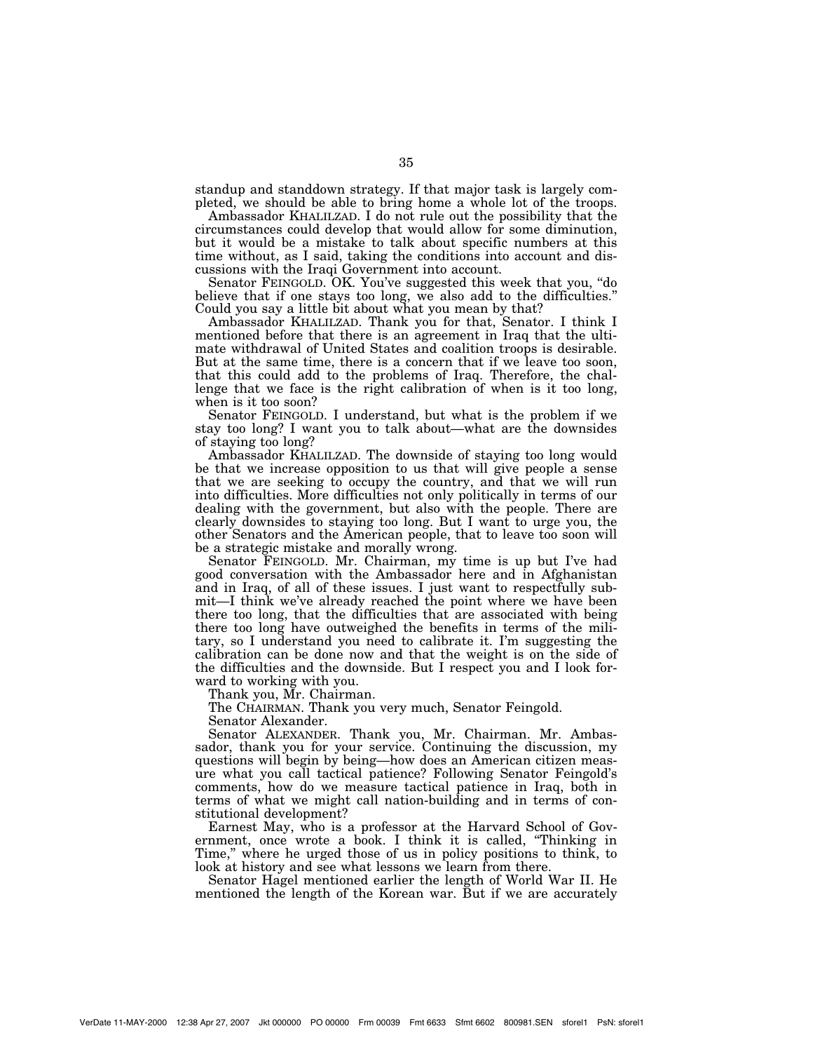standup and standdown strategy. If that major task is largely completed, we should be able to bring home a whole lot of the troops.

Ambassador KHALILZAD. I do not rule out the possibility that the circumstances could develop that would allow for some diminution, but it would be a mistake to talk about specific numbers at this time without, as I said, taking the conditions into account and discussions with the Iraqi Government into account.

Senator FEINGOLD. OK. You've suggested this week that you, ''do believe that if one stays too long, we also add to the difficulties.'' Could you say a little bit about what you mean by that?

Ambassador KHALILZAD. Thank you for that, Senator. I think I mentioned before that there is an agreement in Iraq that the ultimate withdrawal of United States and coalition troops is desirable. But at the same time, there is a concern that if we leave too soon, that this could add to the problems of Iraq. Therefore, the challenge that we face is the right calibration of when is it too long, when is it too soon?

Senator FEINGOLD. I understand, but what is the problem if we stay too long? I want you to talk about—what are the downsides of staying too long?

Ambassador KHALILZAD. The downside of staying too long would be that we increase opposition to us that will give people a sense that we are seeking to occupy the country, and that we will run into difficulties. More difficulties not only politically in terms of our dealing with the government, but also with the people. There are clearly downsides to staying too long. But I want to urge you, the other Senators and the American people, that to leave too soon will be a strategic mistake and morally wrong.

Senator FEINGOLD. Mr. Chairman, my time is up but I've had good conversation with the Ambassador here and in Afghanistan and in Iraq, of all of these issues. I just want to respectfully submit—I think we've already reached the point where we have been there too long, that the difficulties that are associated with being there too long have outweighed the benefits in terms of the military, so I understand you need to calibrate it. I'm suggesting the calibration can be done now and that the weight is on the side of the difficulties and the downside. But I respect you and I look forward to working with you.

Thank you, Mr. Chairman.

The CHAIRMAN. Thank you very much, Senator Feingold.

Senator Alexander.

Senator ALEXANDER. Thank you, Mr. Chairman. Mr. Ambassador, thank you for your service. Continuing the discussion, my questions will begin by being—how does an American citizen measure what you call tactical patience? Following Senator Feingold's comments, how do we measure tactical patience in Iraq, both in terms of what we might call nation-building and in terms of constitutional development?

Earnest May, who is a professor at the Harvard School of Government, once wrote a book. I think it is called, ''Thinking in Time," where he urged those of us in policy positions to think, to look at history and see what lessons we learn from there.

Senator Hagel mentioned earlier the length of World War II. He mentioned the length of the Korean war. But if we are accurately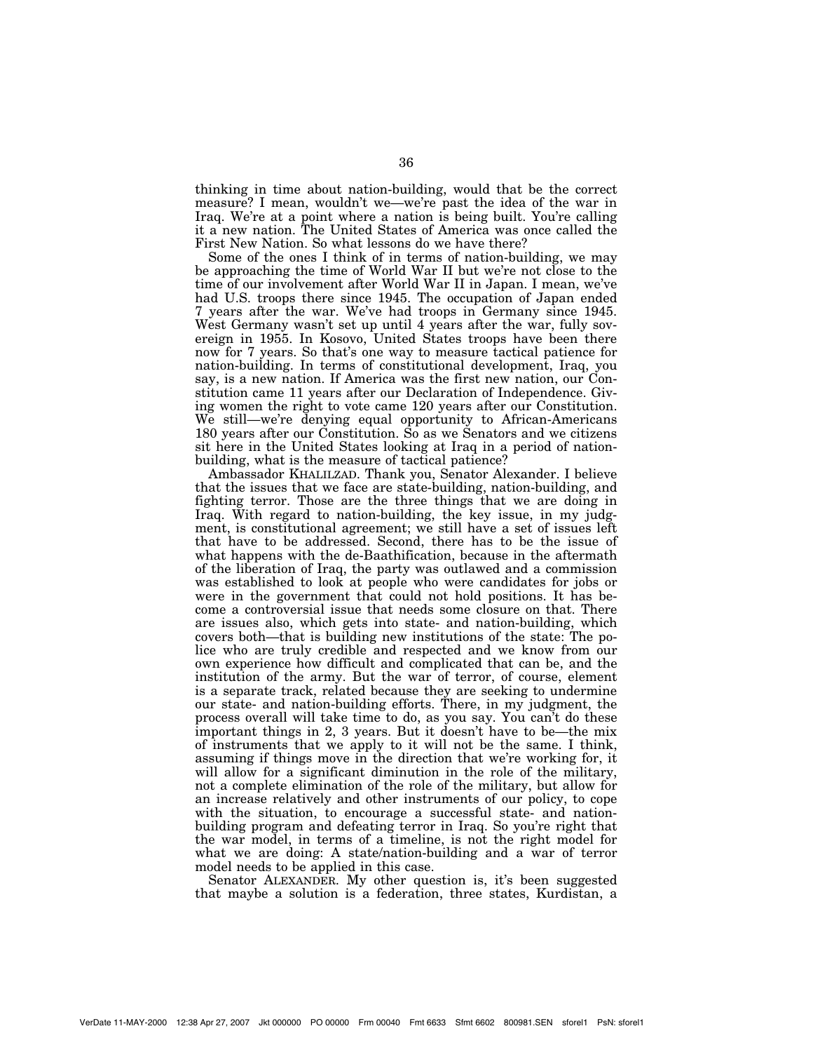thinking in time about nation-building, would that be the correct measure? I mean, wouldn't we—we're past the idea of the war in Iraq. We're at a point where a nation is being built. You're calling it a new nation. The United States of America was once called the First New Nation. So what lessons do we have there?

Some of the ones I think of in terms of nation-building, we may be approaching the time of World War II but we're not close to the time of our involvement after World War II in Japan. I mean, we've had U.S. troops there since 1945. The occupation of Japan ended 7 years after the war. We've had troops in Germany since 1945. West Germany wasn't set up until 4 years after the war, fully sovereign in 1955. In Kosovo, United States troops have been there now for 7 years. So that's one way to measure tactical patience for nation-building. In terms of constitutional development, Iraq, you say, is a new nation. If America was the first new nation, our Constitution came 11 years after our Declaration of Independence. Giving women the right to vote came 120 years after our Constitution. We still—we're denying equal opportunity to African-Americans 180 years after our Constitution. So as we Senators and we citizens sit here in the United States looking at Iraq in a period of nationbuilding, what is the measure of tactical patience?

Ambassador KHALILZAD. Thank you, Senator Alexander. I believe that the issues that we face are state-building, nation-building, and fighting terror. Those are the three things that we are doing in Iraq. With regard to nation-building, the key issue, in my judgment, is constitutional agreement; we still have a set of issues left that have to be addressed. Second, there has to be the issue of what happens with the de-Baathification, because in the aftermath of the liberation of Iraq, the party was outlawed and a commission was established to look at people who were candidates for jobs or were in the government that could not hold positions. It has become a controversial issue that needs some closure on that. There are issues also, which gets into state- and nation-building, which covers both—that is building new institutions of the state: The police who are truly credible and respected and we know from our own experience how difficult and complicated that can be, and the institution of the army. But the war of terror, of course, element is a separate track, related because they are seeking to undermine our state- and nation-building efforts. There, in my judgment, the process overall will take time to do, as you say. You can't do these important things in 2, 3 years. But it doesn't have to be—the mix of instruments that we apply to it will not be the same. I think, assuming if things move in the direction that we're working for, it will allow for a significant diminution in the role of the military, not a complete elimination of the role of the military, but allow for an increase relatively and other instruments of our policy, to cope with the situation, to encourage a successful state- and nationbuilding program and defeating terror in Iraq. So you're right that the war model, in terms of a timeline, is not the right model for what we are doing: A state/nation-building and a war of terror model needs to be applied in this case.

Senator ALEXANDER. My other question is, it's been suggested that maybe a solution is a federation, three states, Kurdistan, a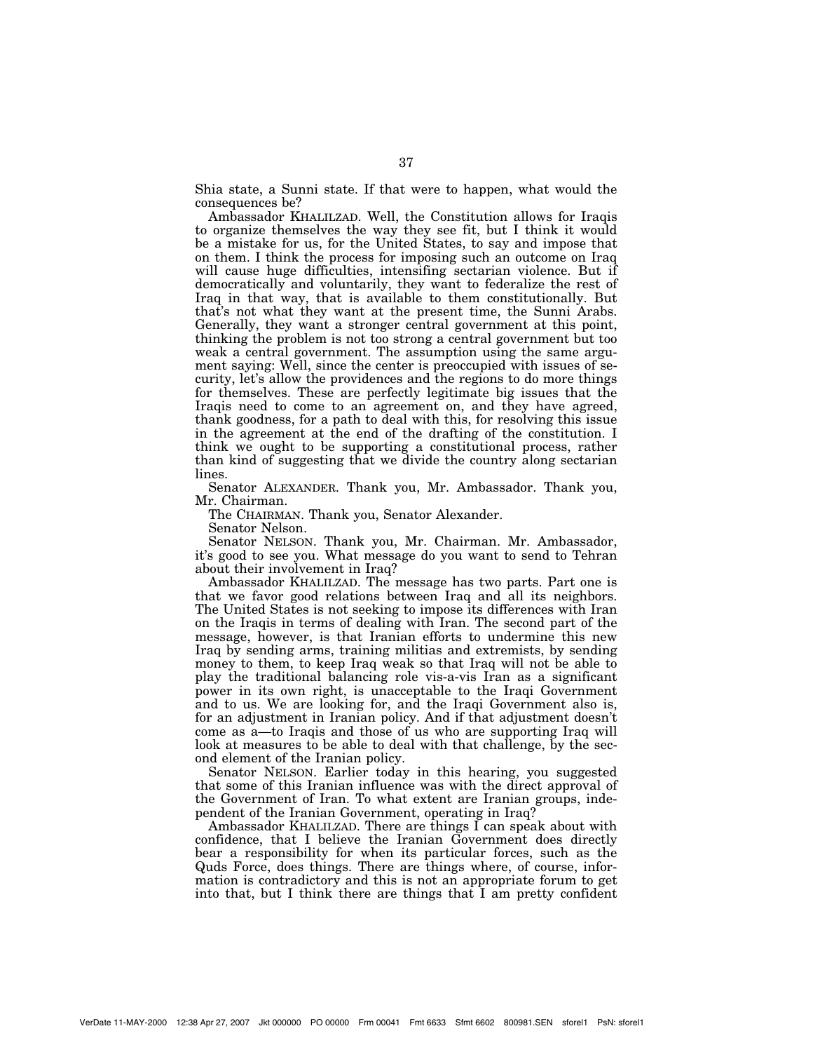Shia state, a Sunni state. If that were to happen, what would the consequences be?

Ambassador KHALILZAD. Well, the Constitution allows for Iraqis to organize themselves the way they see fit, but I think it would be a mistake for us, for the United States, to say and impose that on them. I think the process for imposing such an outcome on Iraq will cause huge difficulties, intensifing sectarian violence. But if democratically and voluntarily, they want to federalize the rest of Iraq in that way, that is available to them constitutionally. But that's not what they want at the present time, the Sunni Arabs. Generally, they want a stronger central government at this point, thinking the problem is not too strong a central government but too weak a central government. The assumption using the same argument saying: Well, since the center is preoccupied with issues of security, let's allow the providences and the regions to do more things for themselves. These are perfectly legitimate big issues that the Iraqis need to come to an agreement on, and they have agreed, thank goodness, for a path to deal with this, for resolving this issue in the agreement at the end of the drafting of the constitution. I think we ought to be supporting a constitutional process, rather than kind of suggesting that we divide the country along sectarian lines.

Senator ALEXANDER. Thank you, Mr. Ambassador. Thank you, Mr. Chairman.

The CHAIRMAN. Thank you, Senator Alexander.

Senator Nelson.

Senator NELSON. Thank you, Mr. Chairman. Mr. Ambassador, it's good to see you. What message do you want to send to Tehran about their involvement in Iraq?

Ambassador KHALILZAD. The message has two parts. Part one is that we favor good relations between Iraq and all its neighbors. The United States is not seeking to impose its differences with Iran on the Iraqis in terms of dealing with Iran. The second part of the message, however, is that Iranian efforts to undermine this new Iraq by sending arms, training militias and extremists, by sending money to them, to keep Iraq weak so that Iraq will not be able to play the traditional balancing role vis-a-vis Iran as a significant power in its own right, is unacceptable to the Iraqi Government and to us. We are looking for, and the Iraqi Government also is, for an adjustment in Iranian policy. And if that adjustment doesn't come as a—to Iraqis and those of us who are supporting Iraq will look at measures to be able to deal with that challenge, by the second element of the Iranian policy.

Senator NELSON. Earlier today in this hearing, you suggested that some of this Iranian influence was with the direct approval of the Government of Iran. To what extent are Iranian groups, independent of the Iranian Government, operating in Iraq?

Ambassador KHALILZAD. There are things I can speak about with confidence, that I believe the Iranian Government does directly bear a responsibility for when its particular forces, such as the Quds Force, does things. There are things where, of course, information is contradictory and this is not an appropriate forum to get into that, but I think there are things that I am pretty confident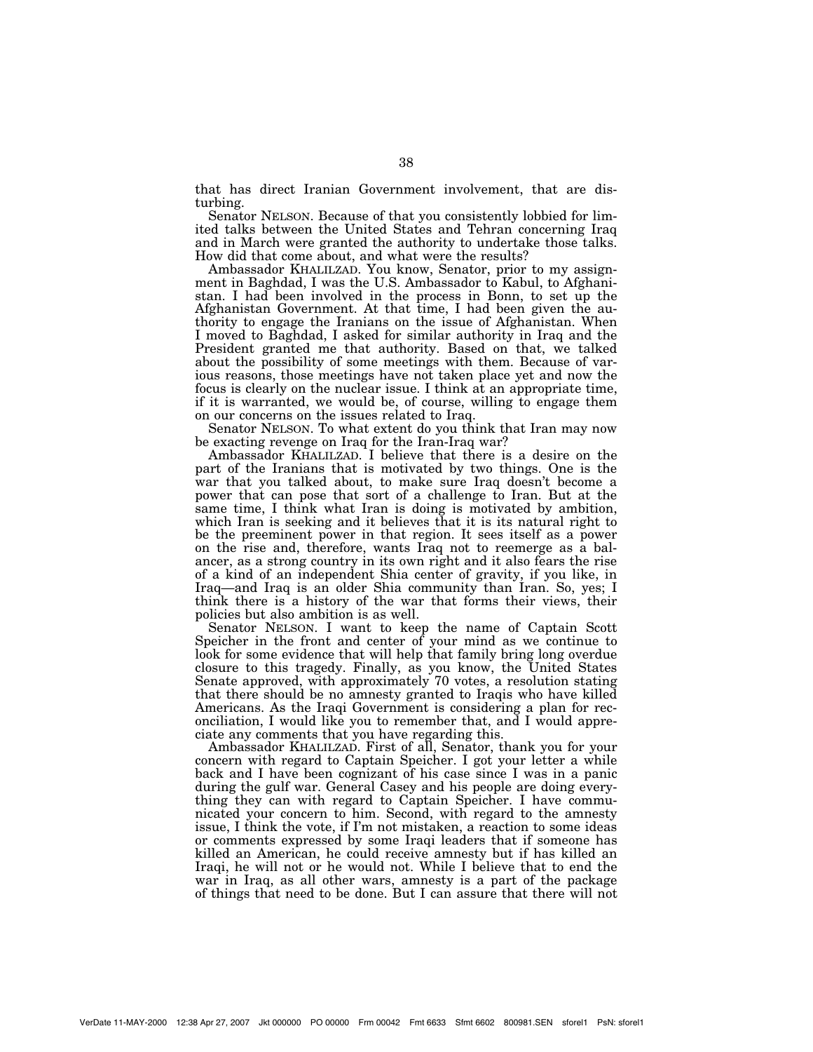that has direct Iranian Government involvement, that are disturbing.

Senator NELSON. Because of that you consistently lobbied for limited talks between the United States and Tehran concerning Iraq and in March were granted the authority to undertake those talks. How did that come about, and what were the results?

Ambassador KHALILZAD. You know, Senator, prior to my assignment in Baghdad, I was the U.S. Ambassador to Kabul, to Afghanistan. I had been involved in the process in Bonn, to set up the Afghanistan Government. At that time, I had been given the authority to engage the Iranians on the issue of Afghanistan. When I moved to Baghdad, I asked for similar authority in Iraq and the President granted me that authority. Based on that, we talked about the possibility of some meetings with them. Because of various reasons, those meetings have not taken place yet and now the focus is clearly on the nuclear issue. I think at an appropriate time, if it is warranted, we would be, of course, willing to engage them on our concerns on the issues related to Iraq.

Senator NELSON. To what extent do you think that Iran may now be exacting revenge on Iraq for the Iran-Iraq war?

Ambassador KHALILZAD. I believe that there is a desire on the part of the Iranians that is motivated by two things. One is the war that you talked about, to make sure Iraq doesn't become a power that can pose that sort of a challenge to Iran. But at the same time, I think what Iran is doing is motivated by ambition, which Iran is seeking and it believes that it is its natural right to be the preeminent power in that region. It sees itself as a power on the rise and, therefore, wants Iraq not to reemerge as a balancer, as a strong country in its own right and it also fears the rise of a kind of an independent Shia center of gravity, if you like, in Iraq—and Iraq is an older Shia community than Iran. So, yes; I think there is a history of the war that forms their views, their policies but also ambition is as well.

Senator NELSON. I want to keep the name of Captain Scott Speicher in the front and center of your mind as we continue to look for some evidence that will help that family bring long overdue closure to this tragedy. Finally, as you know, the United States Senate approved, with approximately 70 votes, a resolution stating that there should be no amnesty granted to Iraqis who have killed Americans. As the Iraqi Government is considering a plan for reconciliation, I would like you to remember that, and I would appreciate any comments that you have regarding this.

Ambassador KHALILZAD. First of all, Senator, thank you for your concern with regard to Captain Speicher. I got your letter a while back and I have been cognizant of his case since I was in a panic during the gulf war. General Casey and his people are doing everything they can with regard to Captain Speicher. I have communicated your concern to him. Second, with regard to the amnesty issue, I think the vote, if I'm not mistaken, a reaction to some ideas or comments expressed by some Iraqi leaders that if someone has killed an American, he could receive amnesty but if has killed an Iraqi, he will not or he would not. While I believe that to end the war in Iraq, as all other wars, amnesty is a part of the package of things that need to be done. But I can assure that there will not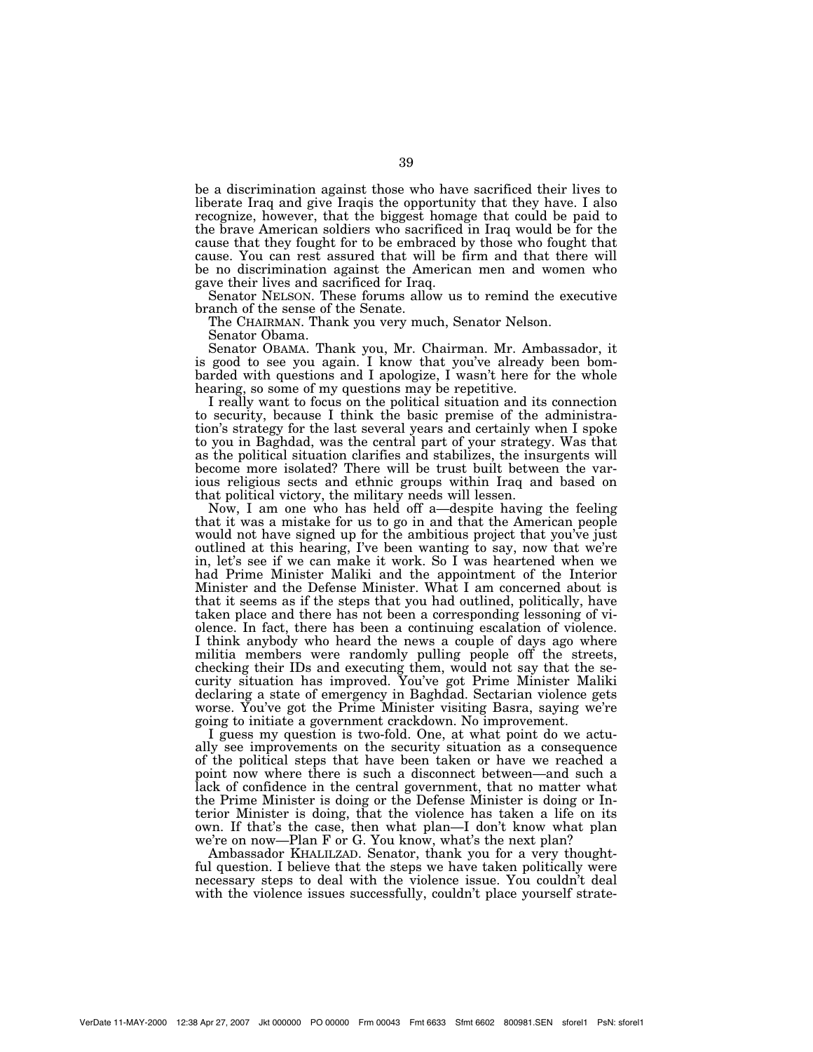be a discrimination against those who have sacrificed their lives to liberate Iraq and give Iraqis the opportunity that they have. I also recognize, however, that the biggest homage that could be paid to the brave American soldiers who sacrificed in Iraq would be for the cause that they fought for to be embraced by those who fought that cause. You can rest assured that will be firm and that there will be no discrimination against the American men and women who gave their lives and sacrificed for Iraq.

Senator NELSON. These forums allow us to remind the executive branch of the sense of the Senate.

The CHAIRMAN. Thank you very much, Senator Nelson.

Senator Obama.

Senator OBAMA. Thank you, Mr. Chairman. Mr. Ambassador, it is good to see you again. I know that you've already been bombarded with questions and I apologize, I wasn't here for the whole hearing, so some of my questions may be repetitive.

I really want to focus on the political situation and its connection to security, because I think the basic premise of the administration's strategy for the last several years and certainly when I spoke to you in Baghdad, was the central part of your strategy. Was that as the political situation clarifies and stabilizes, the insurgents will become more isolated? There will be trust built between the various religious sects and ethnic groups within Iraq and based on that political victory, the military needs will lessen.

Now, I am one who has held off a—despite having the feeling that it was a mistake for us to go in and that the American people would not have signed up for the ambitious project that you've just outlined at this hearing, I've been wanting to say, now that we're in, let's see if we can make it work. So I was heartened when we had Prime Minister Maliki and the appointment of the Interior Minister and the Defense Minister. What I am concerned about is that it seems as if the steps that you had outlined, politically, have taken place and there has not been a corresponding lessoning of violence. In fact, there has been a continuing escalation of violence. I think anybody who heard the news a couple of days ago where militia members were randomly pulling people off the streets, checking their IDs and executing them, would not say that the security situation has improved. You've got Prime Minister Maliki declaring a state of emergency in Baghdad. Sectarian violence gets worse. You've got the Prime Minister visiting Basra, saying we're going to initiate a government crackdown. No improvement.

I guess my question is two-fold. One, at what point do we actually see improvements on the security situation as a consequence of the political steps that have been taken or have we reached a point now where there is such a disconnect between—and such a lack of confidence in the central government, that no matter what the Prime Minister is doing or the Defense Minister is doing or Interior Minister is doing, that the violence has taken a life on its own. If that's the case, then what plan—I don't know what plan we're on now—Plan F or G. You know, what's the next plan?

Ambassador KHALILZAD. Senator, thank you for a very thoughtful question. I believe that the steps we have taken politically were necessary steps to deal with the violence issue. You couldn't deal with the violence issues successfully, couldn't place yourself strate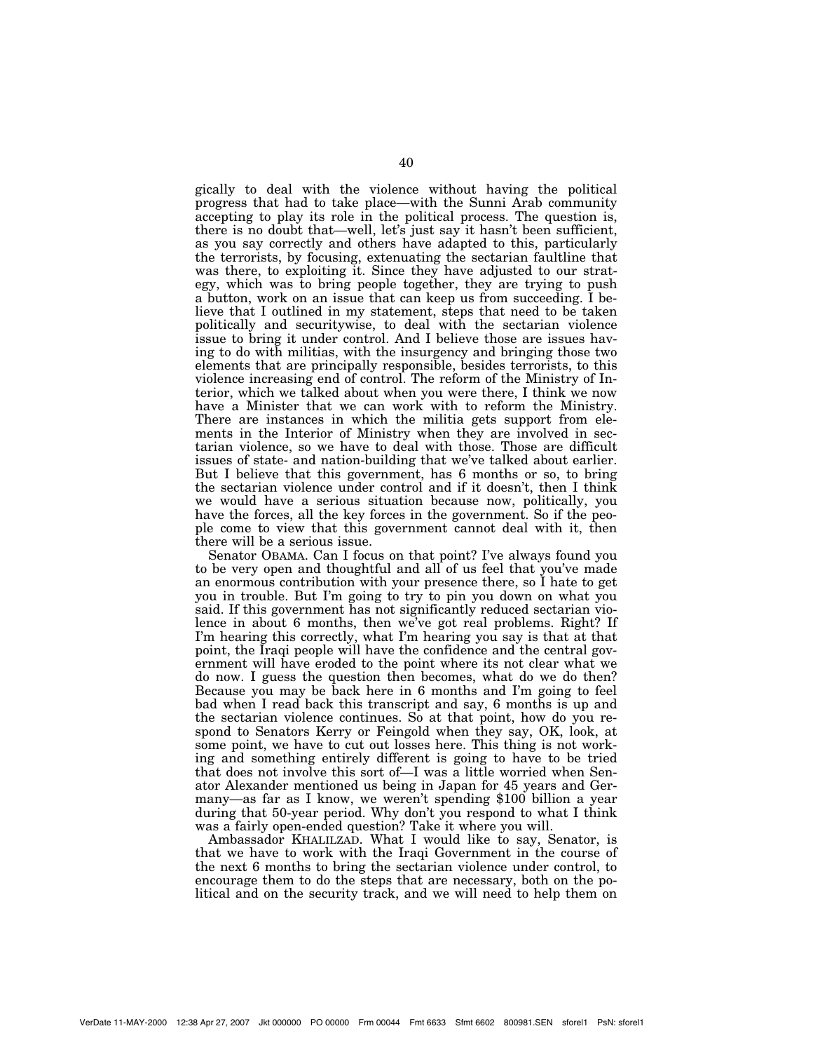gically to deal with the violence without having the political progress that had to take place—with the Sunni Arab community accepting to play its role in the political process. The question is, there is no doubt that—well, let's just say it hasn't been sufficient, as you say correctly and others have adapted to this, particularly the terrorists, by focusing, extenuating the sectarian faultline that was there, to exploiting it. Since they have adjusted to our strategy, which was to bring people together, they are trying to push a button, work on an issue that can keep us from succeeding. I believe that I outlined in my statement, steps that need to be taken politically and securitywise, to deal with the sectarian violence issue to bring it under control. And I believe those are issues having to do with militias, with the insurgency and bringing those two elements that are principally responsible, besides terrorists, to this violence increasing end of control. The reform of the Ministry of Interior, which we talked about when you were there, I think we now have a Minister that we can work with to reform the Ministry. There are instances in which the militia gets support from elements in the Interior of Ministry when they are involved in sectarian violence, so we have to deal with those. Those are difficult issues of state- and nation-building that we've talked about earlier. But I believe that this government, has 6 months or so, to bring the sectarian violence under control and if it doesn't, then I think we would have a serious situation because now, politically, you have the forces, all the key forces in the government. So if the people come to view that this government cannot deal with it, then there will be a serious issue.

Senator OBAMA. Can I focus on that point? I've always found you to be very open and thoughtful and all of us feel that you've made an enormous contribution with your presence there, so I hate to get you in trouble. But I'm going to try to pin you down on what you said. If this government has not significantly reduced sectarian violence in about 6 months, then we've got real problems. Right? If I'm hearing this correctly, what I'm hearing you say is that at that point, the Iraqi people will have the confidence and the central government will have eroded to the point where its not clear what we do now. I guess the question then becomes, what do we do then? Because you may be back here in 6 months and I'm going to feel bad when I read back this transcript and say, 6 months is up and the sectarian violence continues. So at that point, how do you respond to Senators Kerry or Feingold when they say, OK, look, at some point, we have to cut out losses here. This thing is not working and something entirely different is going to have to be tried that does not involve this sort of—I was a little worried when Senator Alexander mentioned us being in Japan for 45 years and Germany—as far as I know, we weren't spending \$100 billion a year during that 50-year period. Why don't you respond to what I think was a fairly open-ended question? Take it where you will.

Ambassador KHALILZAD. What I would like to say, Senator, is that we have to work with the Iraqi Government in the course of the next 6 months to bring the sectarian violence under control, to encourage them to do the steps that are necessary, both on the political and on the security track, and we will need to help them on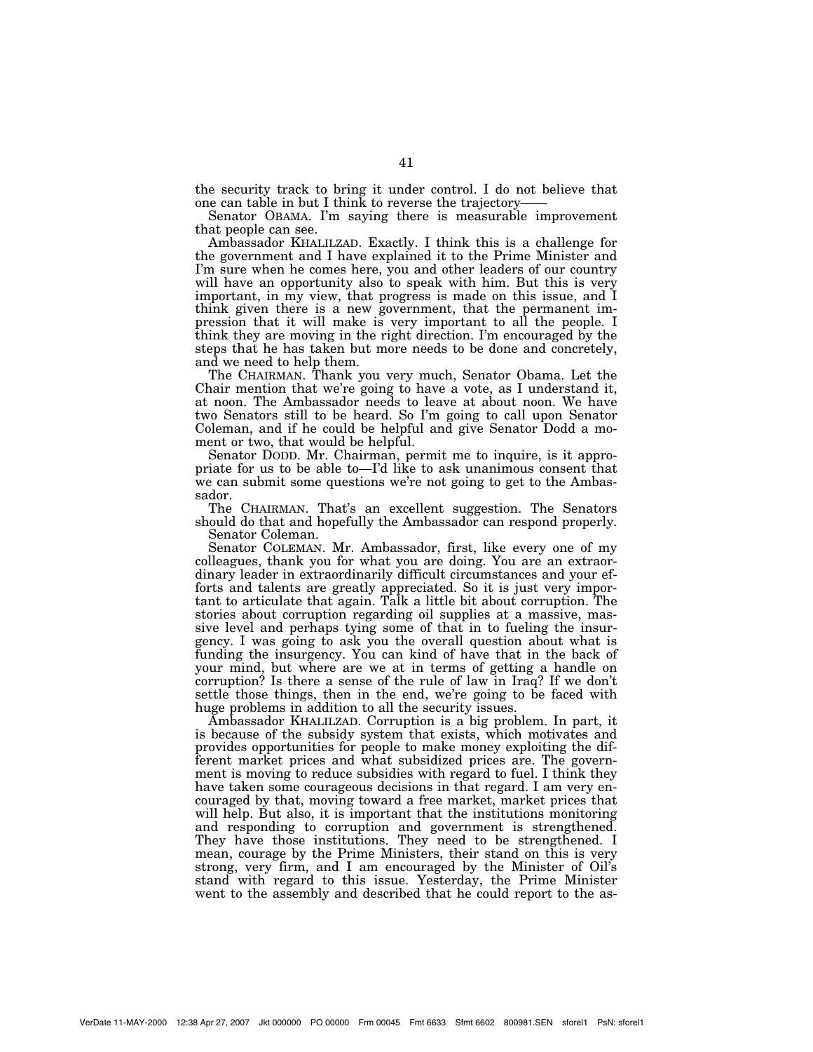the security track to bring it under control. I do not believe that one can table in but I think to reverse the trajectory-

Senator OBAMA. I'm saying there is measurable improvement that people can see.

Ambassador KHALILZAD. Exactly. I think this is a challenge for the government and I have explained it to the Prime Minister and I'm sure when he comes here, you and other leaders of our country will have an opportunity also to speak with him. But this is very important, in my view, that progress is made on this issue, and I think given there is a new government, that the permanent impression that it will make is very important to all the people. I think they are moving in the right direction. I'm encouraged by the steps that he has taken but more needs to be done and concretely, and we need to help them.

The CHAIRMAN. Thank you very much, Senator Obama. Let the Chair mention that we're going to have a vote, as I understand it, at noon. The Ambassador needs to leave at about noon. We have two Senators still to be heard. So I'm going to call upon Senator Coleman, and if he could be helpful and give Senator Dodd a moment or two, that would be helpful.

Senator DODD. Mr. Chairman, permit me to inquire, is it appropriate for us to be able to—I'd like to ask unanimous consent that we can submit some questions we're not going to get to the Ambassador.

The CHAIRMAN. That's an excellent suggestion. The Senators should do that and hopefully the Ambassador can respond properly. Senator Coleman.

Senator COLEMAN. Mr. Ambassador, first, like every one of my colleagues, thank you for what you are doing. You are an extraordinary leader in extraordinarily difficult circumstances and your efforts and talents are greatly appreciated. So it is just very important to articulate that again. Talk a little bit about corruption. The stories about corruption regarding oil supplies at a massive, massive level and perhaps tying some of that in to fueling the insurgency. I was going to ask you the overall question about what is funding the insurgency. You can kind of have that in the back of your mind, but where are we at in terms of getting a handle on corruption? Is there a sense of the rule of law in Iraq? If we don't settle those things, then in the end, we're going to be faced with huge problems in addition to all the security issues.

Ambassador KHALILZAD. Corruption is a big problem. In part, it is because of the subsidy system that exists, which motivates and provides opportunities for people to make money exploiting the different market prices and what subsidized prices are. The government is moving to reduce subsidies with regard to fuel. I think they have taken some courageous decisions in that regard. I am very encouraged by that, moving toward a free market, market prices that will help. But also, it is important that the institutions monitoring and responding to corruption and government is strengthened. They have those institutions. They need to be strengthened. I mean, courage by the Prime Ministers, their stand on this is very strong, very firm, and I am encouraged by the Minister of Oil's stand with regard to this issue. Yesterday, the Prime Minister went to the assembly and described that he could report to the as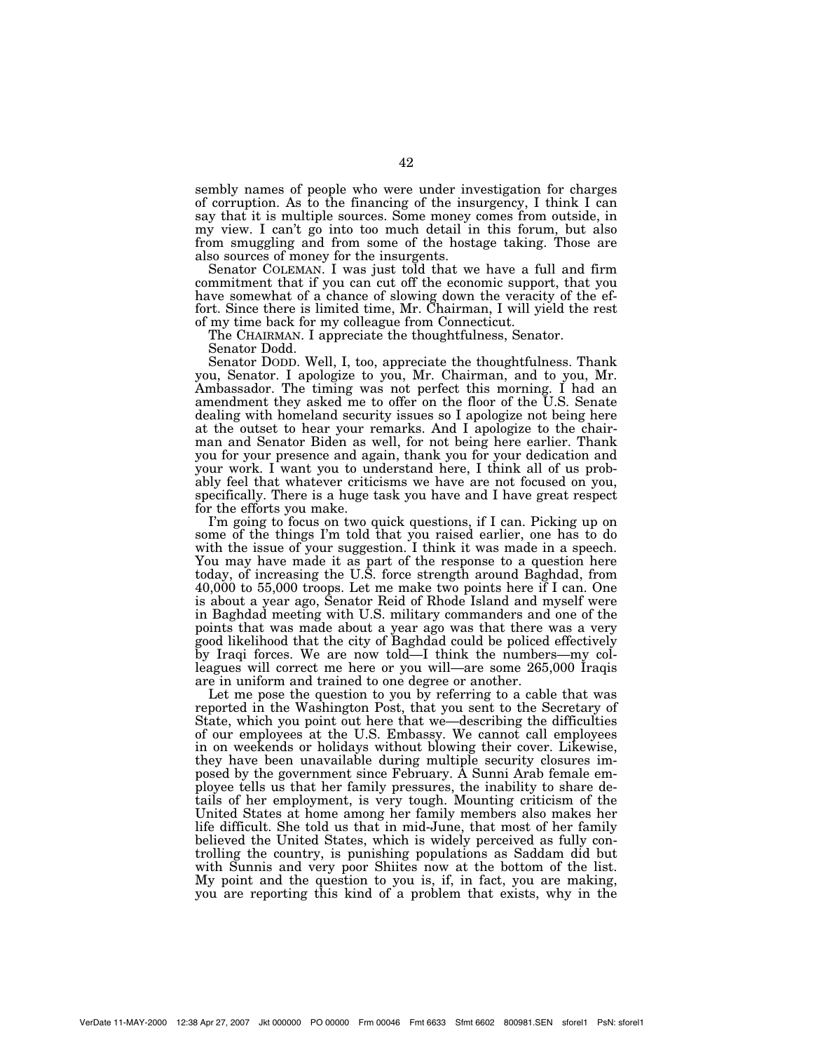sembly names of people who were under investigation for charges of corruption. As to the financing of the insurgency, I think I can say that it is multiple sources. Some money comes from outside, in my view. I can't go into too much detail in this forum, but also from smuggling and from some of the hostage taking. Those are also sources of money for the insurgents.

Senator COLEMAN. I was just told that we have a full and firm commitment that if you can cut off the economic support, that you have somewhat of a chance of slowing down the veracity of the effort. Since there is limited time, Mr. Chairman, I will yield the rest of my time back for my colleague from Connecticut.

The CHAIRMAN. I appreciate the thoughtfulness, Senator.

Senator Dodd.

Senator DODD. Well, I, too, appreciate the thoughtfulness. Thank you, Senator. I apologize to you, Mr. Chairman, and to you, Mr. Ambassador. The timing was not perfect this morning. I had an amendment they asked me to offer on the floor of the U.S. Senate dealing with homeland security issues so I apologize not being here at the outset to hear your remarks. And I apologize to the chairman and Senator Biden as well, for not being here earlier. Thank you for your presence and again, thank you for your dedication and your work. I want you to understand here, I think all of us probably feel that whatever criticisms we have are not focused on you, specifically. There is a huge task you have and I have great respect for the efforts you make.

I'm going to focus on two quick questions, if I can. Picking up on some of the things I'm told that you raised earlier, one has to do with the issue of your suggestion. I think it was made in a speech. You may have made it as part of the response to a question here today, of increasing the U.S. force strength around Baghdad, from 40,000 to 55,000 troops. Let me make two points here if I can. One is about a year ago, Senator Reid of Rhode Island and myself were in Baghdad meeting with U.S. military commanders and one of the points that was made about a year ago was that there was a very good likelihood that the city of Baghdad could be policed effectively by Iraqi forces. We are now told—I think the numbers—my colleagues will correct me here or you will—are some 265,000 Iraqis are in uniform and trained to one degree or another.

Let me pose the question to you by referring to a cable that was reported in the Washington Post, that you sent to the Secretary of State, which you point out here that we—describing the difficulties of our employees at the U.S. Embassy. We cannot call employees in on weekends or holidays without blowing their cover. Likewise, they have been unavailable during multiple security closures imposed by the government since February. A Sunni Arab female employee tells us that her family pressures, the inability to share details of her employment, is very tough. Mounting criticism of the United States at home among her family members also makes her life difficult. She told us that in mid-June, that most of her family believed the United States, which is widely perceived as fully controlling the country, is punishing populations as Saddam did but with Sunnis and very poor Shiites now at the bottom of the list. My point and the question to you is, if, in fact, you are making, you are reporting this kind of a problem that exists, why in the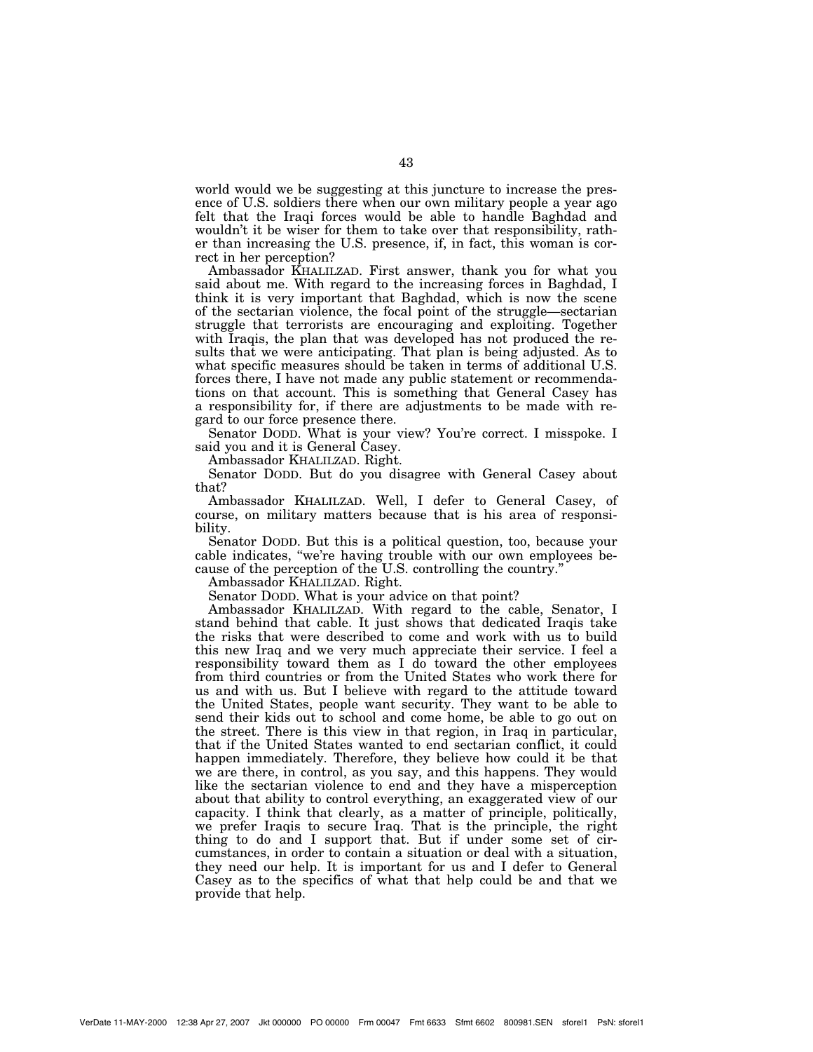world would we be suggesting at this juncture to increase the presence of U.S. soldiers there when our own military people a year ago felt that the Iraqi forces would be able to handle Baghdad and wouldn't it be wiser for them to take over that responsibility, rather than increasing the U.S. presence, if, in fact, this woman is correct in her perception?

Ambassador KHALILZAD. First answer, thank you for what you said about me. With regard to the increasing forces in Baghdad, I think it is very important that Baghdad, which is now the scene of the sectarian violence, the focal point of the struggle—sectarian struggle that terrorists are encouraging and exploiting. Together with Iraqis, the plan that was developed has not produced the results that we were anticipating. That plan is being adjusted. As to what specific measures should be taken in terms of additional U.S. forces there, I have not made any public statement or recommendations on that account. This is something that General Casey has a responsibility for, if there are adjustments to be made with regard to our force presence there.

Senator DODD. What is your view? You're correct. I misspoke. I said you and it is General Casey.

Ambassador KHALILZAD. Right.

Senator DODD. But do you disagree with General Casey about that?

Ambassador KHALILZAD. Well, I defer to General Casey, of course, on military matters because that is his area of responsibility.

Senator DODD. But this is a political question, too, because your cable indicates, ''we're having trouble with our own employees because of the perception of the U.S. controlling the country.''

Ambassador KHALILZAD. Right.

Senator DODD. What is your advice on that point?

Ambassador KHALILZAD. With regard to the cable, Senator, I stand behind that cable. It just shows that dedicated Iraqis take the risks that were described to come and work with us to build this new Iraq and we very much appreciate their service. I feel a responsibility toward them as I do toward the other employees from third countries or from the United States who work there for us and with us. But I believe with regard to the attitude toward the United States, people want security. They want to be able to send their kids out to school and come home, be able to go out on the street. There is this view in that region, in Iraq in particular, that if the United States wanted to end sectarian conflict, it could happen immediately. Therefore, they believe how could it be that we are there, in control, as you say, and this happens. They would like the sectarian violence to end and they have a misperception about that ability to control everything, an exaggerated view of our capacity. I think that clearly, as a matter of principle, politically, we prefer Iraqis to secure Iraq. That is the principle, the right thing to do and I support that. But if under some set of circumstances, in order to contain a situation or deal with a situation, they need our help. It is important for us and I defer to General Casey as to the specifics of what that help could be and that we provide that help.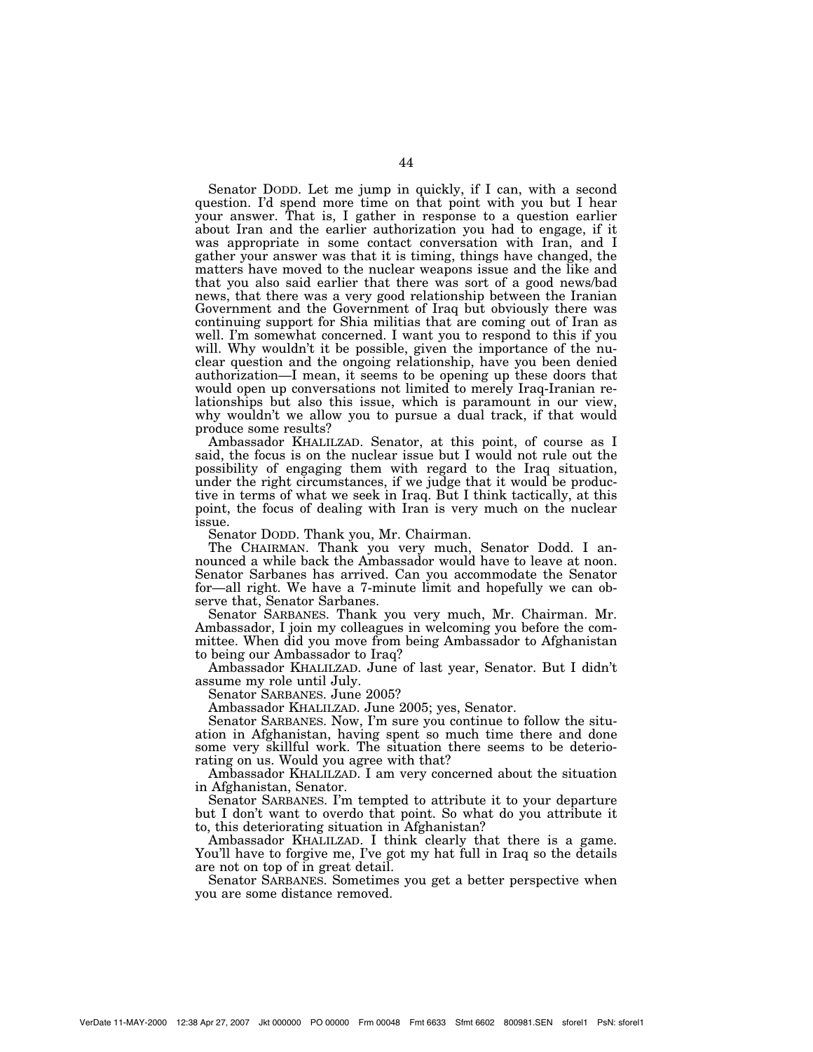Senator DODD. Let me jump in quickly, if I can, with a second question. I'd spend more time on that point with you but I hear your answer. That is, I gather in response to a question earlier about Iran and the earlier authorization you had to engage, if it was appropriate in some contact conversation with Iran, and I gather your answer was that it is timing, things have changed, the matters have moved to the nuclear weapons issue and the like and that you also said earlier that there was sort of a good news/bad news, that there was a very good relationship between the Iranian Government and the Government of Iraq but obviously there was continuing support for Shia militias that are coming out of Iran as well. I'm somewhat concerned. I want you to respond to this if you will. Why wouldn't it be possible, given the importance of the nuclear question and the ongoing relationship, have you been denied authorization—I mean, it seems to be opening up these doors that would open up conversations not limited to merely Iraq-Iranian relationships but also this issue, which is paramount in our view, why wouldn't we allow you to pursue a dual track, if that would produce some results?

Ambassador KHALILZAD. Senator, at this point, of course as I said, the focus is on the nuclear issue but I would not rule out the possibility of engaging them with regard to the Iraq situation, under the right circumstances, if we judge that it would be productive in terms of what we seek in Iraq. But I think tactically, at this point, the focus of dealing with Iran is very much on the nuclear issue.

Senator DODD. Thank you, Mr. Chairman.

The CHAIRMAN. Thank you very much, Senator Dodd. I announced a while back the Ambassador would have to leave at noon. Senator Sarbanes has arrived. Can you accommodate the Senator for—all right. We have a 7-minute limit and hopefully we can observe that, Senator Sarbanes.

Senator SARBANES. Thank you very much, Mr. Chairman. Mr. Ambassador, I join my colleagues in welcoming you before the committee. When did you move from being Ambassador to Afghanistan to being our Ambassador to Iraq?

Ambassador KHALILZAD. June of last year, Senator. But I didn't assume my role until July.

Senator SARBANES. June 2005?

Ambassador KHALILZAD. June 2005; yes, Senator.

Senator SARBANES. Now, I'm sure you continue to follow the situation in Afghanistan, having spent so much time there and done some very skillful work. The situation there seems to be deteriorating on us. Would you agree with that?

Ambassador KHALILZAD. I am very concerned about the situation in Afghanistan, Senator.

Senator SARBANES. I'm tempted to attribute it to your departure but I don't want to overdo that point. So what do you attribute it to, this deteriorating situation in Afghanistan?

Ambassador KHALILZAD. I think clearly that there is a game. You'll have to forgive me, I've got my hat full in Iraq so the details are not on top of in great detail.

Senator SARBANES. Sometimes you get a better perspective when you are some distance removed.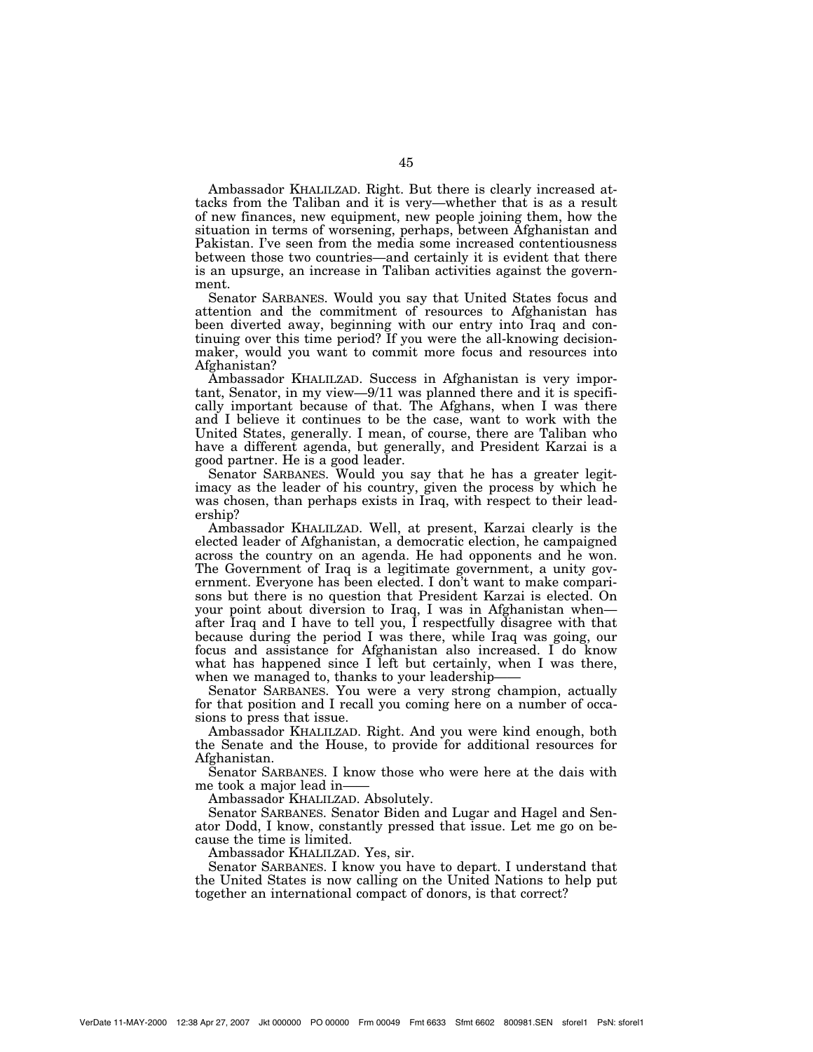Ambassador KHALILZAD. Right. But there is clearly increased attacks from the Taliban and it is very—whether that is as a result of new finances, new equipment, new people joining them, how the situation in terms of worsening, perhaps, between Afghanistan and Pakistan. I've seen from the media some increased contentiousness between those two countries—and certainly it is evident that there is an upsurge, an increase in Taliban activities against the government.

Senator SARBANES. Would you say that United States focus and attention and the commitment of resources to Afghanistan has been diverted away, beginning with our entry into Iraq and continuing over this time period? If you were the all-knowing decisionmaker, would you want to commit more focus and resources into Afghanistan?

Ambassador KHALILZAD. Success in Afghanistan is very important, Senator, in my view—9/11 was planned there and it is specifically important because of that. The Afghans, when I was there and I believe it continues to be the case, want to work with the United States, generally. I mean, of course, there are Taliban who have a different agenda, but generally, and President Karzai is a good partner. He is a good leader.

Senator SARBANES. Would you say that he has a greater legitimacy as the leader of his country, given the process by which he was chosen, than perhaps exists in Iraq, with respect to their leadership?

Ambassador KHALILZAD. Well, at present, Karzai clearly is the elected leader of Afghanistan, a democratic election, he campaigned across the country on an agenda. He had opponents and he won. The Government of Iraq is a legitimate government, a unity government. Everyone has been elected. I don't want to make comparisons but there is no question that President Karzai is elected. On your point about diversion to Iraq, I was in Afghanistan when after Iraq and I have to tell you, I respectfully disagree with that because during the period I was there, while Iraq was going, our focus and assistance for Afghanistan also increased. I do know what has happened since I left but certainly, when I was there, when we managed to, thanks to your leadership-

Senator SARBANES. You were a very strong champion, actually for that position and I recall you coming here on a number of occasions to press that issue.

Ambassador KHALILZAD. Right. And you were kind enough, both the Senate and the House, to provide for additional resources for Afghanistan.

Senator SARBANES. I know those who were here at the dais with me took a major lead in-

Ambassador KHALILZAD. Absolutely.

Senator SARBANES. Senator Biden and Lugar and Hagel and Senator Dodd, I know, constantly pressed that issue. Let me go on because the time is limited.

Ambassador KHALILZAD. Yes, sir.

Senator SARBANES. I know you have to depart. I understand that the United States is now calling on the United Nations to help put together an international compact of donors, is that correct?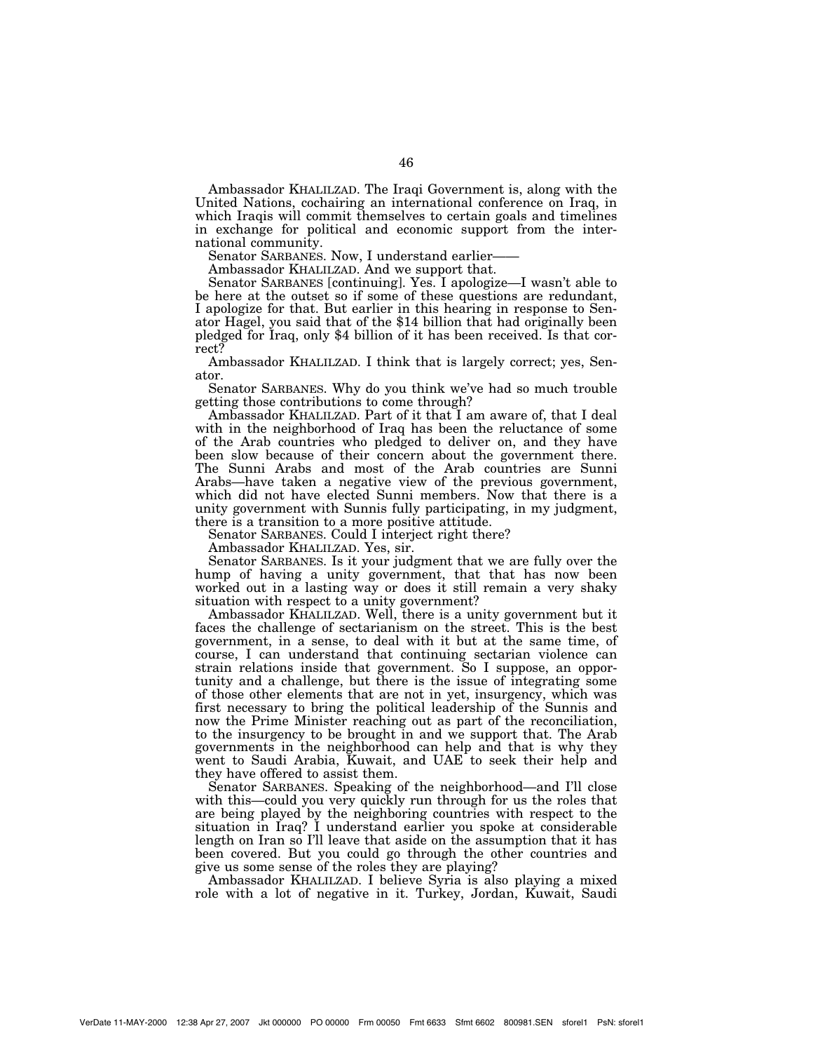Ambassador KHALILZAD. The Iraqi Government is, along with the United Nations, cochairing an international conference on Iraq, in which Iraqis will commit themselves to certain goals and timelines in exchange for political and economic support from the international community.

Senator SARBANES. Now, I understand earlier-

Ambassador KHALILZAD. And we support that.

Senator SARBANES [continuing]. Yes. I apologize—I wasn't able to be here at the outset so if some of these questions are redundant, I apologize for that. But earlier in this hearing in response to Senator Hagel, you said that of the \$14 billion that had originally been pledged for Iraq, only \$4 billion of it has been received. Is that correct?

Ambassador KHALILZAD. I think that is largely correct; yes, Senator.

Senator SARBANES. Why do you think we've had so much trouble getting those contributions to come through?

Ambassador KHALILZAD. Part of it that I am aware of, that I deal with in the neighborhood of Iraq has been the reluctance of some of the Arab countries who pledged to deliver on, and they have been slow because of their concern about the government there. The Sunni Arabs and most of the Arab countries are Sunni Arabs—have taken a negative view of the previous government, which did not have elected Sunni members. Now that there is a unity government with Sunnis fully participating, in my judgment, there is a transition to a more positive attitude.

Senator SARBANES. Could I interject right there?

Ambassador KHALILZAD. Yes, sir.

Senator SARBANES. Is it your judgment that we are fully over the hump of having a unity government, that that has now been worked out in a lasting way or does it still remain a very shaky situation with respect to a unity government?

Ambassador KHALILZAD. Well, there is a unity government but it faces the challenge of sectarianism on the street. This is the best government, in a sense, to deal with it but at the same time, of course, I can understand that continuing sectarian violence can strain relations inside that government. So I suppose, an opportunity and a challenge, but there is the issue of integrating some of those other elements that are not in yet, insurgency, which was first necessary to bring the political leadership of the Sunnis and now the Prime Minister reaching out as part of the reconciliation, to the insurgency to be brought in and we support that. The Arab governments in the neighborhood can help and that is why they went to Saudi Arabia, Kuwait, and UAE to seek their help and they have offered to assist them.

Senator SARBANES. Speaking of the neighborhood—and I'll close with this—could you very quickly run through for us the roles that are being played by the neighboring countries with respect to the situation in Iraq? I understand earlier you spoke at considerable length on Iran so I'll leave that aside on the assumption that it has been covered. But you could go through the other countries and give us some sense of the roles they are playing?

Ambassador KHALILZAD. I believe Syria is also playing a mixed role with a lot of negative in it. Turkey, Jordan, Kuwait, Saudi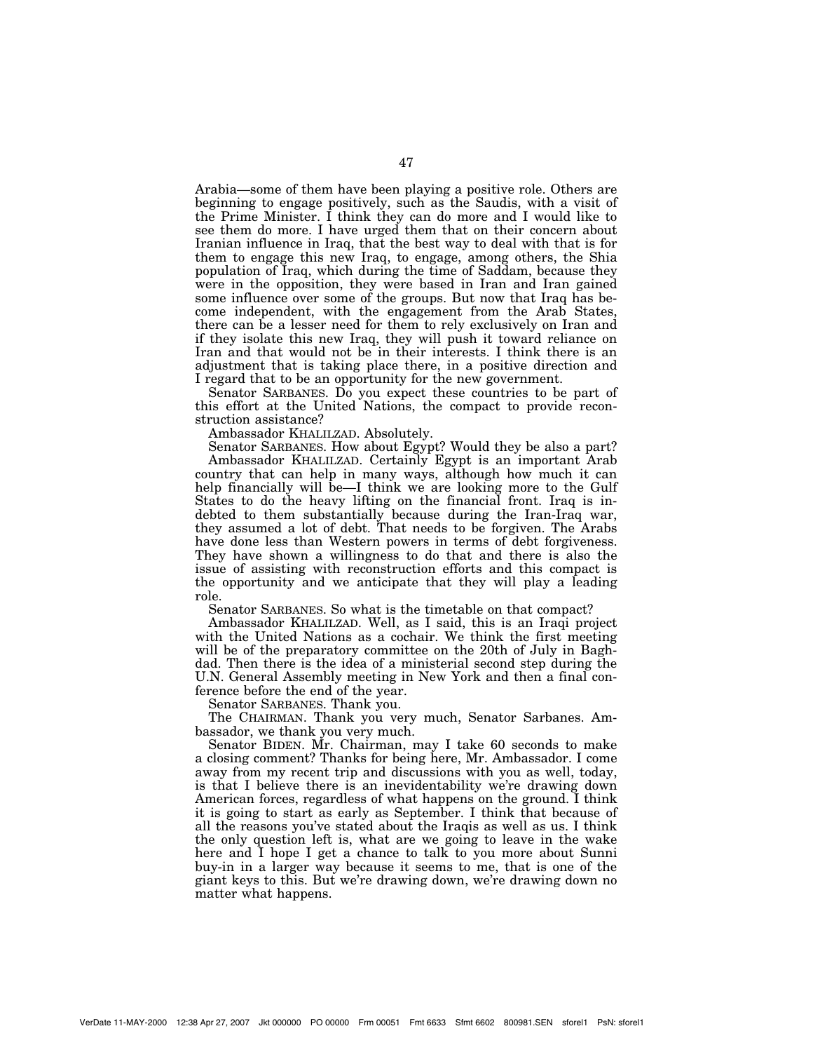Arabia—some of them have been playing a positive role. Others are beginning to engage positively, such as the Saudis, with a visit of the Prime Minister. I think they can do more and I would like to see them do more. I have urged them that on their concern about Iranian influence in Iraq, that the best way to deal with that is for them to engage this new Iraq, to engage, among others, the Shia population of Iraq, which during the time of Saddam, because they were in the opposition, they were based in Iran and Iran gained some influence over some of the groups. But now that Iraq has become independent, with the engagement from the Arab States, there can be a lesser need for them to rely exclusively on Iran and if they isolate this new Iraq, they will push it toward reliance on Iran and that would not be in their interests. I think there is an adjustment that is taking place there, in a positive direction and I regard that to be an opportunity for the new government.

Senator SARBANES. Do you expect these countries to be part of this effort at the United Nations, the compact to provide reconstruction assistance?

Ambassador KHALILZAD. Absolutely.

Senator SARBANES. How about Egypt? Would they be also a part? Ambassador KHALILZAD. Certainly Egypt is an important Arab country that can help in many ways, although how much it can help financially will be—I think we are looking more to the Gulf States to do the heavy lifting on the financial front. Iraq is indebted to them substantially because during the Iran-Iraq war, they assumed a lot of debt. That needs to be forgiven. The Arabs have done less than Western powers in terms of debt forgiveness. They have shown a willingness to do that and there is also the issue of assisting with reconstruction efforts and this compact is the opportunity and we anticipate that they will play a leading role.

Senator SARBANES. So what is the timetable on that compact?

Ambassador KHALILZAD. Well, as I said, this is an Iraqi project with the United Nations as a cochair. We think the first meeting will be of the preparatory committee on the 20th of July in Baghdad. Then there is the idea of a ministerial second step during the U.N. General Assembly meeting in New York and then a final conference before the end of the year.

Senator SARBANES. Thank you.

The CHAIRMAN. Thank you very much, Senator Sarbanes. Ambassador, we thank you very much.

Senator BIDEN. Mr. Chairman, may I take 60 seconds to make a closing comment? Thanks for being here, Mr. Ambassador. I come away from my recent trip and discussions with you as well, today, is that I believe there is an inevidentability we're drawing down American forces, regardless of what happens on the ground. I think it is going to start as early as September. I think that because of all the reasons you've stated about the Iraqis as well as us. I think the only question left is, what are we going to leave in the wake here and I hope I get a chance to talk to you more about Sunni buy-in in a larger way because it seems to me, that is one of the giant keys to this. But we're drawing down, we're drawing down no matter what happens.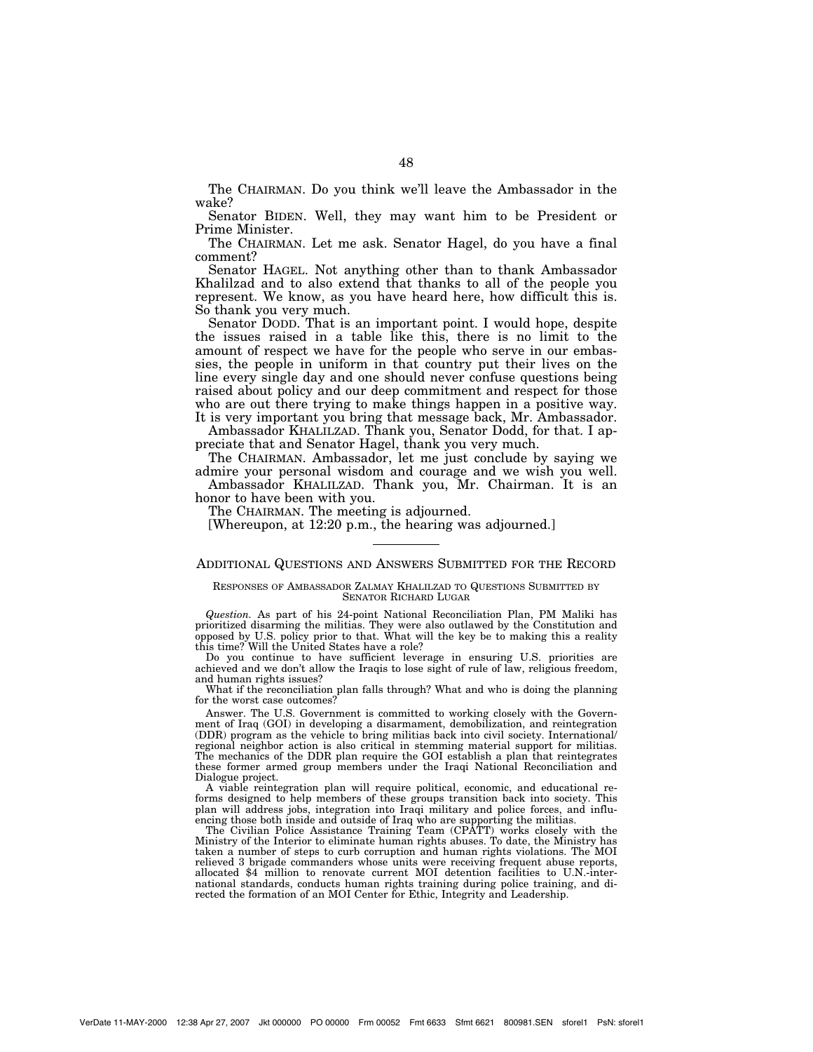The CHAIRMAN. Do you think we'll leave the Ambassador in the wake?

Senator BIDEN. Well, they may want him to be President or Prime Minister.

The CHAIRMAN. Let me ask. Senator Hagel, do you have a final comment?

Senator HAGEL. Not anything other than to thank Ambassador Khalilzad and to also extend that thanks to all of the people you represent. We know, as you have heard here, how difficult this is. So thank you very much.

Senator DODD. That is an important point. I would hope, despite the issues raised in a table like this, there is no limit to the amount of respect we have for the people who serve in our embassies, the people in uniform in that country put their lives on the line every single day and one should never confuse questions being raised about policy and our deep commitment and respect for those who are out there trying to make things happen in a positive way. It is very important you bring that message back, Mr. Ambassador.

Ambassador KHALILZAD. Thank you, Senator Dodd, for that. I appreciate that and Senator Hagel, thank you very much.

The CHAIRMAN. Ambassador, let me just conclude by saying we admire your personal wisdom and courage and we wish you well.

Ambassador KHALILZAD. Thank you, Mr. Chairman. It is an honor to have been with you.

The CHAIRMAN. The meeting is adjourned.

[Whereupon, at 12:20 p.m., the hearing was adjourned.]

# ADDITIONAL QUESTIONS AND ANSWERS SUBMITTED FOR THE RECORD

#### RESPONSES OF AMBASSADOR ZALMAY KHALILZAD TO QUESTIONS SUBMITTED BY SENATOR RICHARD LUGAR

*Question.* As part of his 24-point National Reconciliation Plan, PM Maliki has prioritized disarming the militias. They were also outlawed by the Constitution and opposed by U.S. policy prior to that. What will the key be to making this a reality this time? Will the United States have a role?

Do you continue to have sufficient leverage in ensuring U.S. priorities are achieved and we don't allow the Iraqis to lose sight of rule of law, religious freedom, and human rights issues?

What if the reconciliation plan falls through? What and who is doing the planning for the worst case outcomes?

Answer. The U.S. Government is committed to working closely with the Government of Iraq (GOI) in developing a disarmament, demobilization, and reintegration (DDR) program as the vehicle to bring militias back into civil society. International/ regional neighbor action is also critical in stemming material support for militias. The mechanics of the DDR plan require the GOI establish a plan that reintegrates these former armed group members under the Iraqi National Reconciliation and Dialogue project.

A viable reintegration plan will require political, economic, and educational reforms designed to help members of these groups transition back into society. This plan will address jobs, integration into Iraqi military and police forces, and influencing those both inside and outside of Iraq who are supporting the militias.

The Civilian Police Assistance Training Team (CPATT) works closely with the Ministry of the Interior to eliminate human rights abuses. To date, the Ministry has taken a number of steps to curb corruption and human rights violations. The MOI relieved 3 brigade commanders whose units were receiving frequent abuse reports, allocated \$4 million to renovate current MOI detention facilities to U.N.-international standards, conducts human rights training during police training, and directed the formation of an MOI Center for Ethic, Integrity and Leadership.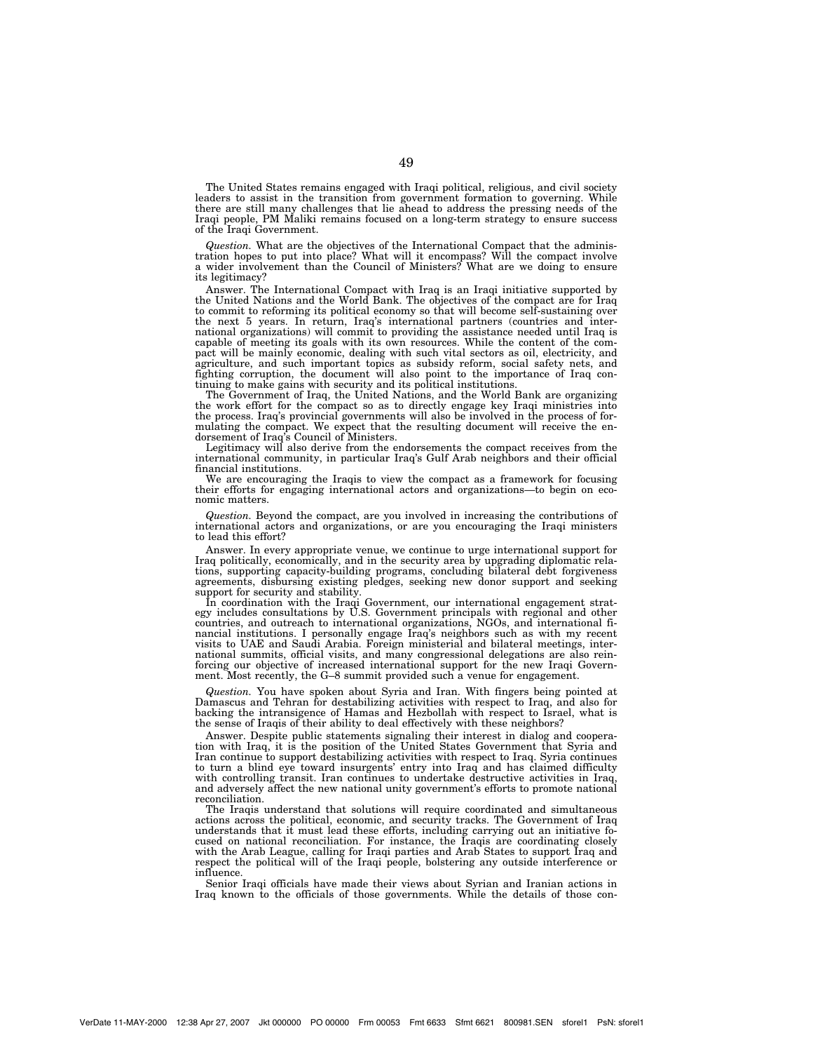The United States remains engaged with Iraqi political, religious, and civil society leaders to assist in the transition from government formation to governing. While there are still many challenges that lie ahead to address the pressing needs of the Iraqi people, PM Maliki remains focused on a long-term strategy to ensure success of the Iraqi Government.

*Question.* What are the objectives of the International Compact that the administration hopes to put into place? What will it encompass? Will the compact involve a wider involvement than the Council of Ministers? What are we doing to ensure its legitimacy?

Answer. The International Compact with Iraq is an Iraqi initiative supported by the United Nations and the World Bank. The objectives of the compact are for Iraq to commit to reforming its political economy so that will become self-sustaining over the next 5 years. In return, Iraq's international partners (countries and international organizations) will commit to providing the assistance needed until Iraq is capable of meeting its goals with its own resources. While the content of the compact will be mainly economic, dealing with such vital sectors as oil, electricity, and agriculture, and such important topics as subsidy reform, social safety nets, and fighting corruption, the document will also point to the importance of Iraq continuing to make gains with security and its political institutions.

The Government of Iraq, the United Nations, and the World Bank are organizing the work effort for the compact so as to directly engage key Iraqi ministries into the process. Iraq's provincial governments will also be involved in the process of formulating the compact. We expect that the resulting document will receive the endorsement of Iraq's Council of Ministers.

Legitimacy will also derive from the endorsements the compact receives from the international community, in particular Iraq's Gulf Arab neighbors and their official financial institutions.

We are encouraging the Iraqis to view the compact as a framework for focusing their efforts for engaging international actors and organizations—to begin on economic matters.

*Question.* Beyond the compact, are you involved in increasing the contributions of international actors and organizations, or are you encouraging the Iraqi ministers to lead this effort?

Answer. In every appropriate venue, we continue to urge international support for Iraq politically, economically, and in the security area by upgrading diplomatic relations, supporting capacity-building programs, concluding bilateral debt forgiveness agreements, disbursing existing pledges, seeking new donor support and seeking support for security and stability.

In coordination with the Iraqi Government, our international engagement strat-egy includes consultations by U.S. Government principals with regional and other countries, and outreach to international organizations, NGOs, and international financial institutions. I personally engage Iraq's neighbors such as with my recent visits to UAE and Saudi Arabia. Foreign ministerial and bilateral meetings, international summits, official visits, and many congressional delegations are also reinforcing our objective of increased international support for the new Iraqi Government. Most recently, the G-8 summit provided such a venue for engagement.

*Question.* You have spoken about Syria and Iran. With fingers being pointed at Damascus and Tehran for destabilizing activities with respect to Iraq, and also for backing the intransigence of Hamas and Hezbollah with respect to Israel, what is the sense of Iraqis of their ability to deal effectively with these neighbors?

Answer. Despite public statements signaling their interest in dialog and coopera-tion with Iraq, it is the position of the United States Government that Syria and Iran continue to support destabilizing activities with respect to Iraq. Syria continues to turn a blind eye toward insurgents' entry into Iraq and has claimed difficulty with controlling transit. Iran continues to undertake destructive activities in Iraq, and adversely affect the new national unity government's efforts to promote national reconciliation.

The Iraqis understand that solutions will require coordinated and simultaneous actions across the political, economic, and security tracks. The Government of Iraq understands that it must lead these efforts, including carrying out an initiative focused on national reconciliation. For instance, the Iraqis are coordinating closely with the Arab League, calling for Iraqi parties and Arab States to support Iraq and respect the political will of the Iraqi people, bolstering any outside interference or influence.

Senior Iraqi officials have made their views about Syrian and Iranian actions in Iraq known to the officials of those governments. While the details of those con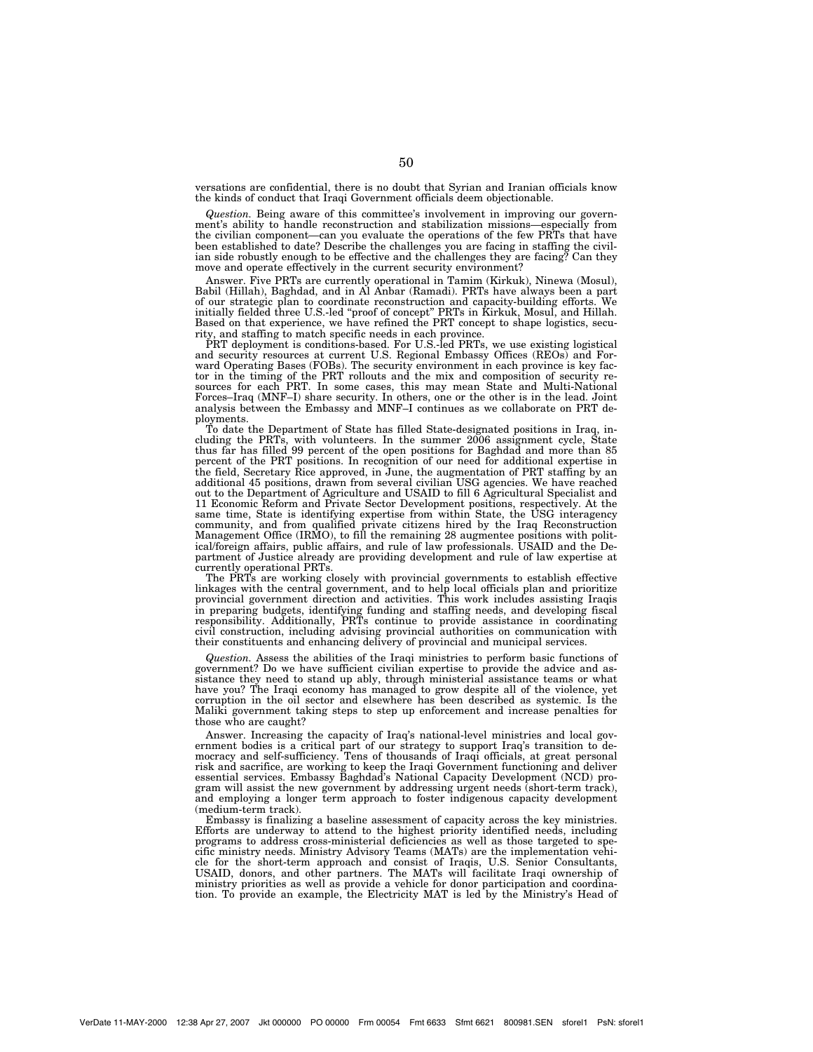versations are confidential, there is no doubt that Syrian and Iranian officials know the kinds of conduct that Iraqi Government officials deem objectionable.

*Question.* Being aware of this committee's involvement in improving our government's ability to handle reconstruction and stabilization missions—especially from the civilian component—can you evaluate the operations of the few PRTs that have been established to date? Describe the challenges you are facing in staffing the civilian side robustly enough to be effective and the challenges they are facing? Can they move and operate effectively in the current security environment?

Answer. Five PRTs are currently operational in Tamim (Kirkuk), Ninewa (Mosul), Babil (Hillah), Baghdad, and in Al Anbar (Ramadi). PRTs have always been a part of our strategic plan to coordinate reconstruction and capacity-building efforts. We initially fielded three U.S.-led ''proof of concept'' PRTs in Kirkuk, Mosul, and Hillah. Based on that experience, we have refined the PRT concept to shape logistics, security, and staffing to match specific needs in each province.

PRT deployment is conditions-based. For U.S.-led PRTs, we use existing logistical and security resources at current U.S. Regional Embassy Offices (REOs) and Forward Operating Bases (FOBs). The security environment in each province is key factor in the timing of the PRT rollouts and the mix and composition of security resources for each PRT. In some cases, this may mean State and Multi-National Forces–Iraq (MNF–I) share security. In others, one or the other is in the lead. Joint analysis between the Embassy and MNF–I continues as we collaborate on PRT deployments.

To date the Department of State has filled State-designated positions in Iraq, including the PRTs, with volunteers. In the summer 2006 assignment cycle, State thus far has filled 99 percent of the open positions for Baghdad and more than 85 percent of the PRT positions. In recognition of our need for additional expertise in the field, Secretary Rice approved, in June, the augmentation of PRT staffing by an additional 45 positions, drawn from several civilian USG agencies. We have reached out to the Department of Agriculture and USAID to fill 6 Agricultural Specialist and 11 Economic Reform and Private Sector Development positions, respectively. At the same time, State is identifying expertise from within State, the USG interagency community, and from qualified private citizens hired by the Iraq Reconstruction Management Office (IRMO), to fill the remaining 28 augmentee positions with political/foreign affairs, public affairs, and rule of law professionals. USAID and the Department of Justice already are providing development and rule of law expertise at currently operational PRTs.

The PRTs are working closely with provincial governments to establish effective linkages with the central government, and to help local officials plan and prioritize provincial government direction and activities. This work includes assisting Iraqis in preparing budgets, identifying funding and staffing needs, and developing fiscal responsibility. Additionally, PRTs continue to provide assistance in coordinating civil construction, including advising provincial authorities on communication with their constituents and enhancing delivery of provincial and municipal services.

*Question.* Assess the abilities of the Iraqi ministries to perform basic functions of government? Do we have sufficient civilian expertise to provide the advice and assistance they need to stand up ably, through ministerial assistance teams or what have you? The Iraqi economy has managed to grow despite all of the violence, yet corruption in the oil sector and elsewhere has been described as systemic. Is the Maliki government taking steps to step up enforcement and increase penalties for those who are caught?

Answer. Increasing the capacity of Iraq's national-level ministries and local government bodies is a critical part of our strategy to support Iraq's transition to democracy and self-sufficiency. Tens of thousands of Iraqi officials, at great personal risk and sacrifice, are working to keep the Iraqi Government functioning and deliver essential services. Embassy Baghdad's National Capacity Development (NCD) program will assist the new government by addressing urgent needs (short-term track), and employing a longer term approach to foster indigenous capacity development (medium-term track).

Embassy is finalizing a baseline assessment of capacity across the key ministries. Efforts are underway to attend to the highest priority identified needs, including programs to address cross-ministerial deficiencies as well as those targeted to specific ministry needs. Ministry Advisory Teams (MATs) are the implementation vehicle for the short-term approach and consist of Iraqis, U.S. Senior Consultants, USAID, donors, and other partners. The MATs will facilitate Iraqi ownership of ministry priorities as well as provide a vehicle for donor participation and coordina-tion. To provide an example, the Electricity MAT is led by the Ministry's Head of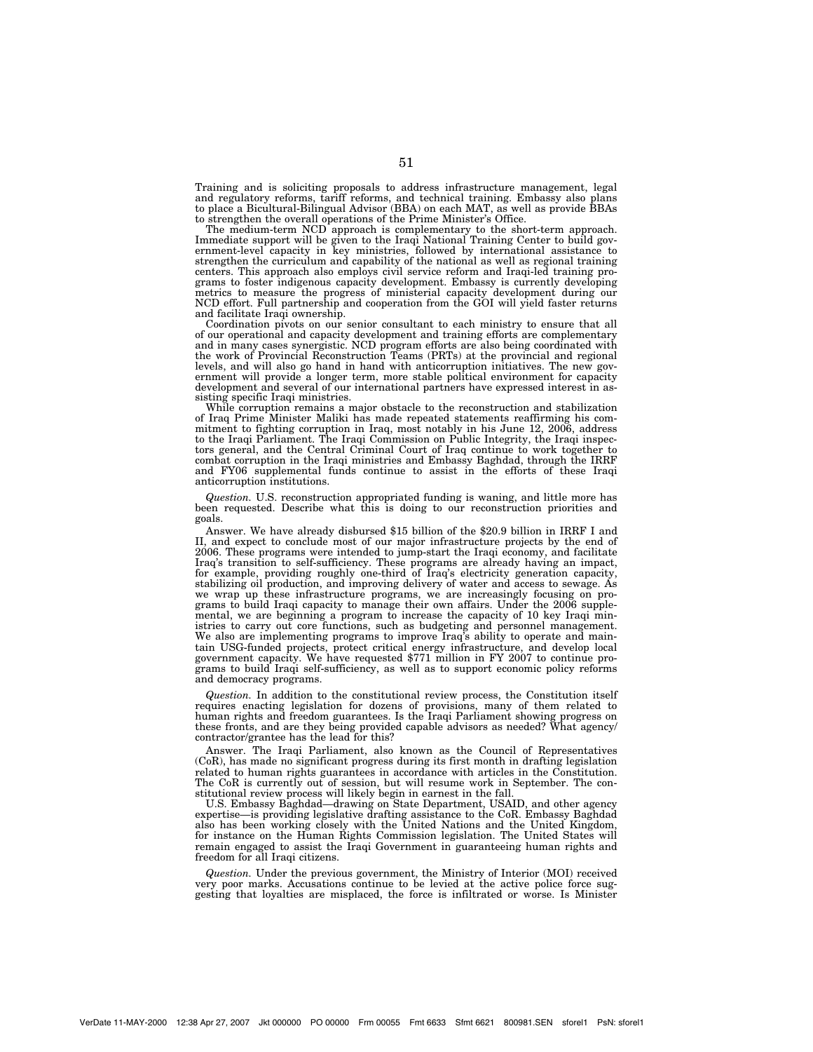Training and is soliciting proposals to address infrastructure management, legal and regulatory reforms, tariff reforms, and technical training. Embassy also plans to place a Bicultural-Bilingual Advisor (BBA) on each MAT, as well as provide BBAs to strengthen the overall operations of the Prime Minister's Office.

The medium-term NCD approach is complementary to the short-term approach. Immediate support will be given to the Iraqi National Training Center to build gov-ernment-level capacity in key ministries, followed by international assistance to strengthen the curriculum and capability of the national as well as regional training centers. This approach also employs civil service reform and Iraqi-led training programs to foster indigenous capacity development. Embassy is currently developing metrics to measure the progress of ministerial capacity development during our NCD effort. Full partnership and cooperation from the GOI will yield faster returns and facilitate Iraqi ownership.

Coordination pivots on our senior consultant to each ministry to ensure that all of our operational and capacity development and training efforts are complementary and in many cases synergistic. NCD program efforts are also being coordinated with the work of Provincial Reconstruction Teams (PRTs) at the provincial and regional levels, and will also go hand in hand with anticorruption initiatives. The new government will provide a longer term, more stable political environment for capacity development and several of our international partners have expressed interest in assisting specific Iraqi ministries.

While corruption remains a major obstacle to the reconstruction and stabilization of Iraq Prime Minister Maliki has made repeated statements reaffirming his commitment to fighting corruption in Iraq, most notably in his June 12, 2006, address to the Iraqi Parliament. The Iraqi Commission on Public Integrity, the Iraqi inspectors general, and the Central Criminal Court of Iraq continue to work together to combat corruption in the Iraqi ministries and Embassy Baghdad, through the IRRF and FY06 supplemental funds continue to assist in the efforts of these Iraqi anticorruption institutions.

*Question.* U.S. reconstruction appropriated funding is waning, and little more has been requested. Describe what this is doing to our reconstruction priorities and goals.

Answer. We have already disbursed \$15 billion of the \$20.9 billion in IRRF I and II, and expect to conclude most of our major infrastructure projects by the end of 2006. These programs were intended to jump-start the Iraqi economy, and facilitate Iraq's transition to self-sufficiency. These programs are already having an impact, for example, providing roughly one-third of Iraq's electricity generation capacity, stabilizing oil production, and improving delivery of water and access to sewage. As we wrap up these infrastructure programs, we are increasingly focusing on programs to build Iraqi capacity to manage their own affairs. Under the 2006 supplemental, we are beginning a program to increase the capacity of 10 key Iraqi ministries to carry out core functions, such as budgeting and personnel management. We also are implementing programs to improve Iraq's ability to operate and maintain USG-funded projects, protect critical energy infrastructure, and develop local government capacity. We have requested \$771 million in FY 2007 to continue programs to build Iraqi self-sufficiency, as well as to support economic policy reforms and democracy programs.

*Question.* In addition to the constitutional review process, the Constitution itself requires enacting legislation for dozens of provisions, many of them related to human rights and freedom guarantees. Is the Iraqi Parliament showing progress on these fronts, and are they being provided capable advisors as needed? What agency/ contractor/grantee has the lead for this?

Answer. The Iraqi Parliament, also known as the Council of Representatives (CoR), has made no significant progress during its first month in drafting legislation related to human rights guarantees in accordance with articles in the Constitution. The CoR is currently out of session, but will resume work in September. The constitutional review process will likely begin in earnest in the fall.

U.S. Embassy Baghdad—drawing on State Department, USAID, and other agency expertise—is providing legislative drafting assistance to the CoR. Embassy Baghdad also has been working closely with the United Nations and the United Kingdom, for instance on the Human Rights Commission legislation. The United States will remain engaged to assist the Iraqi Government in guaranteeing human rights and freedom for all Iraqi citizens.

*Question.* Under the previous government, the Ministry of Interior (MOI) received very poor marks. Accusations continue to be levied at the active police force suggesting that loyalties are misplaced, the force is infiltrated or worse. Is Minister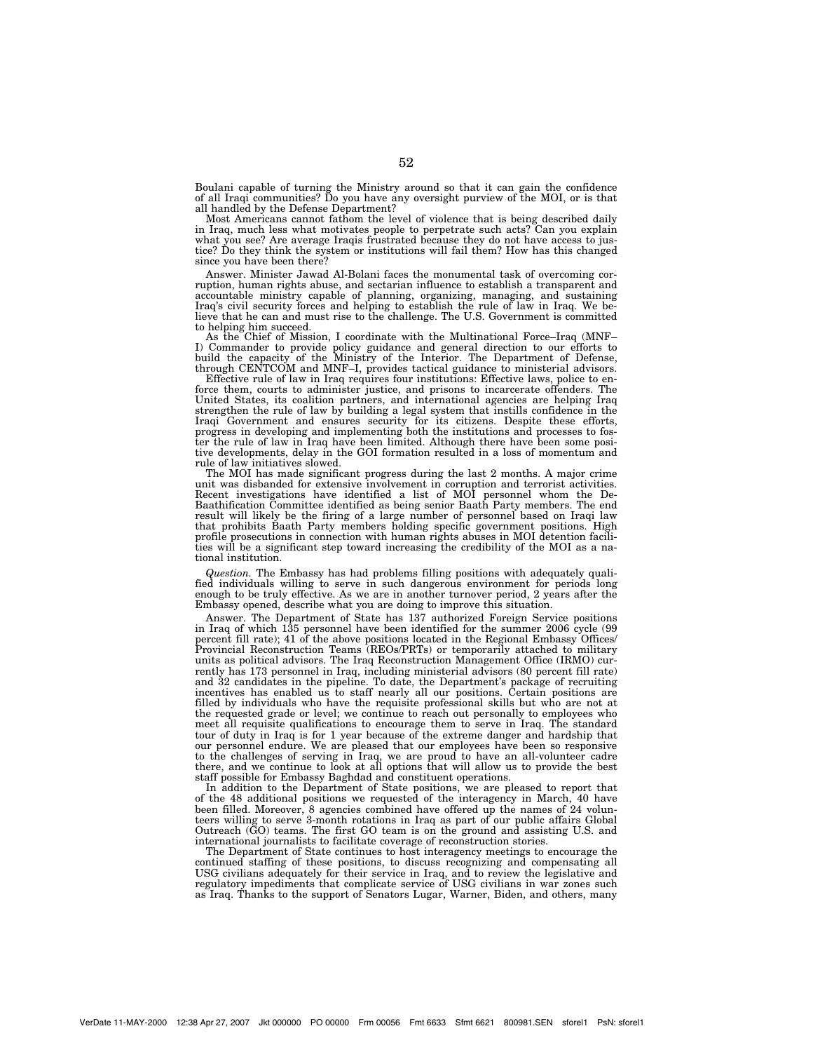Boulani capable of turning the Ministry around so that it can gain the confidence of all Iraqi communities? Do you have any oversight purview of the MOI, or is that all handled by the Defense Department?

Most Americans cannot fathom the level of violence that is being described daily in Iraq, much less what motivates people to perpetrate such acts? Can you explain what you see? Are average Iraqis frustrated because they do not have access to justice? Do they think the system or institutions will fail them? How has this changed since you have been there?

Answer. Minister Jawad Al-Bolani faces the monumental task of overcoming corruption, human rights abuse, and sectarian influence to establish a transparent and accountable ministry capable of planning, organizing, managing, and sustaining Iraq's civil security forces and helping to establish the rule of law in Iraq. We be-lieve that he can and must rise to the challenge. The U.S. Government is committed to helping him succeed.

As the Chief of Mission, I coordinate with the Multinational Force–Iraq (MNF– I) Commander to provide policy guidance and general direction to our efforts to build the capacity of the Ministry of the Interior. The Department of Defense, through CENTCOM and MNF–I, provides tactical guidance to ministerial advisors. Effective rule of law in Iraq requires four institutions: Effective laws, police to en-

force them, courts to administer justice, and prisons to incarcerate offenders. The United States, its coalition partners, and international agencies are helping Iraq strengthen the rule of law by building a legal system that instills confidence in the Iraqi Government and ensures security for its citizens. Despite these efforts, progress in developing and implementing both the institutions and processes to foster the rule of law in Iraq have been limited. Although there have been some positive developments, delay in the GOI formation resulted in a loss of momentum and rule of law initiatives slowed. The MOI has made significant progress during the last 2 months. A major crime

unit was disbanded for extensive involvement in corruption and terrorist activities. Recent investigations have identified a list of MOI personnel whom the De-Baathification Committee identified as being senior Baath Party members. The end result will likely be the firing of a large number of personnel based on Iraqi law that prohibits Baath Party members holding specific government positions. High profile prosecutions in connection with human rights abuses in MOI detention facilities will be a significant step toward increasing the credibility of the MOI as a national institution.

*Question.* The Embassy has had problems filling positions with adequately qualified individuals willing to serve in such dangerous environment for periods long enough to be truly effective. As we are in another turnover period, 2 years after the Embassy opened, describe what you are doing to improve this situation.

Answer. The Department of State has 137 authorized Foreign Service positions in Iraq of which 135 personnel have been identified for the summer 2006 cycle (99 percent fill rate); 41 of the above positions located in the Regional Embassy Offices/ Provincial Reconstruction Teams (REOs/PRTs) or temporarily attached to military units as political advisors. The Iraq Reconstruction Management Office (IRMO) currently has 173 personnel in Iraq, including ministerial advisors (80 percent fill rate) and 32 candidates in the pipeline. To date, the Department's package of recruiting incentives has enabled us to staff nearly all our positions. Certain positions are filled by individuals who have the requisite professional skills but who are not at the requested grade or level; we continue to reach out personally to employees who meet all requisite qualifications to encourage them to serve in Iraq. The standard tour of duty in Iraq is for 1 year because of the extreme danger and hardship that our personnel endure. We are pleased that our employees have been so responsive to the challenges of serving in Iraq, we are proud to have an all-volunteer cadre there, and we continue to look at all options that will allow us to provide the best staff possible for Embassy Baghdad and constituent operations.

In addition to the Department of State positions, we are pleased to report that of the 48 additional positions we requested of the interagency in March, 40 have been filled. Moreover, 8 agencies combined have offered up the names of 24 volunteers willing to serve 3-month rotations in Iraq as part of our public affairs Global Outreach (GO) teams. The first GO team is on the ground and assisting U.S. and international journalists to facilitate coverage of reconstruction stories.

The Department of State continues to host interagency meetings to encourage the continued staffing of these positions, to discuss recognizing and compensating all USG civilians adequately for their service in Iraq, and to review the legislative and regulatory impediments that complicate service of USG civilians in war zones such as Iraq. Thanks to the support of Senators Lugar, Warner, Biden, and others, many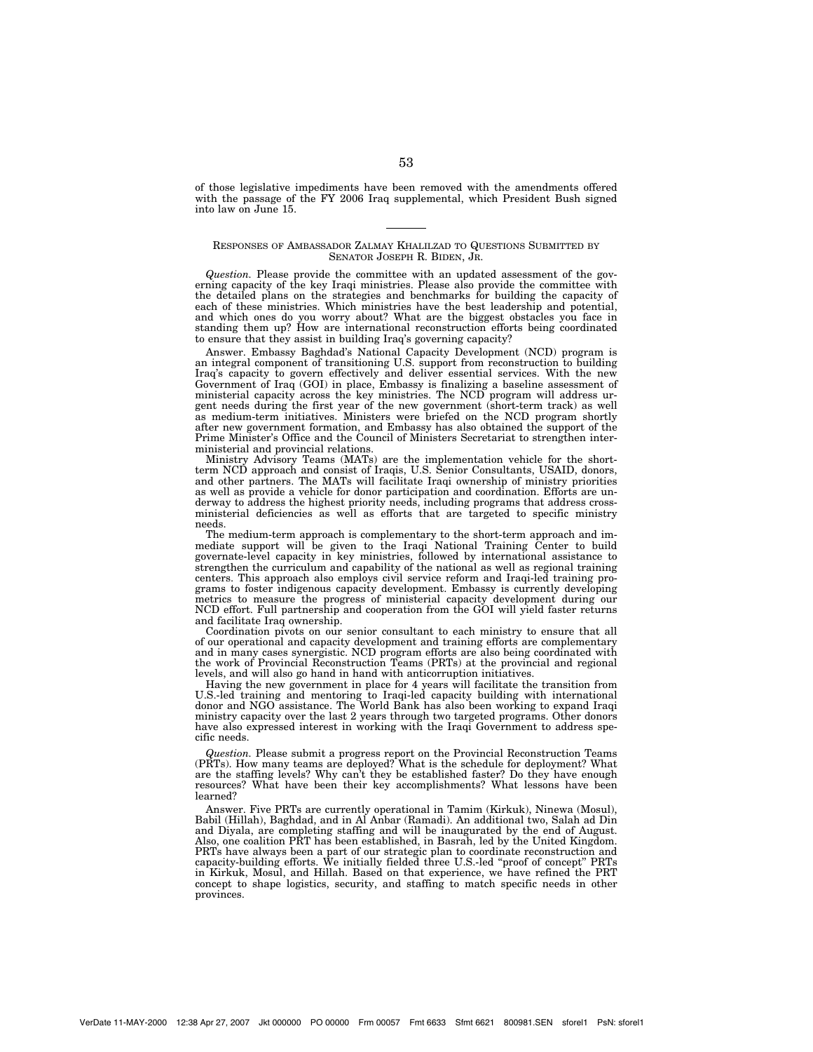of those legislative impediments have been removed with the amendments offered with the passage of the FY 2006 Iraq supplemental, which President Bush signed into law on June 15.

## RESPONSES OF AMBASSADOR ZALMAY KHALILZAD TO QUESTIONS SUBMITTED BY SENATOR JOSEPH R. BIDEN, JR.

*Question.* Please provide the committee with an updated assessment of the governing capacity of the key Iraqi ministries. Please also provide the committee with the detailed plans on the strategies and benchmarks for building the capacity of each of these ministries. Which ministries have the best leadership and potential, and which ones do you worry about? What are the biggest obstacles you face in standing them up? How are international reconstruction efforts being coordinated to ensure that they assist in building Iraq's governing capacity?

Answer. Embassy Baghdad's National Capacity Development (NCD) program is an integral component of transitioning U.S. support from reconstruction to building Iraq's capacity to govern effectively and deliver essential services. With the new Government of Iraq (GOI) in place, Embassy is finalizing a baseline assessment of ministerial capacity across the key ministries. The NCD program will address urgent needs during the first year of the new government (short-term track) as well as medium-term initiatives. Ministers were briefed on the NCD program shortly after new government formation, and Embassy has also obtained the support of the Prime Minister's Office and the Council of Ministers Secretariat to strengthen interministerial and provincial relations.

Ministry Advisory Teams (MATs) are the implementation vehicle for the shortterm NCD approach and consist of Iraqis, U.S. Senior Consultants, USAID, donors, and other partners. The MATs will facilitate Iraqi ownership of ministry priorities as well as provide a vehicle for donor participation and coordination. Efforts are underway to address the highest priority needs, including programs that address crossministerial deficiencies as well as efforts that are targeted to specific ministry needs.

The medium-term approach is complementary to the short-term approach and immediate support will be given to the Iraqi National Training Center to build governate-level capacity in key ministries, followed by international assistance to strengthen the curriculum and capability of the national as well as regional training centers. This approach also employs civil service reform and Iraqi-led training programs to foster indigenous capacity development. Embassy is currently developing metrics to measure the progress of ministerial capacity development during our NCD effort. Full partnership and cooperation from the GOI will yield faster returns and facilitate Iraq ownership.

Coordination pivots on our senior consultant to each ministry to ensure that all of our operational and capacity development and training efforts are complementary and in many cases synergistic. NCD program efforts are also being coordinated with the work of Provincial Reconstruction Teams (PRTs) at the provincial and regional levels, and will also go hand in hand with anticorruption initiatives.

Having the new government in place for 4 years will facilitate the transition from U.S.-led training and mentoring to Iraqi-led capacity building with international donor and NGO assistance. The World Bank has also been working to expand Iraqi ministry capacity over the last 2 years through two targeted programs. Other donors have also expressed interest in working with the Iraqi Government to address specific needs.

*Question.* Please submit a progress report on the Provincial Reconstruction Teams (PRTs). How many teams are deployed? What is the schedule for deployment? What are the staffing levels? Why can't they be established faster? Do they have enough resources? What have been their key accomplishments? What lessons have been learned?

Answer. Five PRTs are currently operational in Tamim (Kirkuk), Ninewa (Mosul), Babil (Hillah), Baghdad, and in Al Anbar (Ramadi). An additional two, Salah ad Din and Diyala, are completing staffing and will be inaugurated by the end of August. Also, one coalition PRT has been established, in Basrah, led by the United Kingdom. PRTs have always been a part of our strategic plan to coordinate reconstruction and capacity-building efforts. We initially fielded three U.S.-led ''proof of concept'' PRTs in Kirkuk, Mosul, and Hillah. Based on that experience, we have refined the PRT concept to shape logistics, security, and staffing to match specific needs in other provinces.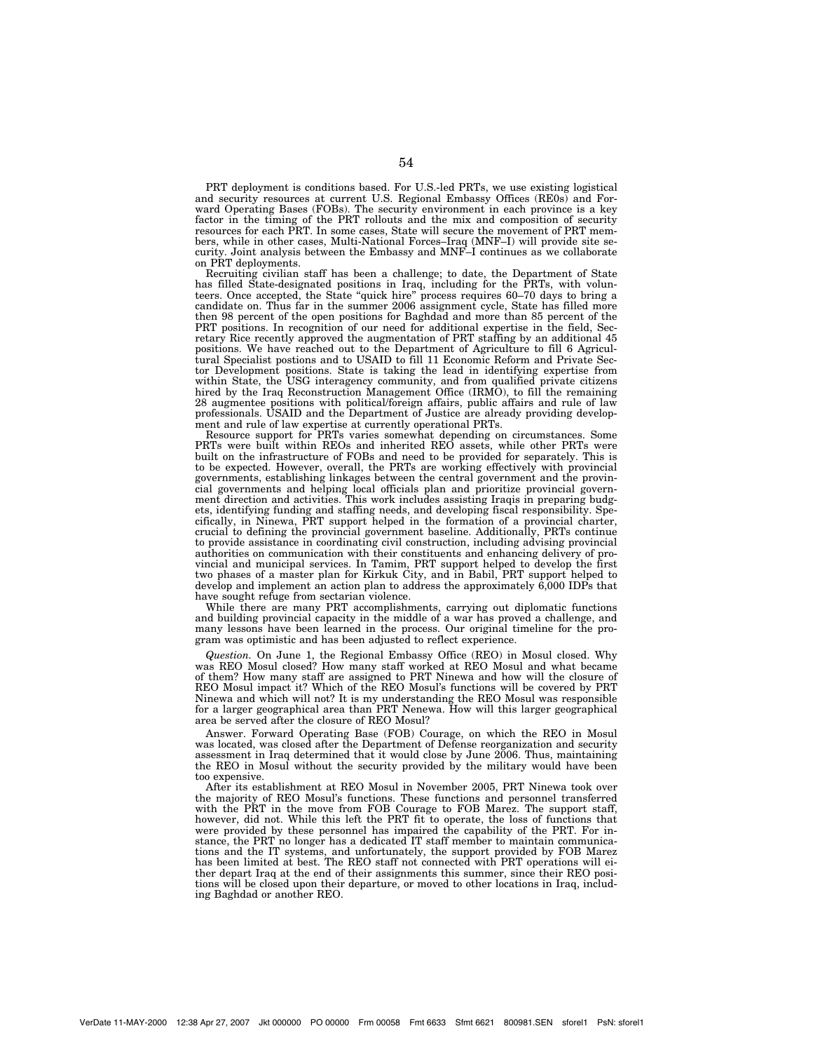PRT deployment is conditions based. For U.S.-led PRTs, we use existing logistical and security resources at current U.S. Regional Embassy Offices (RE0s) and Forward Operating Bases (FOBs). The security environment in each province is a key factor in the timing of the PRT rollouts and the mix and composition of security resources for each PRT. In some cases, State will secure the movement of PRT members, while in other cases, Multi-National Forces–Iraq (MNF–I) will provide site security. Joint analysis between the Embassy and MNF–I continues as we collaborate on PRT deployments.

Recruiting civilian staff has been a challenge; to date, the Department of State has filled State-designated positions in Iraq, including for the PRTs, with volunteers. Once accepted, the State "quick hire" process requires 60–70 days to bring a candidate on. Thus far in the summer 2006 assignment cycle, State has filled more then 98 percent of the open positions for Baghdad and more than 85 percent of the PRT positions. In recognition of our need for additional expertise in the field, Secretary Rice recently approved the augmentation of PRT staffing by an additional 45 positions. We have reached out to the Department of Agriculture to fill 6 Agricultural Specialist postions and to USAID to fill 11 Economic Reform and Private Sector Development positions. State is taking the lead in identifying expertise from within State, the USG interagency community, and from qualified private citizens hired by the Iraq Reconstruction Management Office (IRMO), to fill the remaining 28 augmentee positions with political/foreign affairs, public affairs and rule of law professionals. USAID and the Department of Justice are already providing development and rule of law expertise at currently operational PRTs.

Resource support for PRTs varies somewhat depending on circumstances. Some PRTs were built within REOs and inherited REO assets, while other PRTs were built on the infrastructure of FOBs and need to be provided for separately. This is to be expected. However, overall, the PRTs are working effectively with provincial governments, establishing linkages between the central government and the provincial governments and helping local officials plan and prioritize provincial government direction and activities. This work includes assisting Iraqis in preparing budgets, identifying funding and staffing needs, and developing fiscal responsibility. Specifically, in Ninewa, PRT support helped in the formation of a provincial charter, crucial to defining the provincial government baseline. Additionally, PRTs continue to provide assistance in coordinating civil construction, including advising provincial authorities on communication with their constituents and enhancing delivery of provincial and municipal services. In Tamim, PRT support helped to develop the first two phases of a master plan for Kirkuk City, and in Babil, PRT support helped to develop and implement an action plan to address the approximately 6,000 IDPs that have sought refuge from sectarian violence.

While there are many PRT accomplishments, carrying out diplomatic functions and building provincial capacity in the middle of a war has proved a challenge, and many lessons have been learned in the process. Our original timeline for the program was optimistic and has been adjusted to reflect experience.

*Question.* On June 1, the Regional Embassy Office (REO) in Mosul closed. Why was REO Mosul closed? How many staff worked at REO Mosul and what became of them? How many staff are assigned to PRT Ninewa and how will the closure of REO Mosul impact it? Which of the REO Mosul's functions will be covered by PRT Ninewa and which will not? It is my understanding the REO Mosul was responsible for a larger geographical area than PRT Nenewa. How will this larger geographical area be served after the closure of REO Mosul?

Answer. Forward Operating Base (FOB) Courage, on which the REO in Mosul was located, was closed after the Department of Defense reorganization and security assessment in Iraq determined that it would close by June 2006. Thus, maintaining the REO in Mosul without the security provided by the military would have been too expensive.

After its establishment at REO Mosul in November 2005, PRT Ninewa took over the majority of REO Mosul's functions. These functions and personnel transferred with the PRT in the move from FOB Courage to FOB Marez. The support staff, however, did not. While this left the PRT fit to operate, the loss of functions that were provided by these personnel has impaired the capability of the PRT. For instance, the PRT no longer has a dedicated IT staff member to maintain communications and the IT systems, and unfortunately, the support provided by FOB Marez has been limited at best. The REO staff not connected with PRT operations will either depart Iraq at the end of their assignments this summer, since their REO positions will be closed upon their departure, or moved to other locations in Iraq, including Baghdad or another REO.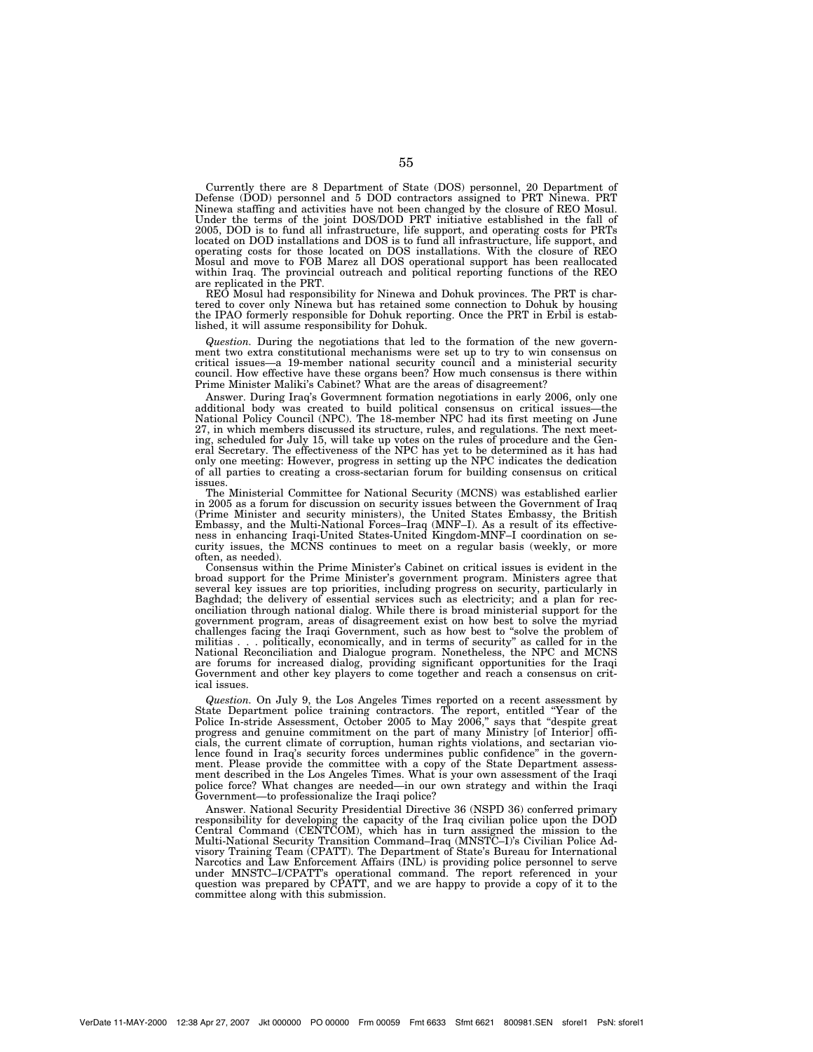Currently there are 8 Department of State (DOS) personnel, 20 Department of Defense (DOD) personnel and 5 DOD contractors assigned to PRT Ninewa. PRT Ninewa staffing and activities have not been changed by the closure of REO Mosul. Under the terms of the joint DOS/DOD PRT initiative established in the fall of 2005, DOD is to fund all infrastructure, life support, and operating costs for PRTs located on DOD installations and DOS is to fund all infrastructure, life support, and operating costs for those located on DOS installations. With the closure of REO Mosul and move to FOB Marez all DOS operational support has been reallocated within Iraq. The provincial outreach and political reporting functions of the REO are replicated in the PRT.

REO Mosul had responsibility for Ninewa and Dohuk provinces. The PRT is chartered to cover only Ninewa but has retained some connection to Dohuk by housing the IPAO formerly responsible for Dohuk reporting. Once the PRT in Erbil is established, it will assume responsibility for Dohuk.

*Question.* During the negotiations that led to the formation of the new government two extra constitutional mechanisms were set up to try to win consensus on critical issues—a 19-member national security council and a ministerial security council. How effective have these organs been? How much consensus is there within Prime Minister Maliki's Cabinet? What are the areas of disagreement?

Answer. During Iraq's Govermnent formation negotiations in early 2006, only one additional body was created to build political consensus on critical issues—the National Policy Council (NPC). The 18-member NPC had its first meeting on June 27, in which members discussed its structure, rules, and regulations. The next meeting, scheduled for July 15, will take up votes on the rules of procedure and the General Secretary. The effectiveness of the NPC has yet to be determined as it has had only one meeting: However, progress in setting up the NPC indicates the dedication of all parties to creating a cross-sectarian forum for building consensus on critical issues.

The Ministerial Committee for National Security (MCNS) was established earlier in 2005 as a forum for discussion on security issues between the Government of Iraq (Prime Minister and security ministers), the United States Embassy, the British Embassy, and the Multi-National Forces–Iraq (MNF–I). As a result of its effectiveness in enhancing Iraqi-United States-United Kingdom-MNF–I coordination on security issues, the MCNS continues to meet on a regular basis (weekly, or more often, as needed).

Consensus within the Prime Minister's Cabinet on critical issues is evident in the broad support for the Prime Minister's government program. Ministers agree that several key issues are top priorities, including progress on security, particularly in Baghdad; the delivery of essential services such as electricity; and a plan for reconciliation through national dialog. While there is broad ministerial support for the government program, areas of disagreement exist on how best to solve the myriad challenges facing the Iraqi Government, such as how best to ''solve the problem of militias . . . politically, economically, and in terms of security'' as called for in the National Reconciliation and Dialogue program. Nonetheless, the NPC and MCNS are forums for increased dialog, providing significant opportunities for the Iraqi Government and other key players to come together and reach a consensus on critical issues.

*Question.* On July 9, the Los Angeles Times reported on a recent assessment by State Department police training contractors. The report, entitled ''Year of the Police In-stride Assessment, October 2005 to May 2006,'' says that ''despite great progress and genuine commitment on the part of many Ministry [of Interior] officials, the current climate of corruption, human rights violations, and sectarian violence found in Iraq's security forces undermines public confidence'' in the government. Please provide the committee with a copy of the State Department assessment described in the Los Angeles Times. What is your own assessment of the Iraqi police force? What changes are needed—in our own strategy and within the Iraqi Government—to professionalize the Iraqi police?

Answer. National Security Presidential Directive 36 (NSPD 36) conferred primary responsibility for developing the capacity of the Iraq civilian police upon the DOD Central Command (CENTCOM), which has in turn assigned the mission to the Multi-National Security Transition Command–Iraq (MNSTC–I)'s Civilian Police Advisory Training Team (CPATT). The Department of State's Bureau for International Narcotics and Law Enforcement Affairs (INL) is providing police personnel to serve under MNSTC–I/CPATT's operational command. The report referenced in your question was prepared by CPATT, and we are happy to provide a copy of it to the committee along with this submission.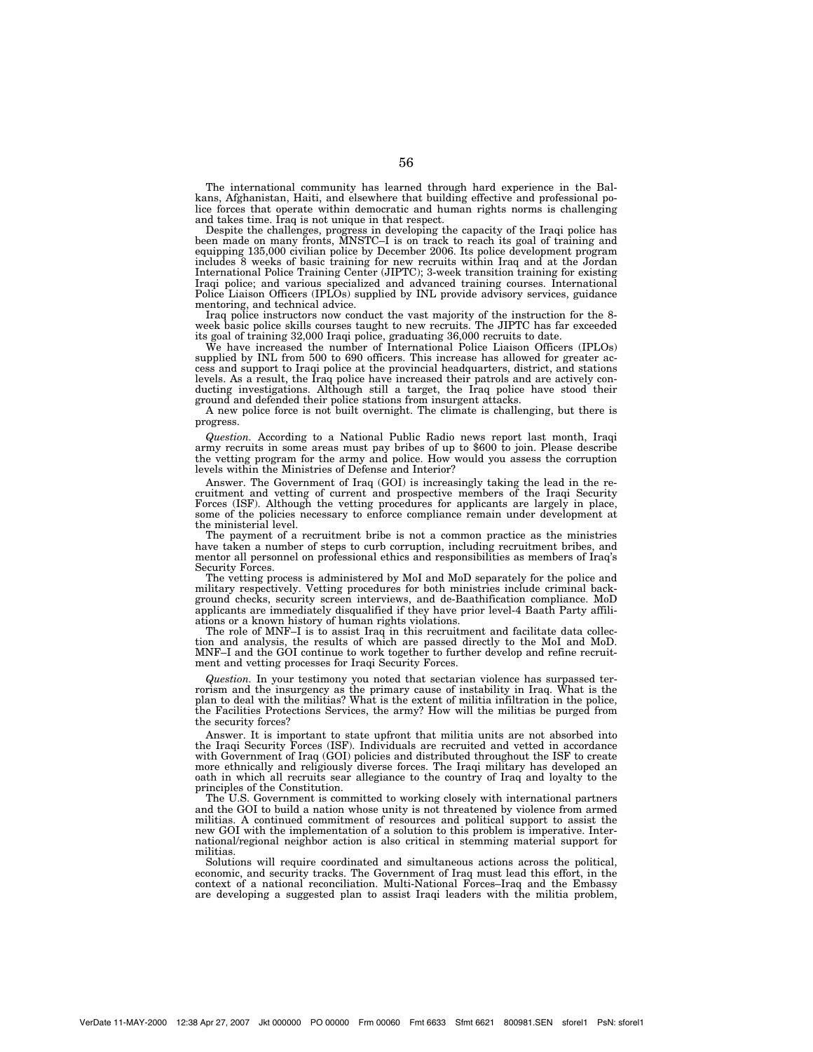The international community has learned through hard experience in the Balkans, Afghanistan, Haiti, and elsewhere that building effective and professional police forces that operate within democratic and human rights norms is challenging and takes time. Iraq is not unique in that respect.

Despite the challenges, progress in developing the capacity of the Iraqi police has been made on many fronts, MNSTC–I is on track to reach its goal of training and equipping 135,000 civilian police by December 2006. Its police development program includes 8 weeks of basic training for new recruits within Iraq and at the Jordan International Police Training Center (JIPTC); 3-week transition training for existing Iraqi police; and various specialized and advanced training courses. International Police Liaison Officers (IPLOs) supplied by INL provide advisory services, guidance mentoring, and technical advice.

Iraq police instructors now conduct the vast majority of the instruction for the 8 week basic police skills courses taught to new recruits. The JIPTC has far exceeded its goal of training 32,000 Iraqi police, graduating 36,000 recruits to date.

We have increased the number of International Police Liaison Officers (IPLOs) supplied by INL from 500 to 690 officers. This increase has allowed for greater access and support to Iraqi police at the provincial headquarters, district, and stations levels. As a result, the Iraq police have increased their patrols and are actively conducting investigations. Although still a target, the Iraq police have stood their ground and defended their police stations from insurgent attacks.

A new police force is not built overnight. The climate is challenging, but there is progress.

*Question.* According to a National Public Radio news report last month, Iraqi army recruits in some areas must pay bribes of up to \$600 to join. Please describe the vetting program for the army and police. How would you assess the corruption levels within the Ministries of Defense and Interior?

Answer. The Government of Iraq (GOI) is increasingly taking the lead in the recruitment and vetting of current and prospective members of the Iraqi Security Forces (ISF). Although the vetting procedures for applicants are largely in place, some of the policies necessary to enforce compliance remain under development at the ministerial level.

The payment of a recruitment bribe is not a common practice as the ministries have taken a number of steps to curb corruption, including recruitment bribes, and mentor all personnel on professional ethics and responsibilities as members of Iraq's Security Forces.

The vetting process is administered by MoI and MoD separately for the police and military respectively. Vetting procedures for both ministries include criminal background checks, security screen interviews, and de-Baathification compliance. MoD applicants are immediately disqualified if they have prior level-4 Baath Party affiliations or a known history of human rights violations.

The role of MNF–I is to assist Iraq in this recruitment and facilitate data collection and analysis, the results of which are passed directly to the MoI and MoD. MNF–I and the GOI continue to work together to further develop and refine recruitment and vetting processes for Iraqi Security Forces.

*Question.* In your testimony you noted that sectarian violence has surpassed terrorism and the insurgency as the primary cause of instability in Iraq. What is the plan to deal with the militias? What is the extent of militia infiltration in the police, the Facilities Protections Services, the army? How will the militias be purged from the security forces?

Answer. It is important to state upfront that militia units are not absorbed into the Iraqi Security Forces (ISF). Individuals are recruited and vetted in accordance with Government of Iraq (GOI) policies and distributed throughout the ISF to create more ethnically and religiously diverse forces. The Iraqi military has developed an oath in which all recruits sear allegiance to the country of Iraq and loyalty to the principles of the Constitution.

The U.S. Government is committed to working closely with international partners and the GOI to build a nation whose unity is not threatened by violence from armed militias. A continued commitment of resources and political support to assist the new GOI with the implementation of a solution to this problem is imperative. International/regional neighbor action is also critical in stemming material support for militias.

Solutions will require coordinated and simultaneous actions across the political, economic, and security tracks. The Government of Iraq must lead this effort, in the context of a national reconciliation. Multi-National Forces–Iraq and the Embassy are developing a suggested plan to assist Iraqi leaders with the militia problem,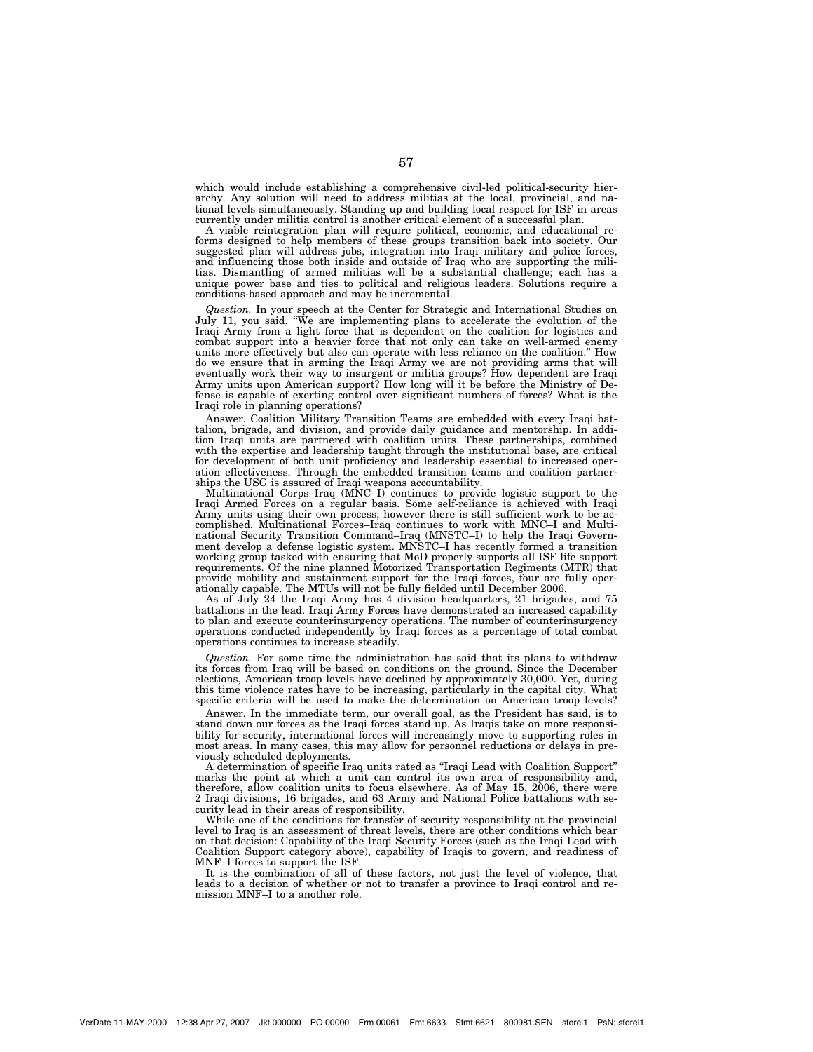which would include establishing a comprehensive civil-led political-security hierarchy. Any solution will need to address militias at the local, provincial, and national levels simultaneously. Standing up and building local respect for ISF in areas currently under militia control is another critical element of a successful plan.

A viable reintegration plan will require political, economic, and educational reforms designed to help members of these groups transition back into society. Our suggested plan will address jobs, integration into Iraqi military and police forces, and influencing those both inside and outside of Iraq who are supporting the militias. Dismantling of armed militias will be a substantial challenge; each has a unique power base and ties to political and religious leaders. Solutions require a conditions-based approach and may be incremental.

*Question.* In your speech at the Center for Strategic and International Studies on July 11, you said, ''We are implementing plans to accelerate the evolution of the Iraqi Army from a light force that is dependent on the coalition for logistics and combat support into a heavier force that not only can take on well-armed enemy units more effectively but also can operate with less reliance on the coalition.'' How do we ensure that in arming the Iraqi Army we are not providing arms that will eventually work their way to insurgent or militia groups? How dependent are Iraqi Army units upon American support? How long will it be before the Ministry of Defense is capable of exerting control over significant numbers of forces? What is the Iraqi role in planning operations?

Answer. Coalition Military Transition Teams are embedded with every Iraqi battalion, brigade, and division, and provide daily guidance and mentorship. In addition Iraqi units are partnered with coalition units. These partnerships, combined with the expertise and leadership taught through the institutional base, are critical for development of both unit proficiency and leadership essential to increased operation effectiveness. Through the embedded transition teams and coalition partnerships the USG is assured of Iraqi weapons accountability.

Multinational Corps–Iraq (MNC–I) continues to provide logistic support to the Iraqi Armed Forces on a regular basis. Some self-reliance is achieved with Iraqi Army units using their own process; however there is still sufficient work to be accomplished. Multinational Forces–Iraq continues to work with MNC–I and Multinational Security Transition Command–Iraq (MNSTC–I) to help the Iraqi Government develop a defense logistic system. MNSTC–I has recently formed a transition working group tasked with ensuring that MoD properly supports all ISF life support requirements. Of the nine planned Motorized Transportation Regiments (MTR) that provide mobility and sustainment support for the Iraqi forces, four are fully operationally capable. The MTUs will not be fully fielded until December 2006.

As of July 24 the Iraqi Army has 4 division headquarters, 21 brigades, and 75 battalions in the lead. Iraqi Army Forces have demonstrated an increased capability to plan and execute counterinsurgency operations. The number of counterinsurgency operations conducted independently by Iraqi forces as a percentage of total combat operations continues to increase steadily.

*Question.* For some time the administration has said that its plans to withdraw its forces from Iraq will be based on conditions on the ground. Since the December elections, American troop levels have declined by approximately 30,000. Yet, during this time violence rates have to be increasing, particularly in the capital city. What specific criteria will be used to make the determination on American troop levels?

Answer. In the immediate term, our overall goal, as the President has said, is to stand down our forces as the Iraqi forces stand up. As Iraqis take on more responsibility for security, international forces will increasingly move to supporting roles in most areas. In many cases, this may allow for personnel reductions or delays in previously scheduled deployments.

A determination of specific Iraq units rated as ''Iraqi Lead with Coalition Support'' marks the point at which a unit can control its own area of responsibility and, therefore, allow coalition units to focus elsewhere. As of May 15, 2006, there were 2 Iraqi divisions, 16 brigades, and 63 Army and National Police battalions with security lead in their areas of responsibility.

While one of the conditions for transfer of security responsibility at the provincial level to Iraq is an assessment of threat levels, there are other conditions which bear on that decision: Capability of the Iraqi Security Forces (such as the Iraqi Lead with Coalition Support category above), capability of Iraqis to govern, and readiness of MNF–I forces to support the ISF.

It is the combination of all of these factors, not just the level of violence, that leads to a decision of whether or not to transfer a province to Iraqi control and remission MNF–I to a another role.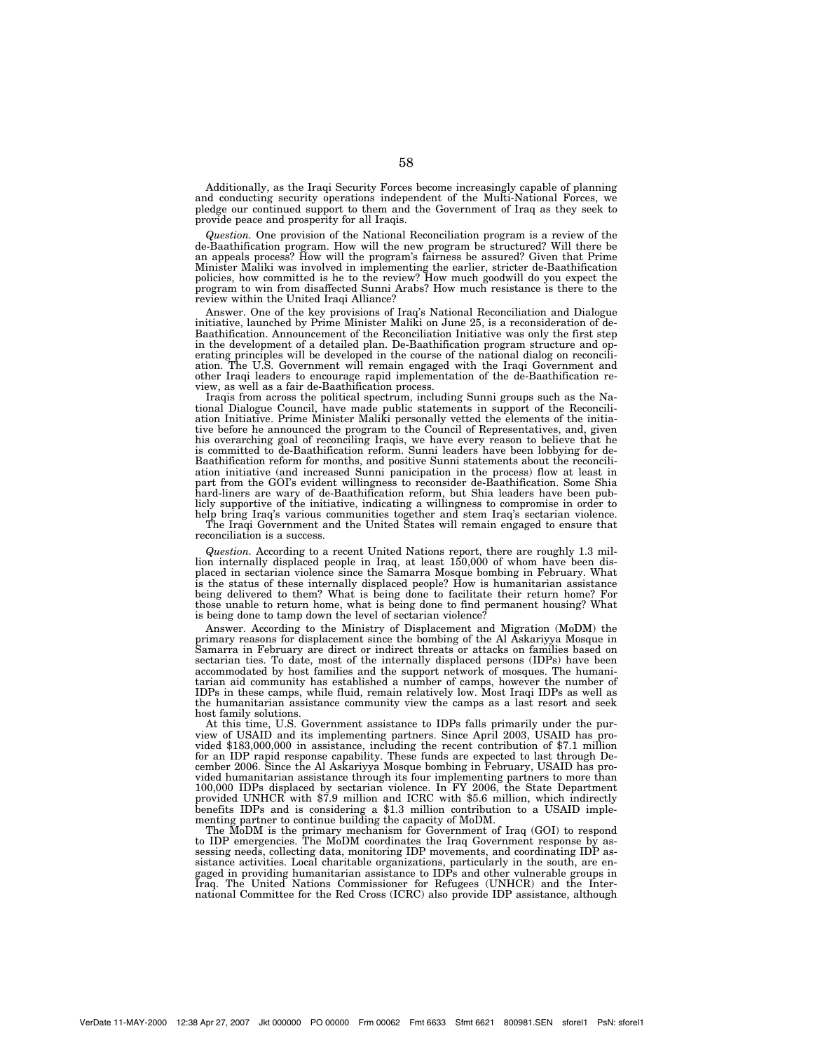Additionally, as the Iraqi Security Forces become increasingly capable of planning and conducting security operations independent of the Multi-National Forces, we pledge our continued support to them and the Government of Iraq as they seek to provide peace and prosperity for all Iraqis.

*Question.* One provision of the National Reconciliation program is a review of the de-Baathification program. How will the new program be structured? Will there be an appeals process? How will the program's fairness be assured? Given that Prime Minister Maliki was involved in implementing the earlier, stricter de-Baathification policies, how committed is he to the review? How much goodwill do you expect the program to win from disaffected Sunni Arabs? How much resistance is there to the review within the United Iraqi Alliance?

Answer. One of the key provisions of Iraq's National Reconciliation and Dialogue initiative, launched by Prime Minister Maliki on June 25, is a reconsideration of de-Baathification. Announcement of the Reconciliation Initiative was only the first step in the development of a detailed plan. De-Baathification program structure and operating principles will be developed in the course of the national dialog on reconciliation. The U.S. Government will remain engaged with the Iraqi Government and other Iraqi leaders to encourage rapid implementation of the de-Baathification review, as well as a fair de-Baathification process.

Iraqis from across the political spectrum, including Sunni groups such as the National Dialogue Council, have made public statements in support of the Reconciliation Initiative. Prime Minister Maliki personally vetted the elements of the initiative before he announced the program to the Council of Representatives, and, given his overarching goal of reconciling Iraqis, we have every reason to believe that he is committed to de-Baathification reform. Sunni leaders have been lobbying for de-Baathification reform for months, and positive Sunni statements about the reconciliation initiative (and increased Sunni panicipation in the process) flow at least in part from the GOI's evident willingness to reconsider de-Baathification. Some Shia hard-liners are wary of de-Baathification reform, but Shia leaders have been publicly supportive of the initiative, indicating a willingness to compromise in order to help bring Iraq's various communities together and stem Iraq's sectarian violence. The Iraqi Government and the United States will remain engaged to ensure that

reconciliation is a success.

*Question.* According to a recent United Nations report, there are roughly 1.3 million internally displaced people in Iraq, at least 150,000 of whom have been displaced in sectarian violence since the Samarra Mosque bombing in February. What is the status of these internally displaced people? How is humanitarian assistance being delivered to them? What is being done to facilitate their return home? For those unable to return home, what is being done to find permanent housing? What is being done to tamp down the level of sectarian violence

Answer. According to the Ministry of Displacement and Migration (MoDM) the primary reasons for displacement since the bombing of the Al Askariyya Mosque in Samarra in February are direct or indirect threats or attacks on families based on sectarian ties. To date, most of the internally displaced persons (IDPs) have been accommodated by host families and the support network of mosques. The humanitarian aid community has established a number of camps, however the number of IDPs in these camps, while fluid, remain relatively low. Most Iraqi IDPs as well as the humanitarian assistance community view the camps as a last resort and seek host family solutions.

At this time, U.S. Government assistance to IDPs falls primarily under the purview of USAID and its implementing partners. Since April 2003, USAID has provided \$183,000,000 in assistance, including the recent contribution of \$7.1 million for an IDP rapid response capability. These funds are expected to last through December 2006. Since the Al Askariyya Mosque bombing in February, USAID has provided humanitarian assistance through its four implementing partners to more than 100,000 IDPs displaced by sectarian violence. In FY 2006, the State Department provided UNHCR with \$7.9 million and ICRC with \$5.6 million, which indirectly benefits IDPs and is considering a \$1.3 million contribution to a USAID implementing partner to continue building the capacity of MoDM.

The MoDM is the primary mechanism for Government of Iraq (GOI) to respond to IDP emergencies. The MoDM coordinates the Iraq Government response by assessing needs, collecting data, monitoring IDP movements, and coordinating IDP assistance activities. Local charitable organizations, particularly in the south, are engaged in providing humanitarian assistance to IDPs and other vulnerable groups in Iraq. The United Nations Commissioner for Refugees (UNHCR) and the Inter-national Committee for the Red Cross (ICRC) also provide IDP assistance, although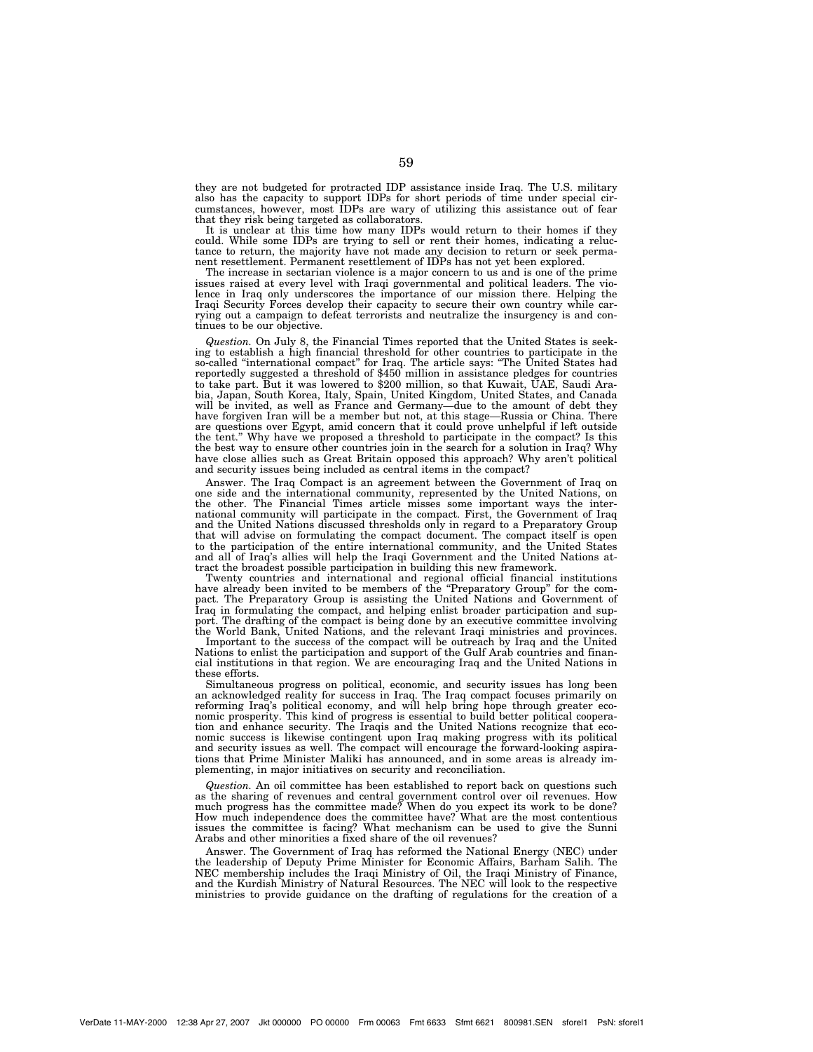they are not budgeted for protracted IDP assistance inside Iraq. The U.S. military also has the capacity to support IDPs for short periods of time under special circumstances, however, most IDPs are wary of utilizing this assistance out of fear that they risk being targeted as collaborators.

It is unclear at this time how many IDPs would return to their homes if they could. While some IDPs are trying to sell or rent their homes, indicating a reluctance to return, the majority have not made any decision to return or seek permanent resettlement. Permanent resettlement of IDPs has not yet been explored.

The increase in sectarian violence is a major concern to us and is one of the prime issues raised at every level with Iraqi governmental and political leaders. The violence in Iraq only underscores the importance of our mission there. Helping the Iraqi Security Forces develop their capacity to secure their own country while carrying out a campaign to defeat terrorists and neutralize the insurgency is and continues to be our objective.

*Question.* On July 8, the Financial Times reported that the United States is seeking to establish a high financial threshold for other countries to participate in the so-called ''international compact'' for Iraq. The article says: ''The United States had reportedly suggested a threshold of \$450 million in assistance pledges for countries to take part. But it was lowered to \$200 million, so that Kuwait, UAE, Saudi Arabia, Japan, South Korea, Italy, Spain, United Kingdom, United States, and Canada will be invited, as well as France and Germany—due to the amount of debt they have forgiven Iran will be a member but not, at this stage—Russia or China. There are questions over Egypt, amid concern that it could prove unhelpful if left outside the tent.'' Why have we proposed a threshold to participate in the compact? Is this the best way to ensure other countries join in the search for a solution in Iraq? Why have close allies such as Great Britain opposed this approach? Why aren't political and security issues being included as central items in the compact?

Answer. The Iraq Compact is an agreement between the Government of Iraq on one side and the international community, represented by the United Nations, on the other. The Financial Times article misses some important ways the international community will participate in the compact. First, the Government of Iraq and the United Nations discussed thresholds only in regard to a Preparatory Group that will advise on formulating the compact document. The compact itself is open to the participation of the entire international community, and the United States and all of Iraq's allies will help the Iraqi Government and the United Nations attract the broadest possible participation in building this new framework.

Twenty countries and international and regional official financial institutions have already been invited to be members of the "Preparatory Group" for the compact. The Preparatory Group is assisting the United Nations and Government of Iraq in formulating the compact, and helping enlist broader participation and support. The drafting of the compact is being done by an executive committee involving the World Bank, United Nations, and the relevant Iraqi ministries and provinces.

Important to the success of the compact will be outreach by Iraq and the United Nations to enlist the participation and support of the Gulf Arab countries and financial institutions in that region. We are encouraging Iraq and the United Nations in these efforts.

Simultaneous progress on political, economic, and security issues has long been an acknowledged reality for success in Iraq. The Iraq compact focuses primarily on reforming Iraq's political economy, and will help bring hope through greater economic prosperity. This kind of progress is essential to build better political cooperation and enhance security. The Iraqis and the United Nations recognize that economic success is likewise contingent upon Iraq making progress with its political and security issues as well. The compact will encourage the forward-looking aspirations that Prime Minister Maliki has announced, and in some areas is already implementing, in major initiatives on security and reconciliation.

*Question.* An oil committee has been established to report back on questions such as the sharing of revenues and central government control over oil revenues. How much progress has the committee made? When do you expect its work to be done? How much independence does the committee have? What are the most contentious issues the committee is facing? What mechanism can be used to give the Sunni Arabs and other minorities a fixed share of the oil revenues?

Answer. The Government of Iraq has reformed the National Energy (NEC) under the leadership of Deputy Prime Minister for Economic Affairs, Barham Salih. The NEC membership includes the Iraqi Ministry of Oil, the Iraqi Ministry of Finance, and the Kurdish Ministry of Natural Resources. The NEC will look to the respective ministries to provide guidance on the drafting of regulations for the creation of a